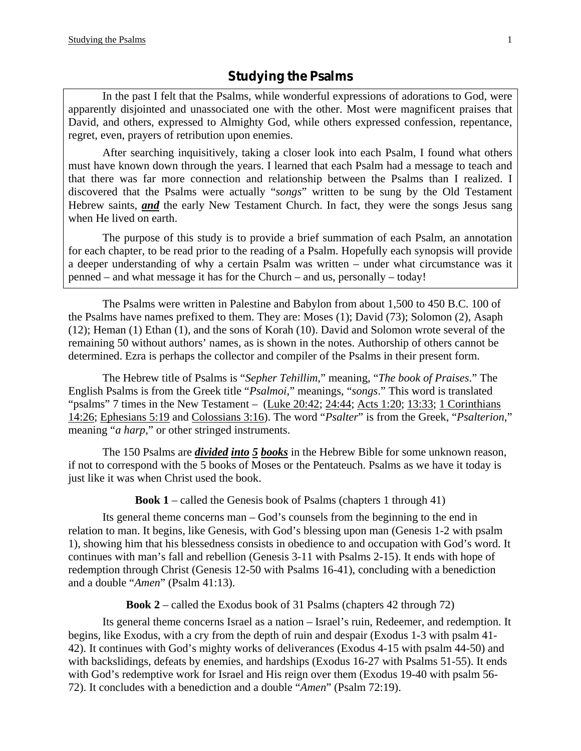In the past I felt that the Psalms, while wonderful expressions of adorations to God, were apparently disjointed and unassociated one with the other. Most were magnificent praises that David, and others, expressed to Almighty God, while others expressed confession, repentance, regret, even, prayers of retribution upon enemies.

 After searching inquisitively, taking a closer look into each Psalm, I found what others must have known down through the years. I learned that each Psalm had a message to teach and that there was far more connection and relationship between the Psalms than I realized. I discovered that the Psalms were actually "*songs*" written to be sung by the Old Testament Hebrew saints, *and* the early New Testament Church. In fact, they were the songs Jesus sang when He lived on earth.

 The purpose of this study is to provide a brief summation of each Psalm, an annotation for each chapter, to be read prior to the reading of a Psalm. Hopefully each synopsis will provide a deeper understanding of why a certain Psalm was written – under what circumstance was it penned – and what message it has for the Church – and us, personally – today!

The Psalms were written in Palestine and Babylon from about 1,500 to 450 B.C. 100 of the Psalms have names prefixed to them. They are: Moses (1); David (73); Solomon (2), Asaph (12); Heman (1) Ethan (1), and the sons of Korah (10). David and Solomon wrote several of the remaining 50 without authors' names, as is shown in the notes. Authorship of others cannot be determined. Ezra is perhaps the collector and compiler of the Psalms in their present form.

 The Hebrew title of Psalms is "*Sepher Tehillim*," meaning, "*The book of Praises*." The English Psalms is from the Greek title "*Psalmoi*," meanings, "*songs*." This word is translated "psalms" 7 times in the New Testament – (Luke 20:42; 24:44; Acts 1:20; 13:33; 1 Corinthians 14:26; Ephesians 5:19 and Colossians 3:16). The word "*Psalter*" is from the Greek, "*Psalterion*," meaning "*a harp*," or other stringed instruments.

 The 150 Psalms are *divided into 5 books* in the Hebrew Bible for some unknown reason, if not to correspond with the 5 books of Moses or the Pentateuch. Psalms as we have it today is just like it was when Christ used the book.

**Book 1** – called the Genesis book of Psalms (chapters 1 through 41)

 Its general theme concerns man – God's counsels from the beginning to the end in relation to man. It begins, like Genesis, with God's blessing upon man (Genesis 1-2 with psalm 1), showing him that his blessedness consists in obedience to and occupation with God's word. It continues with man's fall and rebellion (Genesis 3-11 with Psalms 2-15). It ends with hope of redemption through Christ (Genesis 12-50 with Psalms 16-41), concluding with a benediction and a double "*Amen*" (Psalm 41:13).

**Book 2** – called the Exodus book of 31 Psalms (chapters 42 through 72)

 Its general theme concerns Israel as a nation – Israel's ruin, Redeemer, and redemption. It begins, like Exodus, with a cry from the depth of ruin and despair (Exodus 1-3 with psalm 41- 42). It continues with God's mighty works of deliverances (Exodus 4-15 with psalm 44-50) and with backslidings, defeats by enemies, and hardships (Exodus 16-27 with Psalms 51-55). It ends with God's redemptive work for Israel and His reign over them (Exodus 19-40 with psalm 56- 72). It concludes with a benediction and a double "*Amen*" (Psalm 72:19).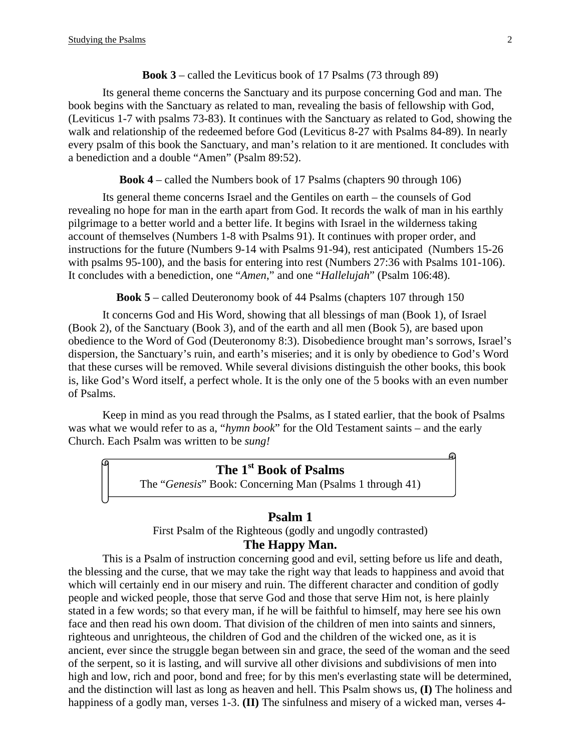#### **Book 3** – called the Leviticus book of 17 Psalms (73 through 89)

Its general theme concerns the Sanctuary and its purpose concerning God and man. The book begins with the Sanctuary as related to man, revealing the basis of fellowship with God, (Leviticus 1-7 with psalms 73-83). It continues with the Sanctuary as related to God, showing the walk and relationship of the redeemed before God (Leviticus 8-27 with Psalms 84-89). In nearly every psalm of this book the Sanctuary, and man's relation to it are mentioned. It concludes with a benediction and a double "Amen" (Psalm 89:52).

**Book 4** – called the Numbers book of 17 Psalms (chapters 90 through 106)

 Its general theme concerns Israel and the Gentiles on earth – the counsels of God revealing no hope for man in the earth apart from God. It records the walk of man in his earthly pilgrimage to a better world and a better life. It begins with Israel in the wilderness taking account of themselves (Numbers 1-8 with Psalms 91). It continues with proper order, and instructions for the future (Numbers 9-14 with Psalms 91-94), rest anticipated (Numbers 15-26 with psalms 95-100), and the basis for entering into rest (Numbers 27:36 with Psalms 101-106). It concludes with a benediction, one "*Amen*," and one "*Hallelujah*" (Psalm 106:48).

**Book 5** – called Deuteronomy book of 44 Psalms (chapters 107 through 150

 It concerns God and His Word, showing that all blessings of man (Book 1), of Israel (Book 2), of the Sanctuary (Book 3), and of the earth and all men (Book 5), are based upon obedience to the Word of God (Deuteronomy 8:3). Disobedience brought man's sorrows, Israel's dispersion, the Sanctuary's ruin, and earth's miseries; and it is only by obedience to God's Word that these curses will be removed. While several divisions distinguish the other books, this book is, like God's Word itself, a perfect whole. It is the only one of the 5 books with an even number of Psalms.

 Keep in mind as you read through the Psalms, as I stated earlier, that the book of Psalms was what we would refer to as a, "*hymn book*" for the Old Testament saints – and the early Church. Each Psalm was written to be *sung!* 

# **The 1st Book of Psalms**

The "*Genesis*" Book: Concerning Man (Psalms 1 through 41)

#### **Psalm 1**

First Psalm of the Righteous (godly and ungodly contrasted)

#### **The Happy Man.**

This is a Psalm of instruction concerning good and evil, setting before us life and death, the blessing and the curse, that we may take the right way that leads to happiness and avoid that which will certainly end in our misery and ruin. The different character and condition of godly people and wicked people, those that serve God and those that serve Him not, is here plainly stated in a few words; so that every man, if he will be faithful to himself, may here see his own face and then read his own doom. That division of the children of men into saints and sinners, righteous and unrighteous, the children of God and the children of the wicked one, as it is ancient, ever since the struggle began between sin and grace, the seed of the woman and the seed of the serpent, so it is lasting, and will survive all other divisions and subdivisions of men into high and low, rich and poor, bond and free; for by this men's everlasting state will be determined, and the distinction will last as long as heaven and hell. This Psalm shows us, **(I)** The holiness and happiness of a godly man, verses 1-3. **(II)** The sinfulness and misery of a wicked man, verses 4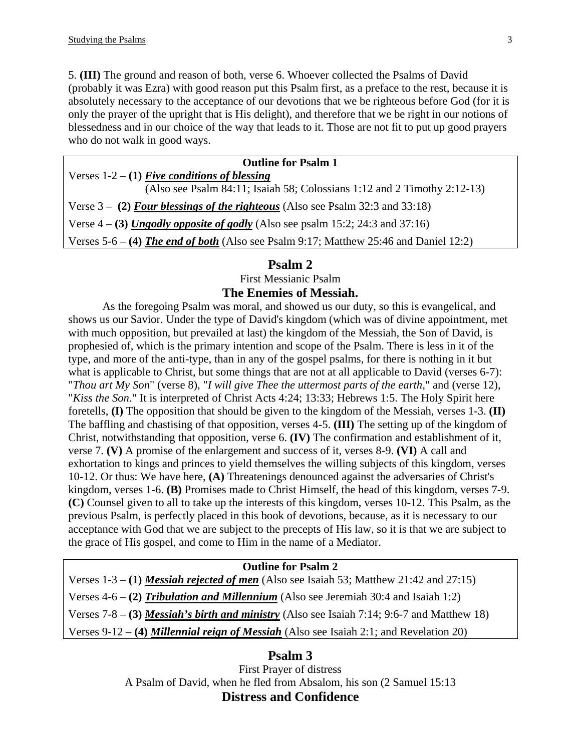5. **(III)** The ground and reason of both, verse 6. Whoever collected the Psalms of David (probably it was Ezra) with good reason put this Psalm first, as a preface to the rest, because it is absolutely necessary to the acceptance of our devotions that we be righteous before God (for it is only the prayer of the upright that is His delight), and therefore that we be right in our notions of blessedness and in our choice of the way that leads to it. Those are not fit to put up good prayers who do not walk in good ways.

| <b>Outline for Psalm 1</b>                                                              |
|-----------------------------------------------------------------------------------------|
| Verses $1-2 - (1)$ Five conditions of blessing                                          |
| (Also see Psalm 84:11; Isaiah 58; Colossians 1:12 and 2 Timothy 2:12-13)                |
| Verse 3 – (2) Four blessings of the righteous (Also see Psalm 32:3 and 33:18)           |
| Verse $4 - (3)$ Ungodly opposite of godly (Also see psalm 15:2; 24:3 and 37:16)         |
| Verses $5-6 - (4)$ The end of both (Also see Psalm 9:17; Matthew 25:46 and Daniel 12:2) |

#### **Psalm 2**

First Messianic Psalm

#### **The Enemies of Messiah.**

As the foregoing Psalm was moral, and showed us our duty, so this is evangelical, and shows us our Savior. Under the type of David's kingdom (which was of divine appointment, met with much opposition, but prevailed at last) the kingdom of the Messiah, the Son of David, is prophesied of, which is the primary intention and scope of the Psalm. There is less in it of the type, and more of the anti-type, than in any of the gospel psalms, for there is nothing in it but what is applicable to Christ, but some things that are not at all applicable to David (verses 6-7): "*Thou art My Son*" (verse 8), "*I will give Thee the uttermost parts of the earth*," and (verse 12), "*Kiss the Son*." It is interpreted of Christ Acts 4:24; 13:33; Hebrews 1:5. The Holy Spirit here foretells, **(I)** The opposition that should be given to the kingdom of the Messiah, verses 1-3. **(II)** The baffling and chastising of that opposition, verses 4-5. **(III)** The setting up of the kingdom of Christ, notwithstanding that opposition, verse 6. **(IV)** The confirmation and establishment of it, verse 7. **(V)** A promise of the enlargement and success of it, verses 8-9. **(VI)** A call and exhortation to kings and princes to yield themselves the willing subjects of this kingdom, verses 10-12. Or thus: We have here, **(A)** Threatenings denounced against the adversaries of Christ's kingdom, verses 1-6. **(B)** Promises made to Christ Himself, the head of this kingdom, verses 7-9. **(C)** Counsel given to all to take up the interests of this kingdom, verses 10-12. This Psalm, as the previous Psalm, is perfectly placed in this book of devotions, because, as it is necessary to our acceptance with God that we are subject to the precepts of His law, so it is that we are subject to the grace of His gospel, and come to Him in the name of a Mediator.

#### **Outline for Psalm 2**

Verses 1-3 – **(1)** *Messiah rejected of men* (Also see Isaiah 53; Matthew 21:42 and 27:15) Verses 4-6 – **(2)** *Tribulation and Millennium* (Also see Jeremiah 30:4 and Isaiah 1:2) Verses 7-8 – **(3)** *Messiah's birth and ministry* (Also see Isaiah 7:14; 9:6-7 and Matthew 18) Verses 9-12 – **(4)** *Millennial reign of Messiah* (Also see Isaiah 2:1; and Revelation 20)

### **Psalm 3**

First Prayer of distress A Psalm of David, when he fled from Absalom, his son (2 Samuel 15:13 **Distress and Confidence**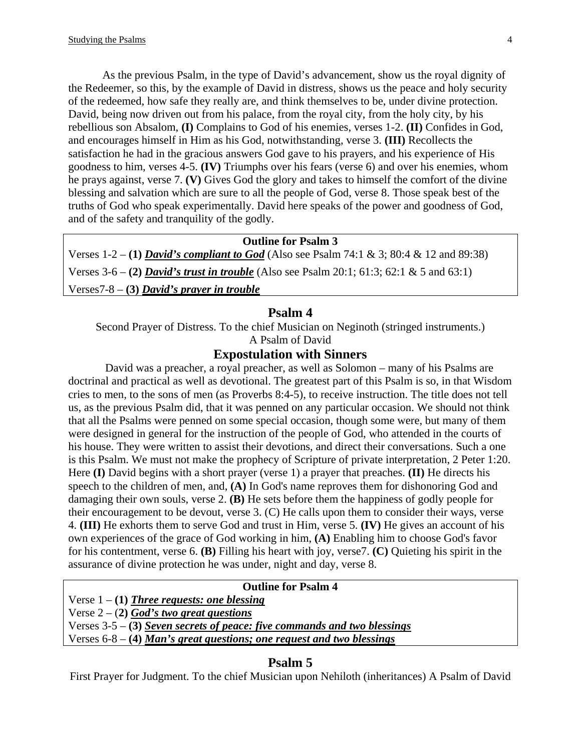As the previous Psalm, in the type of David's advancement, show us the royal dignity of the Redeemer, so this, by the example of David in distress, shows us the peace and holy security of the redeemed, how safe they really are, and think themselves to be, under divine protection. David, being now driven out from his palace, from the royal city, from the holy city, by his rebellious son Absalom, **(I)** Complains to God of his enemies, verses 1-2. **(II)** Confides in God, and encourages himself in Him as his God, notwithstanding, verse 3. **(III)** Recollects the satisfaction he had in the gracious answers God gave to his prayers, and his experience of His goodness to him, verses 4-5. **(IV)** Triumphs over his fears (verse 6) and over his enemies, whom he prays against, verse 7. **(V)** Gives God the glory and takes to himself the comfort of the divine blessing and salvation which are sure to all the people of God, verse 8. Those speak best of the truths of God who speak experimentally. David here speaks of the power and goodness of God, and of the safety and tranquility of the godly.

#### **Outline for Psalm 3**

Verses 1-2 – **(1)** *David's compliant to God* (Also see Psalm 74:1 & 3; 80:4 & 12 and 89:38) Verses 3-6 – **(2)** *David's trust in trouble* (Also see Psalm 20:1; 61:3; 62:1 & 5 and 63:1) Verses7-8 – **(3)** *David's prayer in trouble*

#### **Psalm 4**

Second Prayer of Distress. To the chief Musician on Neginoth (stringed instruments.) A Psalm of David

#### **Expostulation with Sinners**

 David was a preacher, a royal preacher, as well as Solomon – many of his Psalms are doctrinal and practical as well as devotional. The greatest part of this Psalm is so, in that Wisdom cries to men, to the sons of men (as Proverbs 8:4-5), to receive instruction. The title does not tell us, as the previous Psalm did, that it was penned on any particular occasion. We should not think that all the Psalms were penned on some special occasion, though some were, but many of them were designed in general for the instruction of the people of God, who attended in the courts of his house. They were written to assist their devotions, and direct their conversations. Such a one is this Psalm. We must not make the prophecy of Scripture of private interpretation, 2 Peter 1:20. Here **(I)** David begins with a short prayer (verse 1) a prayer that preaches. **(II)** He directs his speech to the children of men, and, **(A)** In God's name reproves them for dishonoring God and damaging their own souls, verse 2. **(B)** He sets before them the happiness of godly people for their encouragement to be devout, verse 3. (C) He calls upon them to consider their ways, verse 4. **(III)** He exhorts them to serve God and trust in Him, verse 5. **(IV)** He gives an account of his own experiences of the grace of God working in him, **(A)** Enabling him to choose God's favor for his contentment, verse 6. **(B)** Filling his heart with joy, verse7. **(C)** Quieting his spirit in the assurance of divine protection he was under, night and day, verse 8.

#### **Outline for Psalm 4**

Verse 1 – **(1)** *Three requests: one blessing*

Verse  $2 - (2)$  *God's two great questions* 

Verses 3-5 – **(3)** *Seven secrets of peace: five commands and two blessings*

Verses 6-8 – **(4)** *Man's great questions; one request and two blessings*

#### **Psalm 5**

First Prayer for Judgment. To the chief Musician upon Nehiloth (inheritances) A Psalm of David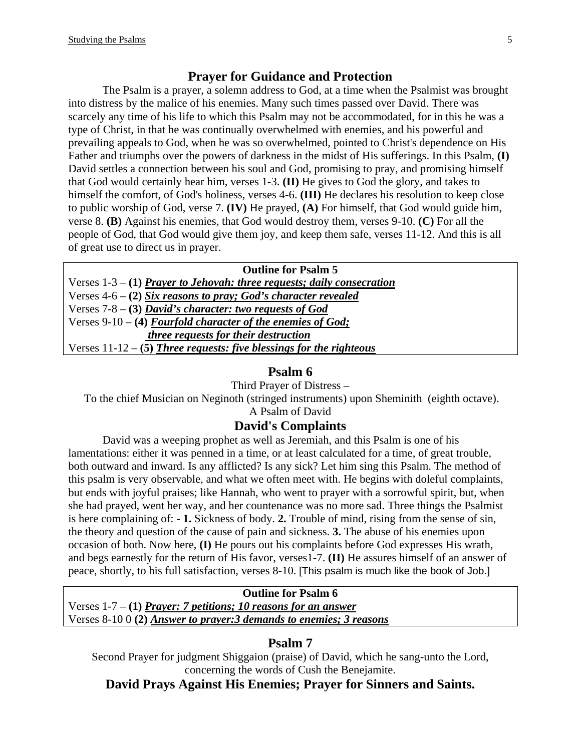### **Prayer for Guidance and Protection**

The Psalm is a prayer, a solemn address to God, at a time when the Psalmist was brought into distress by the malice of his enemies. Many such times passed over David. There was scarcely any time of his life to which this Psalm may not be accommodated, for in this he was a type of Christ, in that he was continually overwhelmed with enemies, and his powerful and prevailing appeals to God, when he was so overwhelmed, pointed to Christ's dependence on His Father and triumphs over the powers of darkness in the midst of His sufferings. In this Psalm, **(I)** David settles a connection between his soul and God, promising to pray, and promising himself that God would certainly hear him, verses 1-3. **(II)** He gives to God the glory, and takes to himself the comfort, of God's holiness, verses 4-6. **(III)** He declares his resolution to keep close to public worship of God, verse 7. **(IV)** He prayed, **(A)** For himself, that God would guide him, verse 8. **(B)** Against his enemies, that God would destroy them, verses 9-10. **(C)** For all the people of God, that God would give them joy, and keep them safe, verses 11-12. And this is all of great use to direct us in prayer.

| <b>Outline for Psalm 5</b>                                               |
|--------------------------------------------------------------------------|
| Verses $1-3 - (1)$ Prayer to Jehovah: three requests; daily consecration |
| Verses $4-6 - (2)$ Six reasons to pray; God's character revealed         |
| Verses $7-8 - (3)$ David's character: two requests of God                |
| Verses 9-10 – (4) Fourfold character of the enemies of God;              |
| three requests for their destruction                                     |
| Verses $11-12-5$ ) Three requests: five blessings for the righteous      |
|                                                                          |

## **Psalm 6**

Third Prayer of Distress –

To the chief Musician on Neginoth (stringed instruments) upon Sheminith (eighth octave).

A Psalm of David

### **David's Complaints**

David was a weeping prophet as well as Jeremiah, and this Psalm is one of his lamentations: either it was penned in a time, or at least calculated for a time, of great trouble, both outward and inward. Is any afflicted? Is any sick? Let him sing this Psalm. The method of this psalm is very observable, and what we often meet with. He begins with doleful complaints, but ends with joyful praises; like Hannah, who went to prayer with a sorrowful spirit, but, when she had prayed, went her way, and her countenance was no more sad. Three things the Psalmist is here complaining of: - **1.** Sickness of body. **2.** Trouble of mind, rising from the sense of sin, the theory and question of the cause of pain and sickness. **3.** The abuse of his enemies upon occasion of both. Now here, **(I)** He pours out his complaints before God expresses His wrath, and begs earnestly for the return of His favor, verses1-7. **(II)** He assures himself of an answer of peace, shortly, to his full satisfaction, verses 8-10. [This psalm is much like the book of Job.]

**Outline for Psalm 6**  Verses 1-7 – **(1)** *Prayer: 7 petitions; 10 reasons for an answer* Verses 8-10 0 **(2)** *Answer to prayer:3 demands to enemies; 3 reasons*

## **Psalm 7**

Second Prayer for judgment Shiggaion (praise) of David, which he sang-unto the Lord, concerning the words of Cush the Benejamite.

**David Prays Against His Enemies; Prayer for Sinners and Saints.**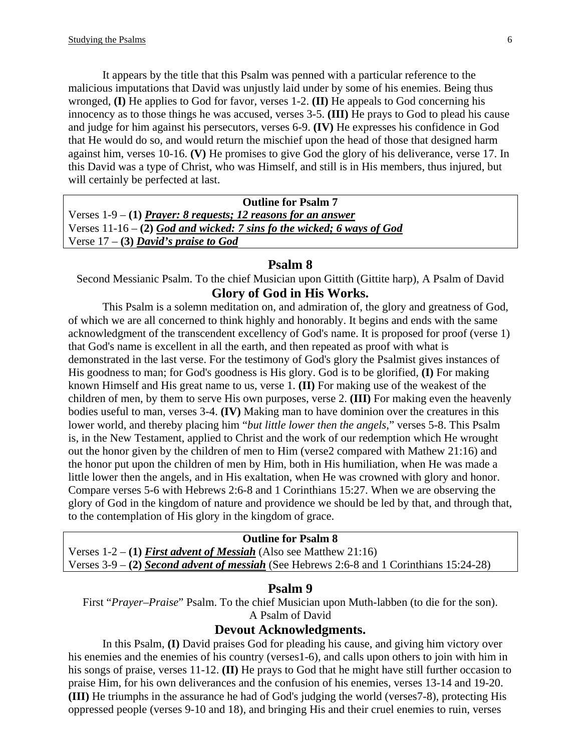It appears by the title that this Psalm was penned with a particular reference to the malicious imputations that David was unjustly laid under by some of his enemies. Being thus wronged, **(I)** He applies to God for favor, verses 1-2. **(II)** He appeals to God concerning his innocency as to those things he was accused, verses 3-5. **(III)** He prays to God to plead his cause and judge for him against his persecutors, verses 6-9. **(IV)** He expresses his confidence in God that He would do so, and would return the mischief upon the head of those that designed harm against him, verses 10-16. **(V)** He promises to give God the glory of his deliverance, verse 17. In this David was a type of Christ, who was Himself, and still is in His members, thus injured, but will certainly be perfected at last.

**Outline for Psalm 7**  Verses 1-9 – **(1)** *Prayer: 8 requests; 12 reasons for an answer* Verses 11-16 – **(2)** *God and wicked: 7 sins fo the wicked; 6 ways of God* Verse 17 – **(3)** *David's praise to God*

#### **Psalm 8**

Second Messianic Psalm. To the chief Musician upon Gittith (Gittite harp), A Psalm of David **Glory of God in His Works.** 

This Psalm is a solemn meditation on, and admiration of, the glory and greatness of God, of which we are all concerned to think highly and honorably. It begins and ends with the same acknowledgment of the transcendent excellency of God's name. It is proposed for proof (verse 1) that God's name is excellent in all the earth, and then repeated as proof with what is demonstrated in the last verse. For the testimony of God's glory the Psalmist gives instances of His goodness to man; for God's goodness is His glory. God is to be glorified, **(I)** For making known Himself and His great name to us, verse 1. **(II)** For making use of the weakest of the children of men, by them to serve His own purposes, verse 2. **(III)** For making even the heavenly bodies useful to man, verses 3-4. **(IV)** Making man to have dominion over the creatures in this lower world, and thereby placing him "*but little lower then the angels*," verses 5-8. This Psalm is, in the New Testament, applied to Christ and the work of our redemption which He wrought out the honor given by the children of men to Him (verse2 compared with Mathew 21:16) and the honor put upon the children of men by Him, both in His humiliation, when He was made a little lower then the angels, and in His exaltation, when He was crowned with glory and honor. Compare verses 5-6 with Hebrews 2:6-8 and 1 Corinthians 15:27. When we are observing the glory of God in the kingdom of nature and providence we should be led by that, and through that, to the contemplation of His glory in the kingdom of grace.

#### **Outline for Psalm 8**

Verses 1-2 – **(1)** *First advent of Messiah* (Also see Matthew 21:16) Verses 3-9 – **(2)** *Second advent of messiah* (See Hebrews 2:6-8 and 1 Corinthians 15:24-28)

#### **Psalm 9**

First "*Prayer–Praise*" Psalm. To the chief Musician upon Muth-labben (to die for the son). A Psalm of David

#### **Devout Acknowledgments.**

In this Psalm, **(I)** David praises God for pleading his cause, and giving him victory over his enemies and the enemies of his country (verses1-6), and calls upon others to join with him in his songs of praise, verses 11-12. **(II)** He prays to God that he might have still further occasion to praise Him, for his own deliverances and the confusion of his enemies, verses 13-14 and 19-20. **(III)** He triumphs in the assurance he had of God's judging the world (verses7-8), protecting His oppressed people (verses 9-10 and 18), and bringing His and their cruel enemies to ruin, verses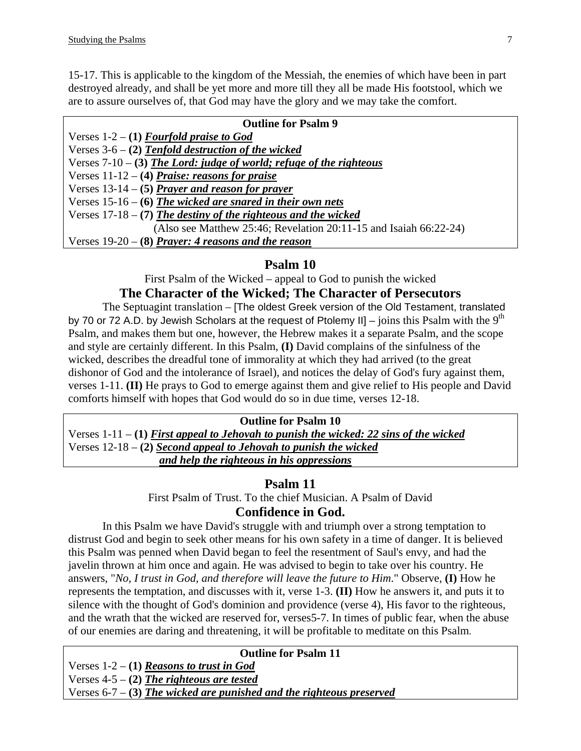15-17. This is applicable to the kingdom of the Messiah, the enemies of which have been in part destroyed already, and shall be yet more and more till they all be made His footstool, which we are to assure ourselves of, that God may have the glory and we may take the comfort.

| <b>Outline for Psalm 9</b>                                            |
|-----------------------------------------------------------------------|
| Verses $1-2 - (1)$ Fourfold praise to God                             |
| Verses $3-6 - (2)$ Tenfold destruction of the wicked                  |
| Verses $7-10 - (3)$ The Lord: judge of world; refuge of the righteous |
| Verses $11-12 - (4)$ Praise: reasons for praise                       |
| Verses $13-14$ – (5) Prayer and reason for prayer                     |
| Verses $15-16 - (6)$ The wicked are snared in their own nets          |
| Verses $17-18 - (7)$ The destiny of the righteous and the wicked      |
| (Also see Matthew 25:46; Revelation 20:11-15 and Isaiah $66:22-24$ )  |
| Verses $19-20$ – (8) Prayer: 4 reasons and the reason                 |

## **Psalm 10**

First Psalm of the Wicked – appeal to God to punish the wicked

# **The Character of the Wicked; The Character of Persecutors**

The Septuagint translation – [The oldest Greek version of the Old Testament, translated by 70 or 72 A.D. by Jewish Scholars at the request of Ptolemy II] – joins this Psalm with the  $9<sup>th</sup>$ Psalm, and makes them but one, however, the Hebrew makes it a separate Psalm, and the scope and style are certainly different. In this Psalm, **(I)** David complains of the sinfulness of the wicked, describes the dreadful tone of immorality at which they had arrived (to the great dishonor of God and the intolerance of Israel), and notices the delay of God's fury against them, verses 1-11. **(II)** He prays to God to emerge against them and give relief to His people and David comforts himself with hopes that God would do so in due time, verses 12-18.

#### **Outline for Psalm 10**

Verses 1-11 – **(1)** *First appeal to Jehovah to punish the wicked: 22 sins of the wicked* Verses 12-18 – **(2)** *Second appeal to Jehovah to punish the wicked and help the righteous in his oppressions*

### **Psalm 11**

First Psalm of Trust. To the chief Musician. A Psalm of David **Confidence in God.** 

In this Psalm we have David's struggle with and triumph over a strong temptation to distrust God and begin to seek other means for his own safety in a time of danger. It is believed this Psalm was penned when David began to feel the resentment of Saul's envy, and had the javelin thrown at him once and again. He was advised to begin to take over his country. He answers, "*No, I trust in God, and therefore will leave the future to Him*." Observe, **(I)** How he represents the temptation, and discusses with it, verse 1-3. **(II)** How he answers it, and puts it to silence with the thought of God's dominion and providence (verse 4), His favor to the righteous, and the wrath that the wicked are reserved for, verses5-7. In times of public fear, when the abuse of our enemies are daring and threatening, it will be profitable to meditate on this Psalm.

#### **Outline for Psalm 11**

Verses 1-2 – **(1)** *Reasons to trust in God* Verses 4-5 – **(2)** *The righteous are tested* Verses 6-7 – **(3)** *The wicked are punished and the righteous preserved*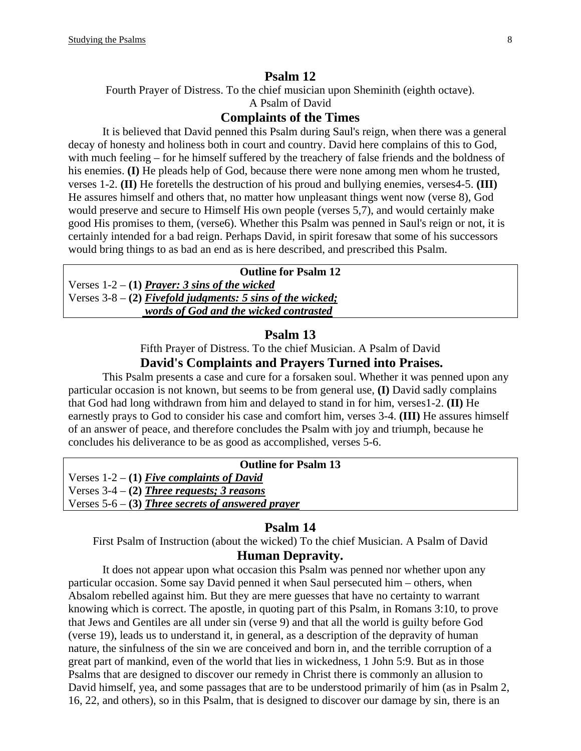#### **Psalm 12**

Fourth Prayer of Distress. To the chief musician upon Sheminith (eighth octave).

A Psalm of David

### **Complaints of the Times**

It is believed that David penned this Psalm during Saul's reign, when there was a general decay of honesty and holiness both in court and country. David here complains of this to God, with much feeling – for he himself suffered by the treachery of false friends and the boldness of his enemies. **(I)** He pleads help of God, because there were none among men whom he trusted, verses 1-2. **(II)** He foretells the destruction of his proud and bullying enemies, verses4-5. **(III)** He assures himself and others that, no matter how unpleasant things went now (verse 8), God would preserve and secure to Himself His own people (verses 5,7), and would certainly make good His promises to them, (verse6). Whether this Psalm was penned in Saul's reign or not, it is certainly intended for a bad reign. Perhaps David, in spirit foresaw that some of his successors would bring things to as bad an end as is here described, and prescribed this Psalm.

#### **Outline for Psalm 12**

Verses 1-2 – **(1)** *Prayer: 3 sins of the wicked* Verses 3-8 – **(2)** *Fivefold judgments: 5 sins of the wicked; words of God and the wicked contrasted*

### **Psalm 13**

Fifth Prayer of Distress. To the chief Musician. A Psalm of David **David's Complaints and Prayers Turned into Praises.** 

This Psalm presents a case and cure for a forsaken soul. Whether it was penned upon any particular occasion is not known, but seems to be from general use, **(I)** David sadly complains that God had long withdrawn from him and delayed to stand in for him, verses1-2. **(II)** He earnestly prays to God to consider his case and comfort him, verses 3-4. **(III)** He assures himself of an answer of peace, and therefore concludes the Psalm with joy and triumph, because he concludes his deliverance to be as good as accomplished, verses 5-6.

| <b>Outline for Psalm 13</b>                         |  |
|-----------------------------------------------------|--|
| Verses $1-2 - (1)$ Five complaints of David         |  |
| Verses $3-4 - (2)$ Three requests; 3 reasons        |  |
| Verses $5-6$ – (3) Three secrets of answered prayer |  |

## **Psalm 14**

First Psalm of Instruction (about the wicked) To the chief Musician. A Psalm of David

# **Human Depravity.**

It does not appear upon what occasion this Psalm was penned nor whether upon any particular occasion. Some say David penned it when Saul persecuted him – others, when Absalom rebelled against him. But they are mere guesses that have no certainty to warrant knowing which is correct. The apostle, in quoting part of this Psalm, in Romans 3:10, to prove that Jews and Gentiles are all under sin (verse 9) and that all the world is guilty before God (verse 19), leads us to understand it, in general, as a description of the depravity of human nature, the sinfulness of the sin we are conceived and born in, and the terrible corruption of a great part of mankind, even of the world that lies in wickedness, 1 John 5:9. But as in those Psalms that are designed to discover our remedy in Christ there is commonly an allusion to David himself, yea, and some passages that are to be understood primarily of him (as in Psalm 2, 16, 22, and others), so in this Psalm, that is designed to discover our damage by sin, there is an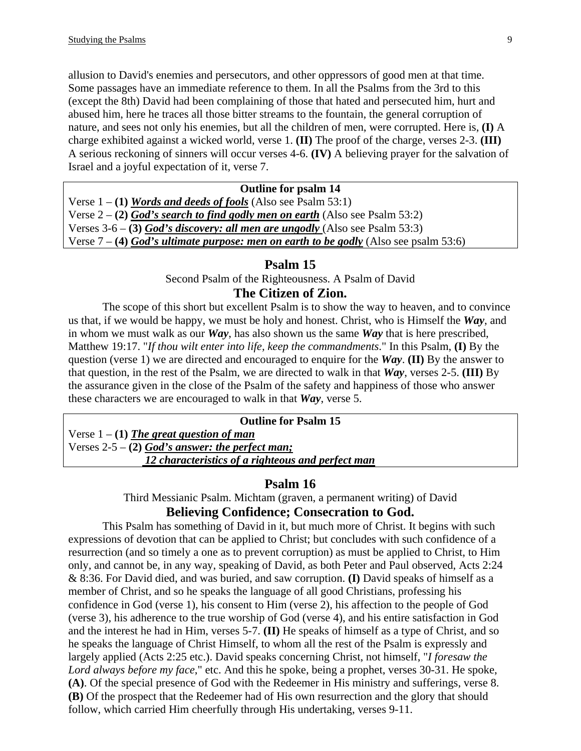allusion to David's enemies and persecutors, and other oppressors of good men at that time. Some passages have an immediate reference to them. In all the Psalms from the 3rd to this (except the 8th) David had been complaining of those that hated and persecuted him, hurt and abused him, here he traces all those bitter streams to the fountain, the general corruption of nature, and sees not only his enemies, but all the children of men, were corrupted. Here is, **(I)** A charge exhibited against a wicked world, verse 1. **(II)** The proof of the charge, verses 2-3. **(III)** A serious reckoning of sinners will occur verses 4-6. **(IV)** A believing prayer for the salvation of Israel and a joyful expectation of it, verse 7.

#### **Outline for psalm 14**

Verse 1 – **(1)** *Words and deeds of fools* (Also see Psalm 53:1) Verse 2 – **(2)** *God's search to find godly men on earth* (Also see Psalm 53:2) Verses 3-6 – **(3)** *God's discovery: all men are ungodly* (Also see Psalm 53:3) Verse 7 – **(4)** *God's ultimate purpose: men on earth to be godly* (Also see psalm 53:6)

#### **Psalm 15**

Second Psalm of the Righteousness. A Psalm of David

# **The Citizen of Zion.**

The scope of this short but excellent Psalm is to show the way to heaven, and to convince us that, if we would be happy, we must be holy and honest. Christ, who is Himself the *Way*, and in whom we must walk as our *Way*, has also shown us the same *Way* that is here prescribed, Matthew 19:17. "*If thou wilt enter into life, keep the commandments*." In this Psalm, **(I)** By the question (verse 1) we are directed and encouraged to enquire for the *Way*. **(II)** By the answer to that question, in the rest of the Psalm, we are directed to walk in that *Way*, verses 2-5. **(III)** By the assurance given in the close of the Psalm of the safety and happiness of those who answer these characters we are encouraged to walk in that *Way*, verse 5.

**Outline for Psalm 15**  Verse 1 – **(1)** *The great question of man* Verses 2-5 – **(2)** *God's answer: the perfect man; 12 characteristics of a righteous and perfect man*

#### **Psalm 16**

Third Messianic Psalm. Michtam (graven, a permanent writing) of David **Believing Confidence; Consecration to God.** 

This Psalm has something of David in it, but much more of Christ. It begins with such expressions of devotion that can be applied to Christ; but concludes with such confidence of a resurrection (and so timely a one as to prevent corruption) as must be applied to Christ, to Him only, and cannot be, in any way, speaking of David, as both Peter and Paul observed, Acts 2:24 & 8:36. For David died, and was buried, and saw corruption. **(I)** David speaks of himself as a member of Christ, and so he speaks the language of all good Christians, professing his confidence in God (verse 1), his consent to Him (verse 2), his affection to the people of God (verse 3), his adherence to the true worship of God (verse 4), and his entire satisfaction in God and the interest he had in Him, verses 5-7. **(II)** He speaks of himself as a type of Christ, and so he speaks the language of Christ Himself, to whom all the rest of the Psalm is expressly and largely applied (Acts 2:25 etc.). David speaks concerning Christ, not himself, "*I foresaw the Lord always before my face*," etc. And this he spoke, being a prophet, verses 30-31. He spoke, **(A)**. Of the special presence of God with the Redeemer in His ministry and sufferings, verse 8. **(B)** Of the prospect that the Redeemer had of His own resurrection and the glory that should follow, which carried Him cheerfully through His undertaking, verses 9-11.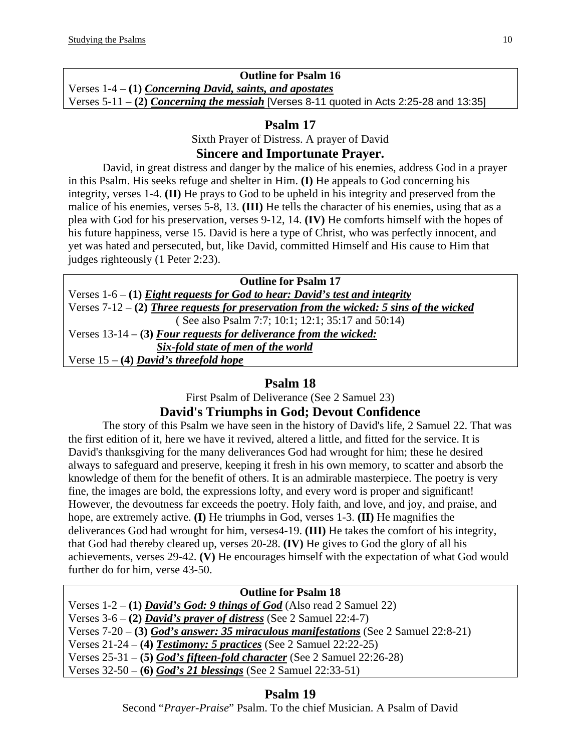# **Outline for Psalm 16**

Verses 1-4 – **(1)** *Concerning David, saints, and apostates* Verses 5-11 – **(2)** *Concerning the messiah* [Verses 8-11 quoted in Acts 2:25-28 and 13:35]

## **Psalm 17**

Sixth Prayer of Distress. A prayer of David

## **Sincere and Importunate Prayer.**

David, in great distress and danger by the malice of his enemies, address God in a prayer in this Psalm. His seeks refuge and shelter in Him. **(I)** He appeals to God concerning his integrity, verses 1-4. **(II)** He prays to God to be upheld in his integrity and preserved from the malice of his enemies, verses 5-8, 13. **(III)** He tells the character of his enemies, using that as a plea with God for his preservation, verses 9-12, 14. **(IV)** He comforts himself with the hopes of his future happiness, verse 15. David is here a type of Christ, who was perfectly innocent, and yet was hated and persecuted, but, like David, committed Himself and His cause to Him that judges righteously (1 Peter 2:23).

| <b>Outline for Psalm 17</b>                                                             |
|-----------------------------------------------------------------------------------------|
| Verses $1-6 - (1)$ Eight requests for God to hear: David's test and integrity           |
| Verses 7-12 - (2) Three requests for preservation from the wicked: 5 sins of the wicked |
| (See also Psalm 7:7; 10:1; 12:1; 35:17 and 50:14)                                       |
| Verses $13-14 - (3)$ Four requests for deliverance from the wicked:                     |
| Six-fold state of men of the world                                                      |
| Verse $15 - (4)$ David's threefold hope                                                 |

# **Psalm 18**

First Psalm of Deliverance (See 2 Samuel 23)

# **David's Triumphs in God; Devout Confidence**

The story of this Psalm we have seen in the history of David's life, 2 Samuel 22. That was the first edition of it, here we have it revived, altered a little, and fitted for the service. It is David's thanksgiving for the many deliverances God had wrought for him; these he desired always to safeguard and preserve, keeping it fresh in his own memory, to scatter and absorb the knowledge of them for the benefit of others. It is an admirable masterpiece. The poetry is very fine, the images are bold, the expressions lofty, and every word is proper and significant! However, the devoutness far exceeds the poetry. Holy faith, and love, and joy, and praise, and hope, are extremely active. **(I)** He triumphs in God, verses 1-3. **(II)** He magnifies the deliverances God had wrought for him, verses4-19. **(III)** He takes the comfort of his integrity, that God had thereby cleared up, verses 20-28. **(IV)** He gives to God the glory of all his achievements, verses 29-42. **(V)** He encourages himself with the expectation of what God would further do for him, verse 43-50.

| <b>Outline for Psalm 18</b>                                                           |
|---------------------------------------------------------------------------------------|
| Verses $1-2 - (1)$ <i>David's God: 9 things of God</i> (Also read 2 Samuel 22)        |
| Verses $3-6 - (2)$ <i>David's prayer of distress</i> (See 2 Samuel 22:4-7)            |
| Verses $7-20$ – (3) God's answer: 35 miraculous manifestations (See 2 Samuel 22:8-21) |
| Verses $21-24 - (4)$ Testimony: 5 practices (See 2 Samuel 22:22-25)                   |
| Verses $25-31 - (5)$ God's fifteen-fold character (See 2 Samuel 22:26-28)             |
| Verses $32-50 - (6)$ God's 21 blessings (See 2 Samuel 22:33-51)                       |

# **Psalm 19**

Second "*Prayer-Praise*" Psalm. To the chief Musician. A Psalm of David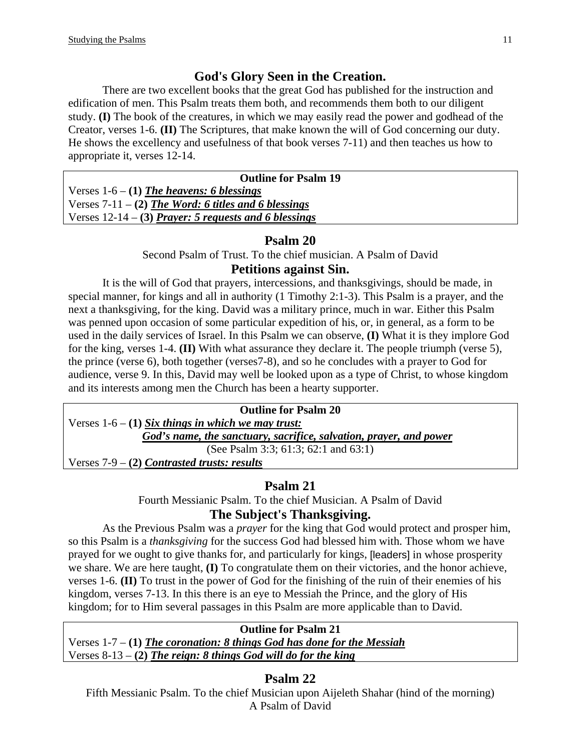# **God's Glory Seen in the Creation.**

There are two excellent books that the great God has published for the instruction and edification of men. This Psalm treats them both, and recommends them both to our diligent study. **(I)** The book of the creatures, in which we may easily read the power and godhead of the Creator, verses 1-6. **(II)** The Scriptures, that make known the will of God concerning our duty. He shows the excellency and usefulness of that book verses 7-11) and then teaches us how to appropriate it, verses 12-14.

| <b>Outline for Psalm 19</b>                             |
|---------------------------------------------------------|
| Verses $1-6 - (1)$ The heavens: 6 blessings             |
| Verses $7-11 - (2)$ The Word: 6 titles and 6 blessings  |
| Verses $12-14$ – (3) Prayer: 5 requests and 6 blessings |

# **Psalm 20**

Second Psalm of Trust. To the chief musician. A Psalm of David

## **Petitions against Sin.**

It is the will of God that prayers, intercessions, and thanksgivings, should be made, in special manner, for kings and all in authority (1 Timothy 2:1-3). This Psalm is a prayer, and the next a thanksgiving, for the king. David was a military prince, much in war. Either this Psalm was penned upon occasion of some particular expedition of his, or, in general, as a form to be used in the daily services of Israel. In this Psalm we can observe, **(I)** What it is they implore God for the king, verses 1-4. **(II)** With what assurance they declare it. The people triumph (verse 5), the prince (verse 6), both together (verses7-8), and so he concludes with a prayer to God for audience, verse 9. In this, David may well be looked upon as a type of Christ, to whose kingdom and its interests among men the Church has been a hearty supporter.

| <b>Outline for Psalm 20</b>                                        |
|--------------------------------------------------------------------|
| Verses $1-6 - (1)$ Six things in which we may trust:               |
| God's name, the sanctuary, sacrifice, salvation, prayer, and power |
| (See Psalm 3:3; 61:3; 62:1 and 63:1)                               |
| Verses $7-9 - (2)$ Contrasted trusts: results                      |

# **Psalm 21**

Fourth Messianic Psalm. To the chief Musician. A Psalm of David

# **The Subject's Thanksgiving.**

As the Previous Psalm was a *prayer* for the king that God would protect and prosper him, so this Psalm is a *thanksgiving* for the success God had blessed him with. Those whom we have prayed for we ought to give thanks for, and particularly for kings, [leaders] in whose prosperity we share. We are here taught, **(I)** To congratulate them on their victories, and the honor achieve, verses 1-6. **(II)** To trust in the power of God for the finishing of the ruin of their enemies of his kingdom, verses 7-13. In this there is an eye to Messiah the Prince, and the glory of His kingdom; for to Him several passages in this Psalm are more applicable than to David.

### **Outline for Psalm 21**

Verses 1-7 – **(1)** *The coronation: 8 things God has done for the Messiah* Verses 8-13 – **(2)** *The reign: 8 things God will do for the king*

# **Psalm 22**

Fifth Messianic Psalm. To the chief Musician upon Aijeleth Shahar (hind of the morning) A Psalm of David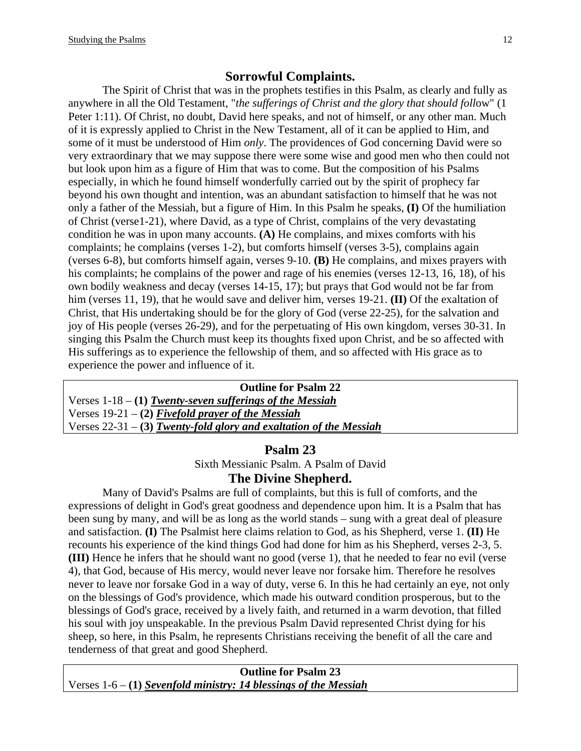## **Sorrowful Complaints.**

The Spirit of Christ that was in the prophets testifies in this Psalm, as clearly and fully as anywhere in all the Old Testament, "*the sufferings of Christ and the glory that should foll*ow" (1 Peter 1:11). Of Christ, no doubt, David here speaks, and not of himself, or any other man. Much of it is expressly applied to Christ in the New Testament, all of it can be applied to Him, and some of it must be understood of Him *only*. The providences of God concerning David were so very extraordinary that we may suppose there were some wise and good men who then could not but look upon him as a figure of Him that was to come. But the composition of his Psalms especially, in which he found himself wonderfully carried out by the spirit of prophecy far beyond his own thought and intention, was an abundant satisfaction to himself that he was not only a father of the Messiah, but a figure of Him. In this Psalm he speaks, **(I)** Of the humiliation of Christ (verse1-21), where David, as a type of Christ, complains of the very devastating condition he was in upon many accounts. **(A)** He complains, and mixes comforts with his complaints; he complains (verses 1-2), but comforts himself (verses 3-5), complains again (verses 6-8), but comforts himself again, verses 9-10. **(B)** He complains, and mixes prayers with his complaints; he complains of the power and rage of his enemies (verses 12-13, 16, 18), of his own bodily weakness and decay (verses 14-15, 17); but prays that God would not be far from him (verses 11, 19), that he would save and deliver him, verses 19-21. **(II)** Of the exaltation of Christ, that His undertaking should be for the glory of God (verse 22-25), for the salvation and joy of His people (verses 26-29), and for the perpetuating of His own kingdom, verses 30-31. In singing this Psalm the Church must keep its thoughts fixed upon Christ, and be so affected with His sufferings as to experience the fellowship of them, and so affected with His grace as to experience the power and influence of it.

**Outline for Psalm 22**  Verses 1-18 – **(1)** *Twenty-seven sufferings of the Messiah* Verses 19-21 – **(2)** *Fivefold prayer of the Messiah* Verses 22-31 – **(3)** *Twenty-fold glory and exaltation of the Messiah*

### **Psalm 23**

Sixth Messianic Psalm. A Psalm of David

### **The Divine Shepherd.**

Many of David's Psalms are full of complaints, but this is full of comforts, and the expressions of delight in God's great goodness and dependence upon him. It is a Psalm that has been sung by many, and will be as long as the world stands – sung with a great deal of pleasure and satisfaction. **(I)** The Psalmist here claims relation to God, as his Shepherd, verse 1. **(II)** He recounts his experience of the kind things God had done for him as his Shepherd, verses 2-3, 5. **(III)** Hence he infers that he should want no good (verse 1), that he needed to fear no evil (verse 4), that God, because of His mercy, would never leave nor forsake him. Therefore he resolves never to leave nor forsake God in a way of duty, verse 6. In this he had certainly an eye, not only on the blessings of God's providence, which made his outward condition prosperous, but to the blessings of God's grace, received by a lively faith, and returned in a warm devotion, that filled his soul with joy unspeakable. In the previous Psalm David represented Christ dying for his sheep, so here, in this Psalm, he represents Christians receiving the benefit of all the care and tenderness of that great and good Shepherd.

**Outline for Psalm 23**  Verses 1-6 – **(1)** *Sevenfold ministry: 14 blessings of the Messiah*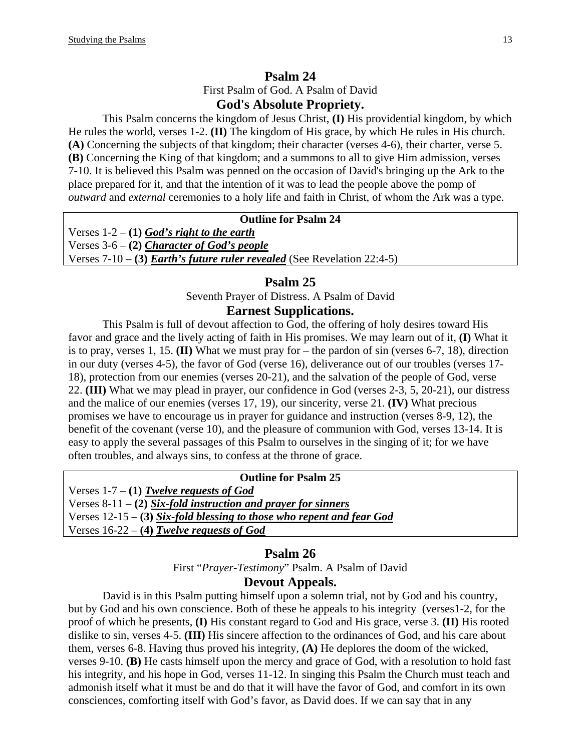# **Psalm 24**  First Psalm of God. A Psalm of David **God's Absolute Propriety.**

This Psalm concerns the kingdom of Jesus Christ, **(I)** His providential kingdom, by which He rules the world, verses 1-2. **(II)** The kingdom of His grace, by which He rules in His church. **(A)** Concerning the subjects of that kingdom; their character (verses 4-6), their charter, verse 5. **(B)** Concerning the King of that kingdom; and a summons to all to give Him admission, verses 7-10. It is believed this Psalm was penned on the occasion of David's bringing up the Ark to the place prepared for it, and that the intention of it was to lead the people above the pomp of *outward* and *external* ceremonies to a holy life and faith in Christ, of whom the Ark was a type.

## **Outline for Psalm 24**

Verses 1-2 – **(1)** *God's right to the earth* Verses 3-6 – **(2)** *Character of God's people* Verses 7-10 – **(3)** *Earth's future ruler revealed* (See Revelation 22:4-5)

#### **Psalm 25**

Seventh Prayer of Distress. A Psalm of David

#### **Earnest Supplications.**

This Psalm is full of devout affection to God, the offering of holy desires toward His favor and grace and the lively acting of faith in His promises. We may learn out of it, **(I)** What it is to pray, verses 1, 15. **(II)** What we must pray for – the pardon of sin (verses 6-7, 18), direction in our duty (verses 4-5), the favor of God (verse 16), deliverance out of our troubles (verses 17- 18), protection from our enemies (verses 20-21), and the salvation of the people of God, verse 22. **(III)** What we may plead in prayer, our confidence in God (verses 2-3, 5, 20-21), our distress and the malice of our enemies (verses 17, 19), our sincerity, verse 21. **(IV)** What precious promises we have to encourage us in prayer for guidance and instruction (verses 8-9, 12), the benefit of the covenant (verse 10), and the pleasure of communion with God, verses 13-14. It is easy to apply the several passages of this Psalm to ourselves in the singing of it; for we have often troubles, and always sins, to confess at the throne of grace.

#### **Outline for Psalm 25**

Verses 1-7 – **(1)** *Twelve requests of God* Verses 8-11 – **(2)** *Six-fold instruction and prayer for sinners* Verses 12-15 – **(3)** *Six-fold blessing to those who repent and fear God* Verses 16-22 – **(4)** *Twelve requests of God*

#### **Psalm 26**

First "*Prayer-Testimony*" Psalm. A Psalm of David

#### **Devout Appeals.**

David is in this Psalm putting himself upon a solemn trial, not by God and his country, but by God and his own conscience. Both of these he appeals to his integrity (verses1-2, for the proof of which he presents, **(I)** His constant regard to God and His grace, verse 3. **(II)** His rooted dislike to sin, verses 4-5. **(III)** His sincere affection to the ordinances of God, and his care about them, verses 6-8. Having thus proved his integrity, **(A)** He deplores the doom of the wicked, verses 9-10. **(B)** He casts himself upon the mercy and grace of God, with a resolution to hold fast his integrity, and his hope in God, verses 11-12. In singing this Psalm the Church must teach and admonish itself what it must be and do that it will have the favor of God, and comfort in its own consciences, comforting itself with God's favor, as David does. If we can say that in any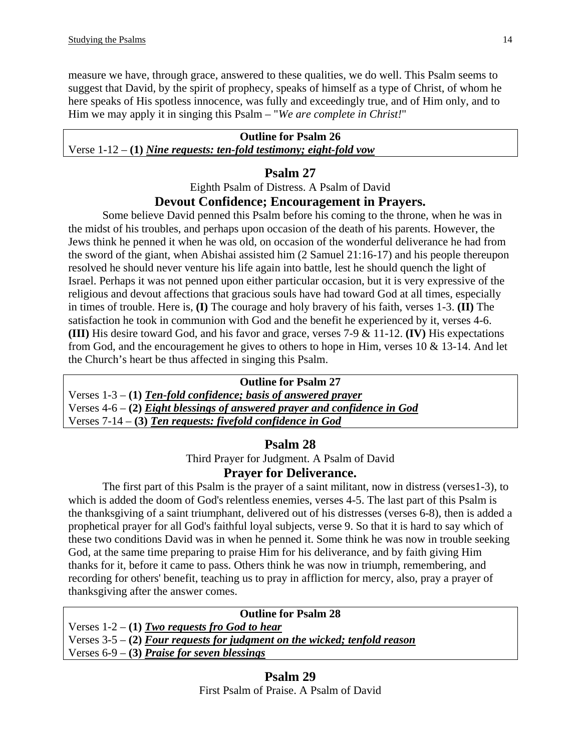measure we have, through grace, answered to these qualities, we do well. This Psalm seems to suggest that David, by the spirit of prophecy, speaks of himself as a type of Christ, of whom he here speaks of His spotless innocence, was fully and exceedingly true, and of Him only, and to Him we may apply it in singing this Psalm – "*We are complete in Christ!*"

#### **Outline for Psalm 26**

### Verse 1-12 – **(1)** *Nine requests: ten-fold testimony; eight-fold vow*

## **Psalm 27**

Eighth Psalm of Distress. A Psalm of David

### **Devout Confidence; Encouragement in Prayers.**

Some believe David penned this Psalm before his coming to the throne, when he was in the midst of his troubles, and perhaps upon occasion of the death of his parents. However, the Jews think he penned it when he was old, on occasion of the wonderful deliverance he had from the sword of the giant, when Abishai assisted him (2 Samuel 21:16-17) and his people thereupon resolved he should never venture his life again into battle, lest he should quench the light of Israel. Perhaps it was not penned upon either particular occasion, but it is very expressive of the religious and devout affections that gracious souls have had toward God at all times, especially in times of trouble. Here is, **(I)** The courage and holy bravery of his faith, verses 1-3. **(II)** The satisfaction he took in communion with God and the benefit he experienced by it, verses 4-6. **(III)** His desire toward God, and his favor and grace, verses 7-9 & 11-12. **(IV)** His expectations from God, and the encouragement he gives to others to hope in Him, verses 10 & 13-14. And let the Church's heart be thus affected in singing this Psalm.

#### **Outline for Psalm 27**

Verses 1-3 – **(1)** *Ten-fold confidence; basis of answered prayer* Verses 4-6 – **(2)** *Eight blessings of answered prayer and confidence in God* Verses 7-14 – **(3)** *Ten requests: fivefold confidence in God*

# **Psalm 28**

Third Prayer for Judgment. A Psalm of David **Prayer for Deliverance.** 

The first part of this Psalm is the prayer of a saint militant, now in distress (verses1-3), to which is added the doom of God's relentless enemies, verses 4-5. The last part of this Psalm is the thanksgiving of a saint triumphant, delivered out of his distresses (verses 6-8), then is added a prophetical prayer for all God's faithful loyal subjects, verse 9. So that it is hard to say which of these two conditions David was in when he penned it. Some think he was now in trouble seeking God, at the same time preparing to praise Him for his deliverance, and by faith giving Him thanks for it, before it came to pass. Others think he was now in triumph, remembering, and recording for others' benefit, teaching us to pray in affliction for mercy, also, pray a prayer of thanksgiving after the answer comes.

| <b>Outline for Psalm 28</b>                                                |  |
|----------------------------------------------------------------------------|--|
| Verses $1-2 - (1)$ Two requests fro God to hear                            |  |
| Verses $3-5-$ (2) Four requests for judgment on the wicked; tenfold reason |  |
| Verses $6-9$ – (3) Praise for seven blessings                              |  |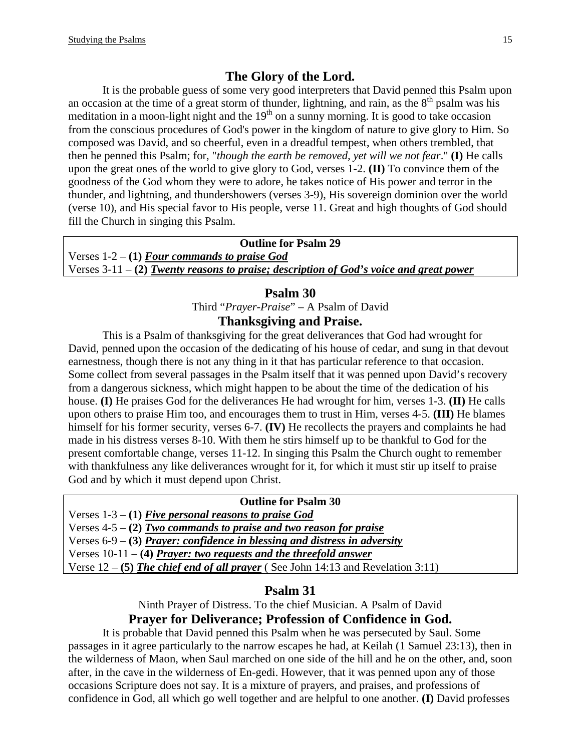# **The Glory of the Lord.**

It is the probable guess of some very good interpreters that David penned this Psalm upon an occasion at the time of a great storm of thunder, lightning, and rain, as the  $8<sup>th</sup>$  psalm was his meditation in a moon-light night and the  $19<sup>th</sup>$  on a sunny morning. It is good to take occasion from the conscious procedures of God's power in the kingdom of nature to give glory to Him. So composed was David, and so cheerful, even in a dreadful tempest, when others trembled, that then he penned this Psalm; for, "*though the earth be removed, yet will we not fear*." **(I)** He calls upon the great ones of the world to give glory to God, verses 1-2. **(II)** To convince them of the goodness of the God whom they were to adore, he takes notice of His power and terror in the thunder, and lightning, and thundershowers (verses 3-9), His sovereign dominion over the world (verse 10), and His special favor to His people, verse 11. Great and high thoughts of God should fill the Church in singing this Psalm.

**Outline for Psalm 29**  Verses 1-2 – **(1)** *Four commands to praise God* Verses 3-11 – **(2)** *Twenty reasons to praise; description of God's voice and great power*

#### **Psalm 30**

Third "*Prayer-Praise*" – A Psalm of David

### **Thanksgiving and Praise.**

This is a Psalm of thanksgiving for the great deliverances that God had wrought for David, penned upon the occasion of the dedicating of his house of cedar, and sung in that devout earnestness, though there is not any thing in it that has particular reference to that occasion. Some collect from several passages in the Psalm itself that it was penned upon David's recovery from a dangerous sickness, which might happen to be about the time of the dedication of his house. **(I)** He praises God for the deliverances He had wrought for him, verses 1-3. **(II)** He calls upon others to praise Him too, and encourages them to trust in Him, verses 4-5. **(III)** He blames himself for his former security, verses 6-7. **(IV)** He recollects the prayers and complaints he had made in his distress verses 8-10. With them he stirs himself up to be thankful to God for the present comfortable change, verses 11-12. In singing this Psalm the Church ought to remember with thankfulness any like deliverances wrought for it, for which it must stir up itself to praise God and by which it must depend upon Christ.

#### **Outline for Psalm 30**

Verses 1-3 – **(1)** *Five personal reasons to praise God*

Verses 4-5 – **(2)** *Two commands to praise and two reason for praise*

Verses 6-9 – **(3)** *Prayer: confidence in blessing and distress in adversity*

Verses 10-11 – **(4)** *Prayer: two requests and the threefold answer*

Verse 12 – **(5)** *The chief end of all prayer* ( See John 14:13 and Revelation 3:11)

#### **Psalm 31**

Ninth Prayer of Distress. To the chief Musician. A Psalm of David

### **Prayer for Deliverance; Profession of Confidence in God.**

It is probable that David penned this Psalm when he was persecuted by Saul. Some passages in it agree particularly to the narrow escapes he had, at Keilah (1 Samuel 23:13), then in the wilderness of Maon, when Saul marched on one side of the hill and he on the other, and, soon after, in the cave in the wilderness of En-gedi. However, that it was penned upon any of those occasions Scripture does not say. It is a mixture of prayers, and praises, and professions of confidence in God, all which go well together and are helpful to one another. **(I)** David professes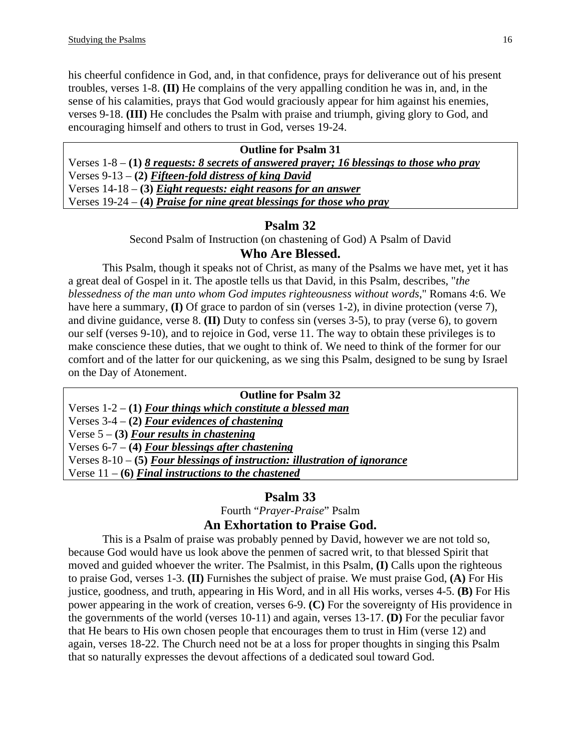his cheerful confidence in God, and, in that confidence, prays for deliverance out of his present troubles, verses 1-8. **(II)** He complains of the very appalling condition he was in, and, in the sense of his calamities, prays that God would graciously appear for him against his enemies, verses 9-18. **(III)** He concludes the Psalm with praise and triumph, giving glory to God, and encouraging himself and others to trust in God, verses 19-24.

| <b>Outline for Psalm 31</b>                                                             |
|-----------------------------------------------------------------------------------------|
| Verses $1-8-1$ 8 requests: 8 secrets of answered prayer; 16 blessings to those who pray |
| Verses $9-13 - (2)$ Fifteen-fold distress of king David                                 |
| Verses $14-18 - (3)$ Eight requests: eight reasons for an answer                        |
| Verses $19-24 - (4)$ Praise for nine great blessings for those who pray                 |
|                                                                                         |

## **Psalm 32**

Second Psalm of Instruction (on chastening of God) A Psalm of David

### **Who Are Blessed.**

This Psalm, though it speaks not of Christ, as many of the Psalms we have met, yet it has a great deal of Gospel in it. The apostle tells us that David, in this Psalm, describes, "*the blessedness of the man unto whom God imputes righteousness without words*," Romans 4:6. We have here a summary, **(I)** Of grace to pardon of sin (verses 1-2), in divine protection (verse 7), and divine guidance, verse 8. **(II)** Duty to confess sin (verses 3-5), to pray (verse 6), to govern our self (verses 9-10), and to rejoice in God, verse 11. The way to obtain these privileges is to make conscience these duties, that we ought to think of. We need to think of the former for our comfort and of the latter for our quickening, as we sing this Psalm, designed to be sung by Israel on the Day of Atonement.

### **Outline for Psalm 32**

Verses 1-2 – **(1)** *Four things which constitute a blessed man*

Verses 3-4 – **(2)** *Four evidences of chastening*

Verse 5 – **(3)** *Four results in chastening*

Verses 6-7 – **(4)** *Four blessings after chastening*

Verses 8-10 – **(5)** *Four blessings of instruction: illustration of ignorance*

Verse 11 – **(6)** *Final instructions to the chastened*

# **Psalm 33**

Fourth "*Prayer-Praise*" Psalm

### **An Exhortation to Praise God.**

This is a Psalm of praise was probably penned by David, however we are not told so, because God would have us look above the penmen of sacred writ, to that blessed Spirit that moved and guided whoever the writer. The Psalmist, in this Psalm, **(I)** Calls upon the righteous to praise God, verses 1-3. **(II)** Furnishes the subject of praise. We must praise God, **(A)** For His justice, goodness, and truth, appearing in His Word, and in all His works, verses 4-5. **(B)** For His power appearing in the work of creation, verses 6-9. **(C)** For the sovereignty of His providence in the governments of the world (verses 10-11) and again, verses 13-17. **(D)** For the peculiar favor that He bears to His own chosen people that encourages them to trust in Him (verse 12) and again, verses 18-22. The Church need not be at a loss for proper thoughts in singing this Psalm that so naturally expresses the devout affections of a dedicated soul toward God.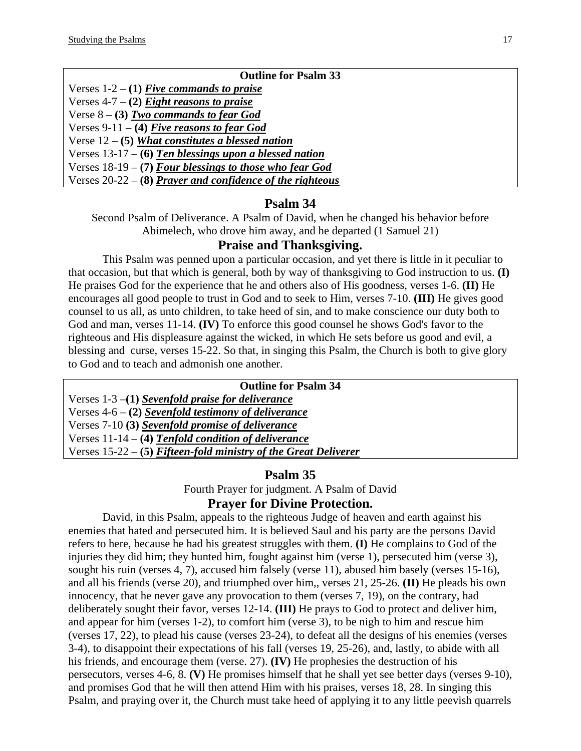| <b>Outline for Psalm 33</b>                                 |
|-------------------------------------------------------------|
| Verses $1-2 - (1)$ Five commands to praise                  |
| Verses $4-7 - (2)$ Eight reasons to praise                  |
| Verse $8 - (3)$ Two commands to fear God                    |
| Verses 9-11 – (4) Five reasons to fear God                  |
| Verse $12 - (5)$ What constitutes a blessed nation          |
| Verses $13-17-6$ ) Ten blessings upon a blessed nation      |
| Verses $18-19 - (7)$ Four blessings to those who fear God   |
| Verses $20-22 - (8)$ Prayer and confidence of the righteous |

## **Psalm 34**

Second Psalm of Deliverance. A Psalm of David, when he changed his behavior before Abimelech, who drove him away, and he departed (1 Samuel 21)

## **Praise and Thanksgiving.**

This Psalm was penned upon a particular occasion, and yet there is little in it peculiar to that occasion, but that which is general, both by way of thanksgiving to God instruction to us. **(I)** He praises God for the experience that he and others also of His goodness, verses 1-6. **(II)** He encourages all good people to trust in God and to seek to Him, verses 7-10. **(III)** He gives good counsel to us all, as unto children, to take heed of sin, and to make conscience our duty both to God and man, verses 11-14. **(IV)** To enforce this good counsel he shows God's favor to the righteous and His displeasure against the wicked, in which He sets before us good and evil, a blessing and curse, verses 15-22. So that, in singing this Psalm, the Church is both to give glory to God and to teach and admonish one another.

| <b>Outline for Psalm 34</b>                                       |
|-------------------------------------------------------------------|
| Verses $1-3$ –(1) Sevenfold praise for deliverance                |
| Verses $4-6 - (2)$ Sevenfold testimony of deliverance             |
| Verses 7-10 (3) Sevenfold promise of deliverance                  |
| Verses $11-14 - (4)$ Tenfold condition of deliverance             |
| Verses $15-22 - (5)$ Fifteen-fold ministry of the Great Deliverer |
|                                                                   |

### **Psalm 35**

Fourth Prayer for judgment. A Psalm of David **Prayer for Divine Protection.** 

David, in this Psalm, appeals to the righteous Judge of heaven and earth against his enemies that hated and persecuted him. It is believed Saul and his party are the persons David refers to here, because he had his greatest struggles with them. **(I)** He complains to God of the injuries they did him; they hunted him, fought against him (verse 1), persecuted him (verse 3), sought his ruin (verses 4, 7), accused him falsely (verse 11), abused him basely (verses 15-16), and all his friends (verse 20), and triumphed over him,, verses 21, 25-26. **(II)** He pleads his own innocency, that he never gave any provocation to them (verses 7, 19), on the contrary, had deliberately sought their favor, verses 12-14. **(III)** He prays to God to protect and deliver him, and appear for him (verses 1-2), to comfort him (verse 3), to be nigh to him and rescue him (verses 17, 22), to plead his cause (verses 23-24), to defeat all the designs of his enemies (verses 3-4), to disappoint their expectations of his fall (verses 19, 25-26), and, lastly, to abide with all his friends, and encourage them (verse. 27). **(IV)** He prophesies the destruction of his persecutors, verses 4-6, 8. **(V)** He promises himself that he shall yet see better days (verses 9-10), and promises God that he will then attend Him with his praises, verses 18, 28. In singing this Psalm, and praying over it, the Church must take heed of applying it to any little peevish quarrels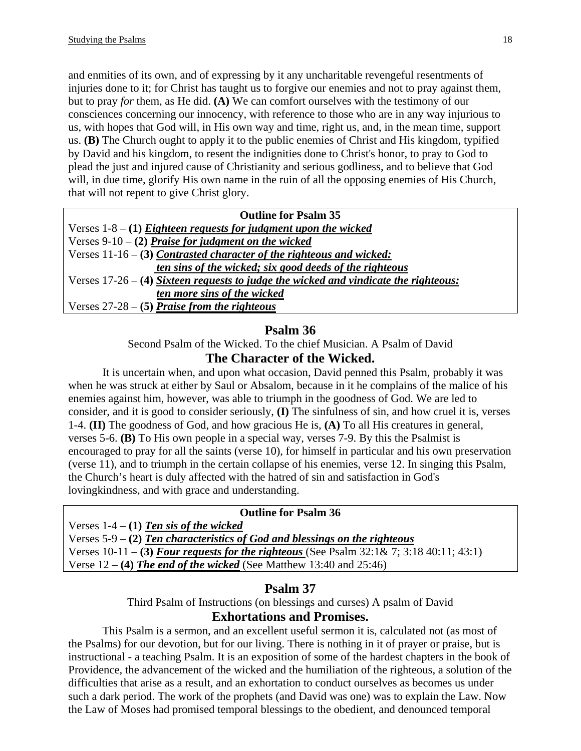and enmities of its own, and of expressing by it any uncharitable revengeful resentments of injuries done to it; for Christ has taught us to forgive our enemies and not to pray a*g*ainst them, but to pray *for* them, as He did. **(A)** We can comfort ourselves with the testimony of our consciences concerning our innocency, with reference to those who are in any way injurious to us, with hopes that God will, in His own way and time, right us, and, in the mean time, support us. **(B)** The Church ought to apply it to the public enemies of Christ and His kingdom, typified by David and his kingdom, to resent the indignities done to Christ's honor, to pray to God to plead the just and injured cause of Christianity and serious godliness, and to believe that God will, in due time, glorify His own name in the ruin of all the opposing enemies of His Church, that will not repent to give Christ glory.

| <b>Outline for Psalm 35</b>                                                            |
|----------------------------------------------------------------------------------------|
| Verses $1-8 - (1)$ Eighteen requests for judgment upon the wicked                      |
| Verses $9-10 - (2)$ Praise for judgment on the wicked                                  |
| Verses $11-16 - (3)$ Contrasted character of the righteous and wicked:                 |
| ten sins of the wicked; six good deeds of the righteous                                |
| Verses $17-26 - (4)$ Sixteen requests to judge the wicked and vindicate the righteous: |
| ten more sins of the wicked                                                            |
| Verses $27-28 - (5)$ Praise from the righteous                                         |

## **Psalm 36**

Second Psalm of the Wicked. To the chief Musician. A Psalm of David

## **The Character of the Wicked.**

It is uncertain when, and upon what occasion, David penned this Psalm, probably it was when he was struck at either by Saul or Absalom, because in it he complains of the malice of his enemies against him, however, was able to triumph in the goodness of God. We are led to consider, and it is good to consider seriously, **(I)** The sinfulness of sin, and how cruel it is, verses 1-4. **(II)** The goodness of God, and how gracious He is, **(A)** To all His creatures in general, verses 5-6. **(B)** To His own people in a special way, verses 7-9. By this the Psalmist is encouraged to pray for all the saints (verse 10), for himself in particular and his own preservation (verse 11), and to triumph in the certain collapse of his enemies, verse 12. In singing this Psalm, the Church's heart is duly affected with the hatred of sin and satisfaction in God's lovingkindness, and with grace and understanding.

#### **Outline for Psalm 36**

Verses 1-4 – **(1)** *Ten sis of the wicked*

Verses 5-9 – **(2)** *Ten characteristics of God and blessings on the righteous* Verses 10-11 – **(3)** *Four requests for the righteous* (See Psalm 32:1& 7; 3:18 40:11; 43:1)

Verse 12 – **(4)** *The end of the wicked* (See Matthew 13:40 and 25:46)

# **Psalm 37**

Third Psalm of Instructions (on blessings and curses) A psalm of David

# **Exhortations and Promises.**

This Psalm is a sermon, and an excellent useful sermon it is, calculated not (as most of the Psalms) for our devotion, but for our living. There is nothing in it of prayer or praise, but is instructional - a teaching Psalm. It is an exposition of some of the hardest chapters in the book of Providence, the advancement of the wicked and the humiliation of the righteous, a solution of the difficulties that arise as a result, and an exhortation to conduct ourselves as becomes us under such a dark period. The work of the prophets (and David was one) was to explain the Law. Now the Law of Moses had promised temporal blessings to the obedient, and denounced temporal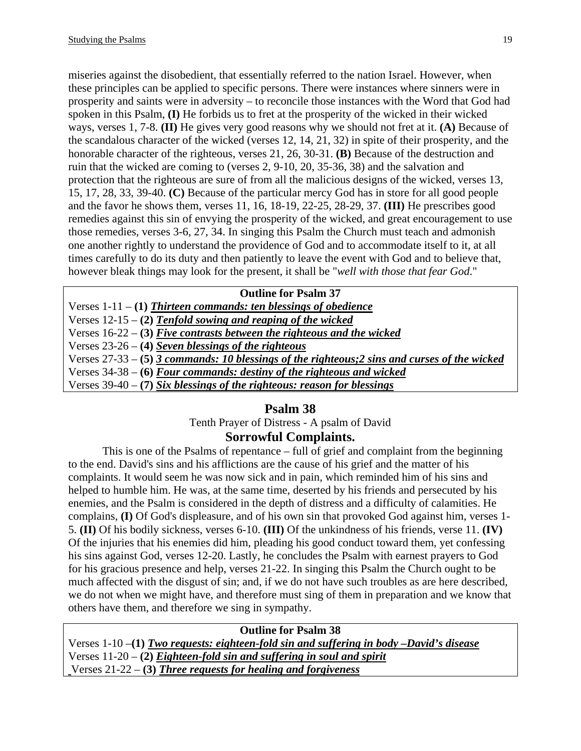miseries against the disobedient, that essentially referred to the nation Israel. However, when these principles can be applied to specific persons. There were instances where sinners were in prosperity and saints were in adversity – to reconcile those instances with the Word that God had spoken in this Psalm, **(I)** He forbids us to fret at the prosperity of the wicked in their wicked ways, verses 1, 7-8. **(II)** He gives very good reasons why we should not fret at it. **(A)** Because of the scandalous character of the wicked (verses 12, 14, 21, 32) in spite of their prosperity, and the honorable character of the righteous, verses 21, 26, 30-31. **(B)** Because of the destruction and ruin that the wicked are coming to (verses 2, 9-10, 20, 35-36, 38) and the salvation and protection that the righteous are sure of from all the malicious designs of the wicked, verses 13, 15, 17, 28, 33, 39-40. **(C)** Because of the particular mercy God has in store for all good people and the favor he shows them, verses 11, 16, 18-19, 22-25, 28-29, 37. **(III)** He prescribes good remedies against this sin of envying the prosperity of the wicked, and great encouragement to use those remedies, verses 3-6, 27, 34. In singing this Psalm the Church must teach and admonish one another rightly to understand the providence of God and to accommodate itself to it, at all times carefully to do its duty and then patiently to leave the event with God and to believe that, however bleak things may look for the present, it shall be "*well with those that fear God*."

#### **Outline for Psalm 37**

Verses 1-11 – **(1)** *Thirteen commands: ten blessings of obedience* Verses 12-15 – **(2)** *Tenfold sowing and reaping of the wicked* Verses 16-22 – **(3)** *Five contrasts between the righteous and the wicked* Verses 23-26 – **(4)** *Seven blessings of the righteous* Verses 27-33 – **(5)** *3 commands: 10 blessings of the righteous;2 sins and curses of the wicked* Verses 34-38 – **(6)** *Four commands: destiny of the righteous and wicked* Verses 39-40 – **(7)** *Six blessings of the righteous: reason for blessings*

### **Psalm 38**

Tenth Prayer of Distress - A psalm of David

# **Sorrowful Complaints.**

This is one of the Psalms of repentance – full of grief and complaint from the beginning to the end. David's sins and his afflictions are the cause of his grief and the matter of his complaints. It would seem he was now sick and in pain, which reminded him of his sins and helped to humble him. He was, at the same time, deserted by his friends and persecuted by his enemies, and the Psalm is considered in the depth of distress and a difficulty of calamities. He complains, **(I)** Of God's displeasure, and of his own sin that provoked God against him, verses 1- 5. **(II)** Of his bodily sickness, verses 6-10. **(III)** Of the unkindness of his friends, verse 11. **(IV)** Of the injuries that his enemies did him, pleading his good conduct toward them, yet confessing his sins against God, verses 12-20. Lastly, he concludes the Psalm with earnest prayers to God for his gracious presence and help, verses 21-22. In singing this Psalm the Church ought to be much affected with the disgust of sin; and, if we do not have such troubles as are here described, we do not when we might have, and therefore must sing of them in preparation and we know that others have them, and therefore we sing in sympathy.

**Outline for Psalm 38**  Verses 1-10 –**(1)** *Two requests: eighteen-fold sin and suffering in body –David's disease* Verses 11-20 – **(2)** *Eighteen-fold sin and suffering in soul and spirit* Verses 21-22 – **(3)** *Three requests for healing and forgiveness*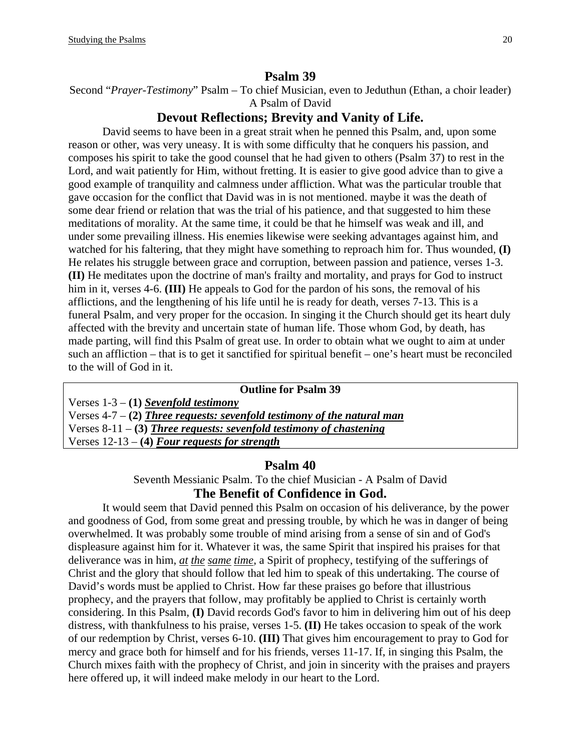#### **Psalm 39**

Second "*Prayer-Testimony*" Psalm – To chief Musician, even to Jeduthun (Ethan, a choir leader) A Psalm of David

## **Devout Reflections; Brevity and Vanity of Life.**

David seems to have been in a great strait when he penned this Psalm, and, upon some reason or other, was very uneasy. It is with some difficulty that he conquers his passion, and composes his spirit to take the good counsel that he had given to others (Psalm 37) to rest in the Lord, and wait patiently for Him, without fretting. It is easier to give good advice than to give a good example of tranquility and calmness under affliction. What was the particular trouble that gave occasion for the conflict that David was in is not mentioned. maybe it was the death of some dear friend or relation that was the trial of his patience, and that suggested to him these meditations of morality. At the same time, it could be that he himself was weak and ill, and under some prevailing illness. His enemies likewise were seeking advantages against him, and watched for his faltering, that they might have something to reproach him for. Thus wounded, **(I)** He relates his struggle between grace and corruption, between passion and patience, verses 1-3. **(II)** He meditates upon the doctrine of man's frailty and mortality, and prays for God to instruct him in it, verses 4-6. **(III)** He appeals to God for the pardon of his sons, the removal of his afflictions, and the lengthening of his life until he is ready for death, verses 7-13. This is a funeral Psalm, and very proper for the occasion. In singing it the Church should get its heart duly affected with the brevity and uncertain state of human life. Those whom God, by death, has made parting, will find this Psalm of great use. In order to obtain what we ought to aim at under such an affliction – that is to get it sanctified for spiritual benefit – one's heart must be reconciled to the will of God in it.

## **Outline for Psalm 39**  Verses 1-3 – **(1)** *Sevenfold testimony* Verses 4-7 – **(2)** *Three requests: sevenfold testimony of the natural man* Verses 8-11 – **(3)** *Three requests: sevenfold testimony of chastening* Verses 12-13 – **(4)** *Four requests for strength*

#### **Psalm 40**

Seventh Messianic Psalm. To the chief Musician - A Psalm of David

### **The Benefit of Confidence in God.**

It would seem that David penned this Psalm on occasion of his deliverance, by the power and goodness of God, from some great and pressing trouble, by which he was in danger of being overwhelmed. It was probably some trouble of mind arising from a sense of sin and of God's displeasure against him for it. Whatever it was, the same Spirit that inspired his praises for that deliverance was in him, *at the same time*, a Spirit of prophecy, testifying of the sufferings of Christ and the glory that should follow that led him to speak of this undertaking. The course of David's words must be applied to Christ. How far these praises go before that illustrious prophecy, and the prayers that follow, may profitably be applied to Christ is certainly worth considering. In this Psalm, **(I)** David records God's favor to him in delivering him out of his deep distress, with thankfulness to his praise, verses 1-5. **(II)** He takes occasion to speak of the work of our redemption by Christ, verses 6-10. **(III)** That gives him encouragement to pray to God for mercy and grace both for himself and for his friends, verses 11-17. If, in singing this Psalm, the Church mixes faith with the prophecy of Christ, and join in sincerity with the praises and prayers here offered up, it will indeed make melody in our heart to the Lord.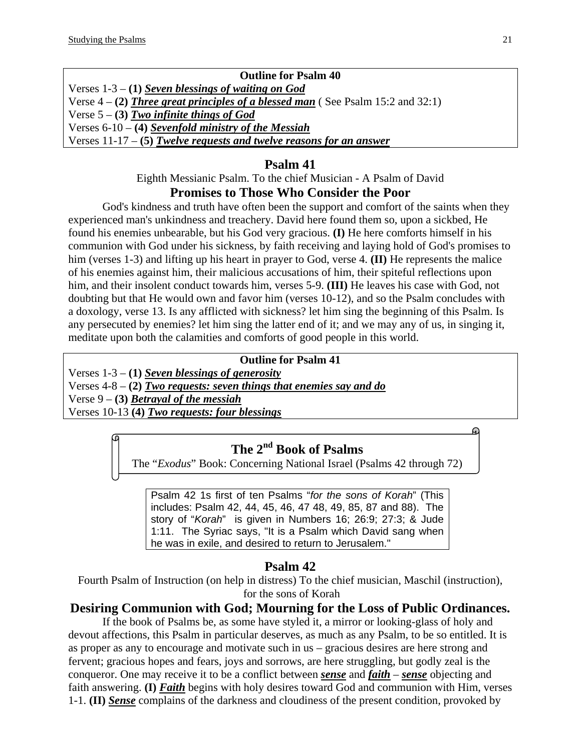## **Outline for Psalm 40**

Verses 1-3 – **(1)** *Seven blessings of waiting on God* Verse 4 – **(2)** *Three great principles of a blessed man* ( See Psalm 15:2 and 32:1) Verse 5 – **(3)** *Two infinite things of God* Verses 6-10 – **(4)** *Sevenfold ministry of the Messiah* Verses 11-17 – **(5)** *Twelve requests and twelve reasons for an answer*

# **Psalm 41**

Eighth Messianic Psalm. To the chief Musician - A Psalm of David **Promises to Those Who Consider the Poor** 

God's kindness and truth have often been the support and comfort of the saints when they experienced man's unkindness and treachery. David here found them so, upon a sickbed, He found his enemies unbearable, but his God very gracious. **(I)** He here comforts himself in his communion with God under his sickness, by faith receiving and laying hold of God's promises to him (verses 1-3) and lifting up his heart in prayer to God, verse 4. **(II)** He represents the malice of his enemies against him, their malicious accusations of him, their spiteful reflections upon him, and their insolent conduct towards him, verses 5-9. **(III)** He leaves his case with God, not doubting but that He would own and favor him (verses 10-12), and so the Psalm concludes with a doxology, verse 13. Is any afflicted with sickness? let him sing the beginning of this Psalm. Is any persecuted by enemies? let him sing the latter end of it; and we may any of us, in singing it, meditate upon both the calamities and comforts of good people in this world.

## **Outline for Psalm 41**

Verses 1-3 – **(1)** *Seven blessings of generosity* Verses 4-8 – **(2)** *Two requests: seven things that enemies say and do* Verse 9 – **(3)** *Betrayal of the messiah* Verses 10-13 **(4)** *Two requests: four blessings*

# **The 2nd Book of Psalms**

The "*Exodus*" Book: Concerning National Israel (Psalms 42 through 72)

Psalm 42 1s first of ten Psalms "*for the sons of Korah*" (This includes: Psalm 42, 44, 45, 46, 47 48, 49, 85, 87 and 88). The story of "*Korah*" is given in Numbers 16; 26:9; 27:3; & Jude 1:11. The Syriac says, "It is a Psalm which David sang when he was in exile, and desired to return to Jerusalem."

# **Psalm 42**

Fourth Psalm of Instruction (on help in distress) To the chief musician, Maschil (instruction), for the sons of Korah

# **Desiring Communion with God; Mourning for the Loss of Public Ordinances.**

If the book of Psalms be, as some have styled it, a mirror or looking-glass of holy and devout affections, this Psalm in particular deserves, as much as any Psalm, to be so entitled. It is as proper as any to encourage and motivate such in us – gracious desires are here strong and fervent; gracious hopes and fears, joys and sorrows, are here struggling, but godly zeal is the conqueror. One may receive it to be a conflict between *sense* and *faith* – *sense* objecting and faith answering. **(I)** *Faith* begins with holy desires toward God and communion with Him, verses 1-1. **(II)** *Sense* complains of the darkness and cloudiness of the present condition, provoked by

ക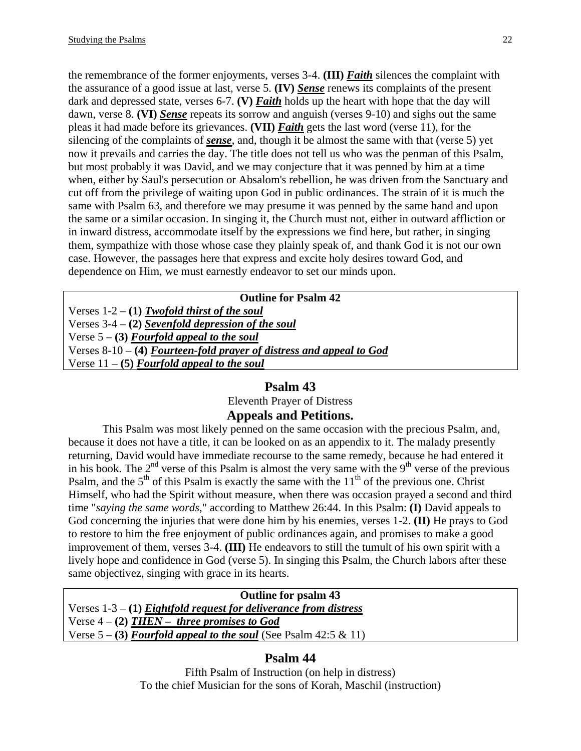the remembrance of the former enjoyments, verses 3-4. **(III)** *Faith* silences the complaint with the assurance of a good issue at last, verse 5. **(IV)** *Sense* renews its complaints of the present dark and depressed state, verses 6-7. **(V)** *Faith* holds up the heart with hope that the day will dawn, verse 8. **(VI)** *Sense* repeats its sorrow and anguish (verses 9-10) and sighs out the same pleas it had made before its grievances. **(VII)** *Faith* gets the last word (verse 11), for the silencing of the complaints of *sense*, and, though it be almost the same with that (verse 5) yet now it prevails and carries the day. The title does not tell us who was the penman of this Psalm, but most probably it was David, and we may conjecture that it was penned by him at a time when, either by Saul's persecution or Absalom's rebellion, he was driven from the Sanctuary and cut off from the privilege of waiting upon God in public ordinances. The strain of it is much the same with Psalm 63, and therefore we may presume it was penned by the same hand and upon the same or a similar occasion. In singing it, the Church must not, either in outward affliction or in inward distress, accommodate itself by the expressions we find here, but rather, in singing them, sympathize with those whose case they plainly speak of, and thank God it is not our own case. However, the passages here that express and excite holy desires toward God, and dependence on Him, we must earnestly endeavor to set our minds upon.

| <b>Outline for Psalm 42</b>                                           |
|-----------------------------------------------------------------------|
| Verses $1-2 - (1)$ Twofold thirst of the soul                         |
| Verses $3-4 - (2)$ Sevenfold depression of the soul                   |
| Verse $5 - (3)$ Fourfold appeal to the soul                           |
| Verses $8-10-$ (4) Fourteen-fold prayer of distress and appeal to God |
| Verse $11 - (5)$ Fourfold appeal to the soul                          |
|                                                                       |

# **Psalm 43**

Eleventh Prayer of Distress

# **Appeals and Petitions.**

This Psalm was most likely penned on the same occasion with the precious Psalm, and, because it does not have a title, it can be looked on as an appendix to it. The malady presently returning, David would have immediate recourse to the same remedy, because he had entered it in his book. The  $2<sup>nd</sup>$  verse of this Psalm is almost the very same with the 9<sup>th</sup> verse of the previous Psalm, and the  $5<sup>th</sup>$  of this Psalm is exactly the same with the  $11<sup>th</sup>$  of the previous one. Christ Himself, who had the Spirit without measure, when there was occasion prayed a second and third time "*saying the same words*," according to Matthew 26:44. In this Psalm: **(I)** David appeals to God concerning the injuries that were done him by his enemies, verses 1-2. **(II)** He prays to God to restore to him the free enjoyment of public ordinances again, and promises to make a good improvement of them, verses 3-4. **(III)** He endeavors to still the tumult of his own spirit with a lively hope and confidence in God (verse 5). In singing this Psalm, the Church labors after these same objectivez, singing with grace in its hearts.

**Outline for psalm 43**  Verses 1-3 – **(1)** *Eightfold request for deliverance from distress* Verse 4 – **(2)** *THEN – three promises to God* Verse 5 – **(3)** *Fourfold appeal to the soul* (See Psalm 42:5 & 11)

# **Psalm 44**

Fifth Psalm of Instruction (on help in distress) To the chief Musician for the sons of Korah, Maschil (instruction)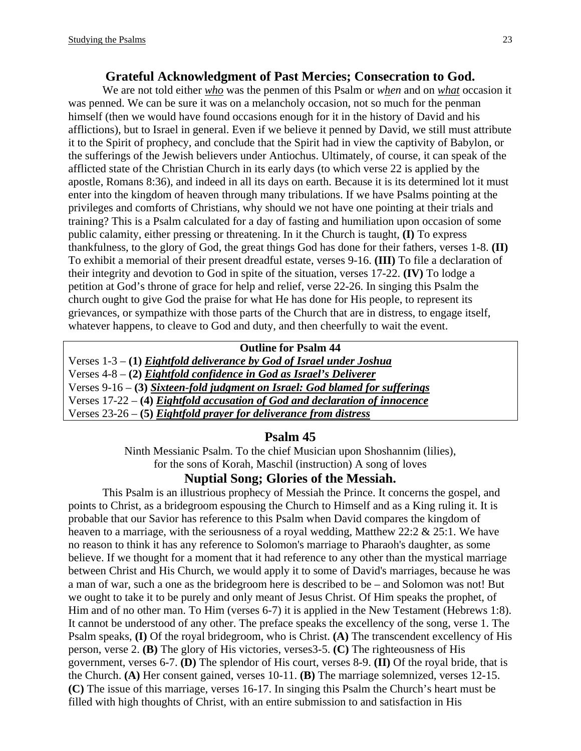#### **Grateful Acknowledgment of Past Mercies; Consecration to God.**

We are not told either *who* was the penmen of this Psalm or *when* and on *what* occasion it was penned. We can be sure it was on a melancholy occasion, not so much for the penman himself (then we would have found occasions enough for it in the history of David and his afflictions), but to Israel in general. Even if we believe it penned by David, we still must attribute it to the Spirit of prophecy, and conclude that the Spirit had in view the captivity of Babylon, or the sufferings of the Jewish believers under Antiochus. Ultimately, of course, it can speak of the afflicted state of the Christian Church in its early days (to which verse 22 is applied by the apostle, Romans 8:36), and indeed in all its days on earth. Because it is its determined lot it must enter into the kingdom of heaven through many tribulations. If we have Psalms pointing at the privileges and comforts of Christians, why should we not have one pointing at their trials and training? This is a Psalm calculated for a day of fasting and humiliation upon occasion of some public calamity, either pressing or threatening. In it the Church is taught, **(I)** To express thankfulness, to the glory of God, the great things God has done for their fathers, verses 1-8. **(II)** To exhibit a memorial of their present dreadful estate, verses 9-16. **(III)** To file a declaration of their integrity and devotion to God in spite of the situation, verses 17-22. **(IV)** To lodge a petition at God's throne of grace for help and relief, verse 22-26. In singing this Psalm the church ought to give God the praise for what He has done for His people, to represent its grievances, or sympathize with those parts of the Church that are in distress, to engage itself, whatever happens, to cleave to God and duty, and then cheerfully to wait the event.

#### **Outline for Psalm 44**

Verses 1-3 – **(1)** *Eightfold deliverance by God of Israel under Joshua* Verses 4-8 – **(2)** *Eightfold confidence in God as Israel's Deliverer* Verses 9-16 – **(3)** *Sixteen-fold judgment on Israel: God blamed for sufferings* Verses 17-22 – **(4)** *Eightfold accusation of God and declaration of innocence* Verses 23-26 – **(5)** *Eightfold prayer for deliverance from distress*

#### **Psalm 45**

Ninth Messianic Psalm. To the chief Musician upon Shoshannim (lilies), for the sons of Korah, Maschil (instruction) A song of loves

#### **Nuptial Song; Glories of the Messiah.**

This Psalm is an illustrious prophecy of Messiah the Prince. It concerns the gospel, and points to Christ, as a bridegroom espousing the Church to Himself and as a King ruling it. It is probable that our Savior has reference to this Psalm when David compares the kingdom of heaven to a marriage, with the seriousness of a royal wedding, Matthew 22:2 & 25:1. We have no reason to think it has any reference to Solomon's marriage to Pharaoh's daughter, as some believe. If we thought for a moment that it had reference to any other than the mystical marriage between Christ and His Church, we would apply it to some of David's marriages, because he was a man of war, such a one as the bridegroom here is described to be – and Solomon was not! But we ought to take it to be purely and only meant of Jesus Christ. Of Him speaks the prophet, of Him and of no other man. To Him (verses 6-7) it is applied in the New Testament (Hebrews 1:8). It cannot be understood of any other. The preface speaks the excellency of the song, verse 1. The Psalm speaks, **(I)** Of the royal bridegroom, who is Christ. **(A)** The transcendent excellency of His person, verse 2. **(B)** The glory of His victories, verses3-5. **(C)** The righteousness of His government, verses 6-7. **(D)** The splendor of His court, verses 8-9. **(II)** Of the royal bride, that is the Church. **(A)** Her consent gained, verses 10-11. **(B)** The marriage solemnized, verses 12-15. **(C)** The issue of this marriage, verses 16-17. In singing this Psalm the Church's heart must be filled with high thoughts of Christ, with an entire submission to and satisfaction in His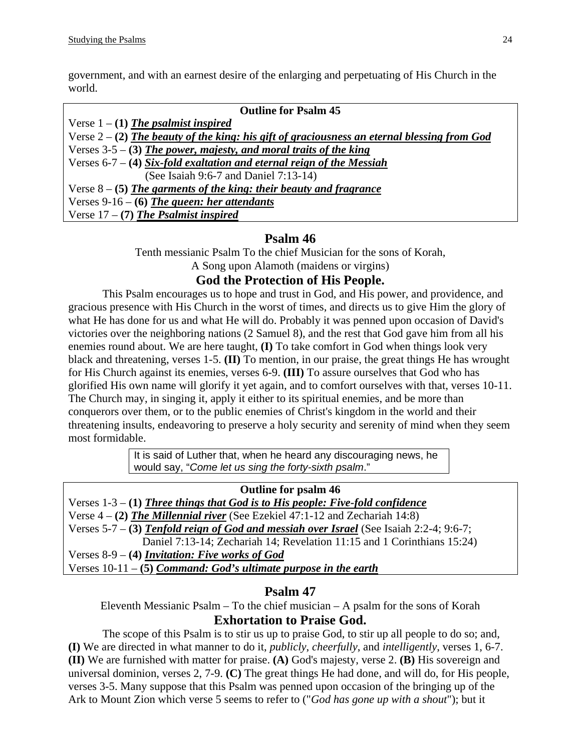government, and with an earnest desire of the enlarging and perpetuating of His Church in the world.

| <b>Outline for Psalm 45</b>                                                                   |
|-----------------------------------------------------------------------------------------------|
| Verse $1 - (1)$ The psalmist inspired                                                         |
| Verse $2 - (2)$ The beauty of the king: his gift of graciousness an eternal blessing from God |
| Verses $3-5-3$ The power, majesty, and moral traits of the king                               |
| Verses $6-7 - (4)$ Six-fold exaltation and eternal reign of the Messiah                       |
| (See Isaiah 9:6-7 and Daniel 7:13-14)                                                         |
| Verse $8 - (5)$ The garments of the king: their beauty and fragrance                          |
| Verses $9-16 - (6)$ The queen: her attendants                                                 |
| Verse $17 - (7)$ The Psalmist inspired                                                        |

# **Psalm 46**

Tenth messianic Psalm To the chief Musician for the sons of Korah, A Song upon Alamoth (maidens or virgins)

# **God the Protection of His People.**

This Psalm encourages us to hope and trust in God, and His power, and providence, and gracious presence with His Church in the worst of times, and directs us to give Him the glory of what He has done for us and what He will do. Probably it was penned upon occasion of David's victories over the neighboring nations (2 Samuel 8), and the rest that God gave him from all his enemies round about. We are here taught, **(I)** To take comfort in God when things look very black and threatening, verses 1-5. **(II)** To mention, in our praise, the great things He has wrought for His Church against its enemies, verses 6-9. **(III)** To assure ourselves that God who has glorified His own name will glorify it yet again, and to comfort ourselves with that, verses 10-11. The Church may, in singing it, apply it either to its spiritual enemies, and be more than conquerors over them, or to the public enemies of Christ's kingdom in the world and their threatening insults, endeavoring to preserve a holy security and serenity of mind when they seem most formidable.

> It is said of Luther that, when he heard any discouraging news, he would say, "*Come let us sing the forty-sixth psalm*."

**Outline for psalm 46**  Verses 1-3 – **(1)** *Three things that God is to His people: Five-fold confidence* Verse 4 – **(2)** *The Millennial river* (See Ezekiel 47:1-12 and Zechariah 14:8) Verses 5-7 – **(3)** *Tenfold reign of God and messiah over Israel* (See Isaiah 2:2-4; 9:6-7; Daniel 7:13-14; Zechariah 14; Revelation 11:15 and 1 Corinthians 15:24) Verses 8-9 – **(4)** *Invitation: Five works of God* Verses 10-11 – **(5)** *Command: God's ultimate purpose in the earth*

# **Psalm 47**

Eleventh Messianic Psalm – To the chief musician – A psalm for the sons of Korah **Exhortation to Praise God.** 

The scope of this Psalm is to stir us up to praise God, to stir up all people to do so; and, **(I)** We are directed in what manner to do it, *publicly*, *cheerfully*, and *intelligently*, verses 1, 6-7. **(II)** We are furnished with matter for praise. **(A)** God's majesty, verse 2. **(B)** His sovereign and universal dominion, verses 2, 7-9. **(C)** The great things He had done, and will do, for His people, verses 3-5. Many suppose that this Psalm was penned upon occasion of the bringing up of the Ark to Mount Zion which verse 5 seems to refer to ("*God has gone up with a shout*"); but it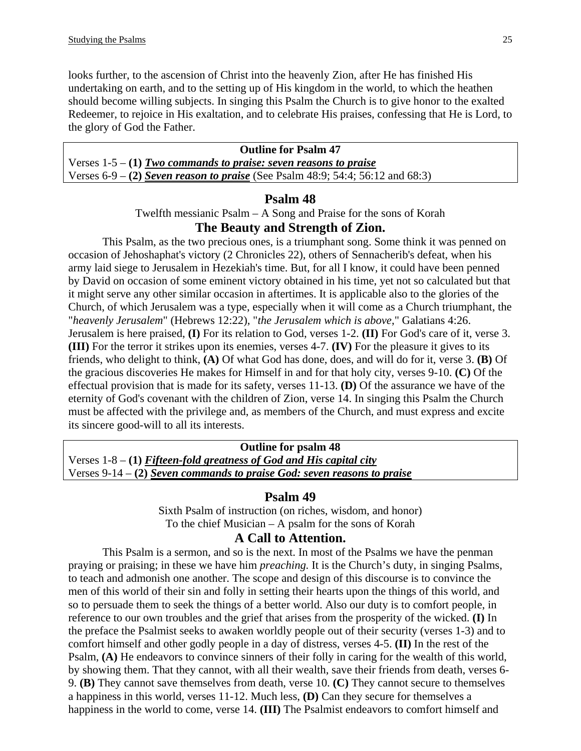looks further, to the ascension of Christ into the heavenly Zion, after He has finished His undertaking on earth, and to the setting up of His kingdom in the world, to which the heathen should become willing subjects. In singing this Psalm the Church is to give honor to the exalted Redeemer, to rejoice in His exaltation, and to celebrate His praises, confessing that He is Lord, to the glory of God the Father.

| <b>Outline for Psalm 47</b>                                                      |  |
|----------------------------------------------------------------------------------|--|
| Verses $1-5 - (1)$ Two commands to praise: seven reasons to praise               |  |
| Verses $6-9 - (2)$ Seven reason to praise (See Psalm 48:9; 54:4; 56:12 and 68:3) |  |

#### **Psalm 48**

Twelfth messianic Psalm – A Song and Praise for the sons of Korah

#### **The Beauty and Strength of Zion.**

This Psalm, as the two precious ones, is a triumphant song. Some think it was penned on occasion of Jehoshaphat's victory (2 Chronicles 22), others of Sennacherib's defeat, when his army laid siege to Jerusalem in Hezekiah's time. But, for all I know, it could have been penned by David on occasion of some eminent victory obtained in his time, yet not so calculated but that it might serve any other similar occasion in aftertimes. It is applicable also to the glories of the Church, of which Jerusalem was a type, especially when it will come as a Church triumphant, the "*heavenly Jerusalem*" (Hebrews 12:22), "*the Jerusalem which is above*," Galatians 4:26. Jerusalem is here praised, **(I)** For its relation to God, verses 1-2. **(II)** For God's care of it, verse 3. **(III)** For the terror it strikes upon its enemies, verses 4-7. **(IV)** For the pleasure it gives to its friends, who delight to think, **(A)** Of what God has done, does, and will do for it, verse 3. **(B)** Of the gracious discoveries He makes for Himself in and for that holy city, verses 9-10. **(C)** Of the effectual provision that is made for its safety, verses 11-13. **(D)** Of the assurance we have of the eternity of God's covenant with the children of Zion, verse 14. In singing this Psalm the Church must be affected with the privilege and, as members of the Church, and must express and excite its sincere good-will to all its interests.

**Outline for psalm 48**  Verses 1-8 – **(1)** *Fifteen-fold greatness of God and His capital city* Verses 9-14 – **(2)** *Seven commands to praise God: seven reasons to praise*

#### **Psalm 49**

Sixth Psalm of instruction (on riches, wisdom, and honor) To the chief Musician – A psalm for the sons of Korah

## **A Call to Attention.**

This Psalm is a sermon, and so is the next. In most of the Psalms we have the penman praying or praising; in these we have him *preaching.* It is the Church's duty, in singing Psalms, to teach and admonish one another. The scope and design of this discourse is to convince the men of this world of their sin and folly in setting their hearts upon the things of this world, and so to persuade them to seek the things of a better world. Also our duty is to comfort people, in reference to our own troubles and the grief that arises from the prosperity of the wicked. **(I)** In the preface the Psalmist seeks to awaken worldly people out of their security (verses 1-3) and to comfort himself and other godly people in a day of distress, verses 4-5. **(II)** In the rest of the Psalm, **(A)** He endeavors to convince sinners of their folly in caring for the wealth of this world, by showing them. That they cannot, with all their wealth, save their friends from death, verses 6- 9. **(B)** They cannot save themselves from death, verse 10. **(C)** They cannot secure to themselves a happiness in this world, verses 11-12. Much less, **(D)** Can they secure for themselves a happiness in the world to come, verse 14. **(III)** The Psalmist endeavors to comfort himself and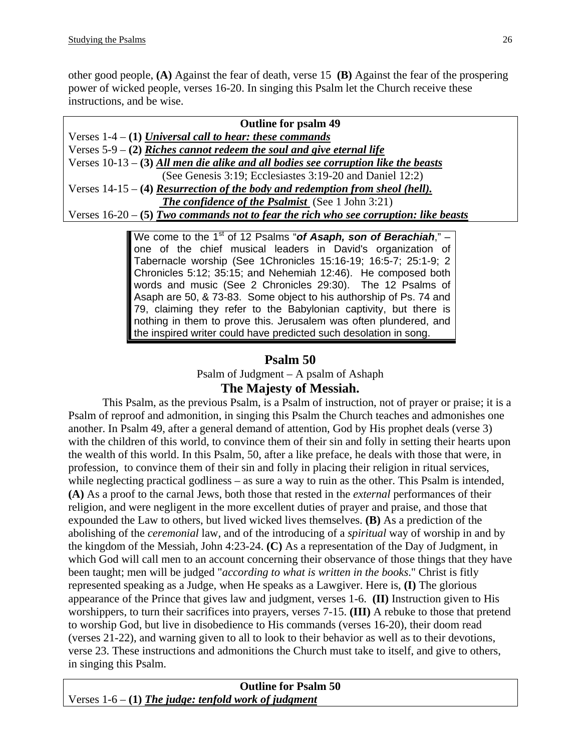other good people, **(A)** Against the fear of death, verse 15 **(B)** Against the fear of the prospering power of wicked people, verses 16-20. In singing this Psalm let the Church receive these instructions, and be wise.

| <b>Outline for psalm 49</b>                                                        |
|------------------------------------------------------------------------------------|
| Verses $1-4 - (1)$ Universal call to hear: these commands                          |
| Verses $5-9 - (2)$ Riches cannot redeem the soul and give eternal life             |
| Verses $10-13-3$ All men die alike and all bodies see corruption like the beasts   |
| (See Genesis 3:19; Ecclesiastes 3:19-20 and Daniel 12:2)                           |
| Verses $14-15-$ (4) Resurrection of the body and redemption from sheal (hell).     |
| <b>The confidence of the Psalmist</b> (See 1 John 3:21)                            |
| Verses $16-20-5$ Two commands not to fear the rich who see corruption: like beasts |
|                                                                                    |

We come to the 1<sup>st</sup> of 12 Psalms "of Asaph, son of Berachiah," – one of the chief musical leaders in David's organization of Tabernacle worship (See 1Chronicles 15:16-19; 16:5-7; 25:1-9; 2 Chronicles 5:12; 35:15; and Nehemiah 12:46). He composed both words and music (See 2 Chronicles 29:30). The 12 Psalms of Asaph are 50, & 73-83. Some object to his authorship of Ps. 74 and 79, claiming they refer to the Babylonian captivity, but there is nothing in them to prove this. Jerusalem was often plundered, and the inspired writer could have predicted such desolation in song.

## **Psalm 50**

Psalm of Judgment – A psalm of Ashaph

### **The Majesty of Messiah.**

This Psalm, as the previous Psalm, is a Psalm of instruction, not of prayer or praise; it is a Psalm of reproof and admonition, in singing this Psalm the Church teaches and admonishes one another. In Psalm 49, after a general demand of attention, God by His prophet deals (verse 3) with the children of this world, to convince them of their sin and folly in setting their hearts upon the wealth of this world. In this Psalm, 50, after a like preface, he deals with those that were, in profession, to convince them of their sin and folly in placing their religion in ritual services, while neglecting practical godliness – as sure a way to ruin as the other. This Psalm is intended, **(A)** As a proof to the carnal Jews, both those that rested in the *external* performances of their religion, and were negligent in the more excellent duties of prayer and praise, and those that expounded the Law to others, but lived wicked lives themselves. **(B)** As a prediction of the abolishing of the *ceremonial* law, and of the introducing of a *spiritual* way of worship in and by the kingdom of the Messiah, John 4:23-24. **(C)** As a representation of the Day of Judgment, in which God will call men to an account concerning their observance of those things that they have been taught; men will be judged "*according to what is written in the books*." Christ is fitly represented speaking as a Judge, when He speaks as a Lawgiver. Here is, **(I)** The glorious appearance of the Prince that gives law and judgment, verses 1-6. **(II)** Instruction given to His worshippers, to turn their sacrifices into prayers, verses 7-15. **(III)** A rebuke to those that pretend to worship God, but live in disobedience to His commands (verses 16-20), their doom read (verses 21-22), and warning given to all to look to their behavior as well as to their devotions, verse 23. These instructions and admonitions the Church must take to itself, and give to others, in singing this Psalm.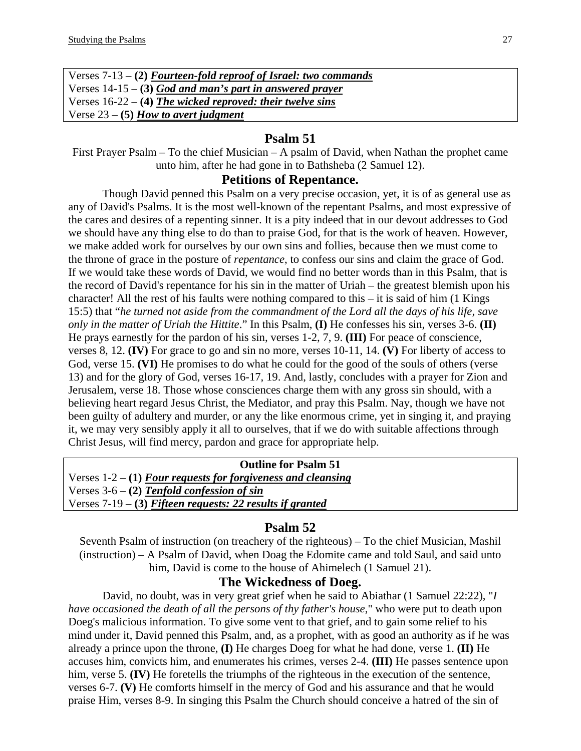| Verses $7-13 - (2)$ Fourteen-fold reproof of Israel: two commands |
|-------------------------------------------------------------------|
| Verses $14-15 - (3)$ God and man's part in answered prayer        |
| Verses $16-22 - (4)$ The wicked reproved: their twelve sins       |
| Verse $23 - (5)$ How to avert judgment                            |

#### **Psalm 51**

First Prayer Psalm – To the chief Musician – A psalm of David, when Nathan the prophet came unto him, after he had gone in to Bathsheba (2 Samuel 12).

#### **Petitions of Repentance.**

Though David penned this Psalm on a very precise occasion, yet, it is of as general use as any of David's Psalms. It is the most well-known of the repentant Psalms, and most expressive of the cares and desires of a repenting sinner. It is a pity indeed that in our devout addresses to God we should have any thing else to do than to praise God, for that is the work of heaven. However, we make added work for ourselves by our own sins and follies, because then we must come to the throne of grace in the posture of *repentance*, to confess our sins and claim the grace of God. If we would take these words of David, we would find no better words than in this Psalm, that is the record of David's repentance for his sin in the matter of Uriah – the greatest blemish upon his character! All the rest of his faults were nothing compared to this – it is said of him (1 Kings 15:5) that "*he turned not aside from the commandment of the Lord all the days of his life, save only in the matter of Uriah the Hittite*." In this Psalm, **(I)** He confesses his sin, verses 3-6. **(II)** He prays earnestly for the pardon of his sin, verses 1-2, 7, 9. **(III)** For peace of conscience, verses 8, 12. **(IV)** For grace to go and sin no more, verses 10-11, 14. **(V)** For liberty of access to God, verse 15. **(VI)** He promises to do what he could for the good of the souls of others (verse 13) and for the glory of God, verses 16-17, 19. And, lastly, concludes with a prayer for Zion and Jerusalem, verse 18. Those whose consciences charge them with any gross sin should, with a believing heart regard Jesus Christ, the Mediator, and pray this Psalm. Nay, though we have not been guilty of adultery and murder, or any the like enormous crime, yet in singing it, and praying it, we may very sensibly apply it all to ourselves, that if we do with suitable affections through Christ Jesus, will find mercy, pardon and grace for appropriate help.

| <b>Outline for Psalm 51</b>                                    |  |
|----------------------------------------------------------------|--|
| Verses $1-2 - (1)$ Four requests for forgiveness and cleansing |  |
| Verses $3-6 - (2)$ Tenfold confession of sin                   |  |
| Verses $7-19 - (3)$ Fifteen requests: 22 results if granted    |  |

## **Psalm 52**

Seventh Psalm of instruction (on treachery of the righteous) – To the chief Musician, Mashil (instruction) – A Psalm of David, when Doag the Edomite came and told Saul, and said unto him, David is come to the house of Ahimelech (1 Samuel 21).

### **The Wickedness of Doeg.**

David, no doubt, was in very great grief when he said to Abiathar (1 Samuel 22:22), "*I have occasioned the death of all the persons of thy father's house*," who were put to death upon Doeg's malicious information. To give some vent to that grief, and to gain some relief to his mind under it, David penned this Psalm, and, as a prophet, with as good an authority as if he was already a prince upon the throne, **(I)** He charges Doeg for what he had done, verse 1. **(II)** He accuses him, convicts him, and enumerates his crimes, verses 2-4. **(III)** He passes sentence upon him, verse 5. **(IV)** He foretells the triumphs of the righteous in the execution of the sentence, verses 6-7. **(V)** He comforts himself in the mercy of God and his assurance and that he would praise Him, verses 8-9. In singing this Psalm the Church should conceive a hatred of the sin of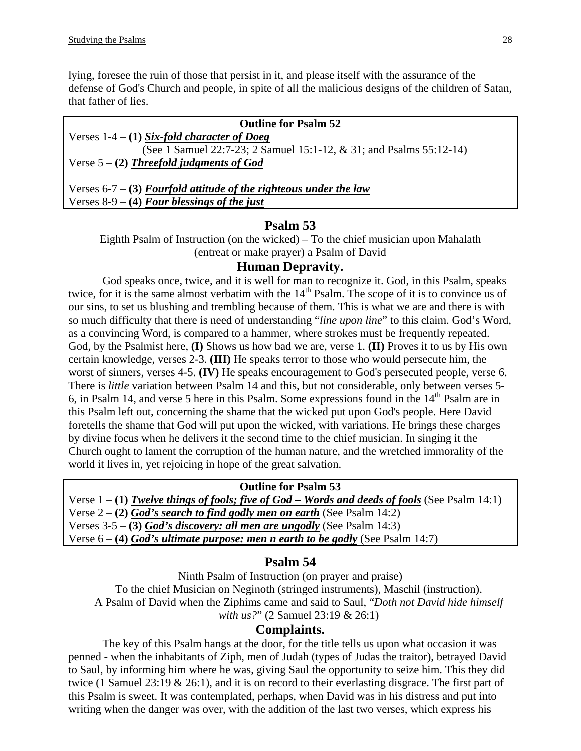lying, foresee the ruin of those that persist in it, and please itself with the assurance of the defense of God's Church and people, in spite of all the malicious designs of the children of Satan, that father of lies.

| <b>Outline for Psalm 52</b>                                         |  |
|---------------------------------------------------------------------|--|
| Verses $1-4 - (1)$ Six-fold character of Doeg                       |  |
| (See 1 Samuel 22:7-23; 2 Samuel 15:1-12, & 31; and Psalms 55:12-14) |  |
| Verse $5 - (2)$ Threefold judgments of God                          |  |
|                                                                     |  |

Verses 6-7 – **(3)** *Fourfold attitude of the righteous under the law* Verses 8-9 – **(4)** *Four blessings of the just*

### **Psalm 53**

Eighth Psalm of Instruction (on the wicked) – To the chief musician upon Mahalath (entreat or make prayer) a Psalm of David

#### **Human Depravity.**

God speaks once, twice, and it is well for man to recognize it. God, in this Psalm, speaks twice, for it is the same almost verbatim with the 14<sup>th</sup> Psalm. The scope of it is to convince us of our sins, to set us blushing and trembling because of them. This is what we are and there is with so much difficulty that there is need of understanding "*line upon line*" to this claim. God's Word, as a convincing Word, is compared to a hammer, where strokes must be frequently repeated. God, by the Psalmist here, **(I)** Shows us how bad we are, verse 1. **(II)** Proves it to us by His own certain knowledge, verses 2-3. **(III)** He speaks terror to those who would persecute him, the worst of sinners, verses 4-5. **(IV)** He speaks encouragement to God's persecuted people, verse 6. There is *little* variation between Psalm 14 and this, but not considerable, only between verses 5- 6, in Psalm 14, and verse 5 here in this Psalm. Some expressions found in the  $14<sup>th</sup>$  Psalm are in this Psalm left out, concerning the shame that the wicked put upon God's people. Here David foretells the shame that God will put upon the wicked, with variations. He brings these charges by divine focus when he delivers it the second time to the chief musician. In singing it the Church ought to lament the corruption of the human nature, and the wretched immorality of the world it lives in, yet rejoicing in hope of the great salvation.

#### **Outline for Psalm 53**

Verse 1 – **(1)** *Twelve things of fools; five of God – Words and deeds of fools* (See Psalm 14:1)

Verse 2 – **(2)** *God's search to find godly men on earth* (See Psalm 14:2)

Verses 3-5 – **(3)** *God's discovery: all men are ungodly* (See Psalm 14:3)

Verse 6 – **(4)** *God's ultimate purpose: men n earth to be godly* (See Psalm 14:7)

# **Psalm 54**

Ninth Psalm of Instruction (on prayer and praise) To the chief Musician on Neginoth (stringed instruments), Maschil (instruction). A Psalm of David when the Ziphims came and said to Saul, "*Doth not David hide himself with us?*" (2 Samuel 23:19 & 26:1)

### **Complaints.**

The key of this Psalm hangs at the door, for the title tells us upon what occasion it was penned - when the inhabitants of Ziph, men of Judah (types of Judas the traitor), betrayed David to Saul, by informing him where he was, giving Saul the opportunity to seize him. This they did twice (1 Samuel 23:19 & 26:1), and it is on record to their everlasting disgrace. The first part of this Psalm is sweet. It was contemplated, perhaps, when David was in his distress and put into writing when the danger was over, with the addition of the last two verses, which express his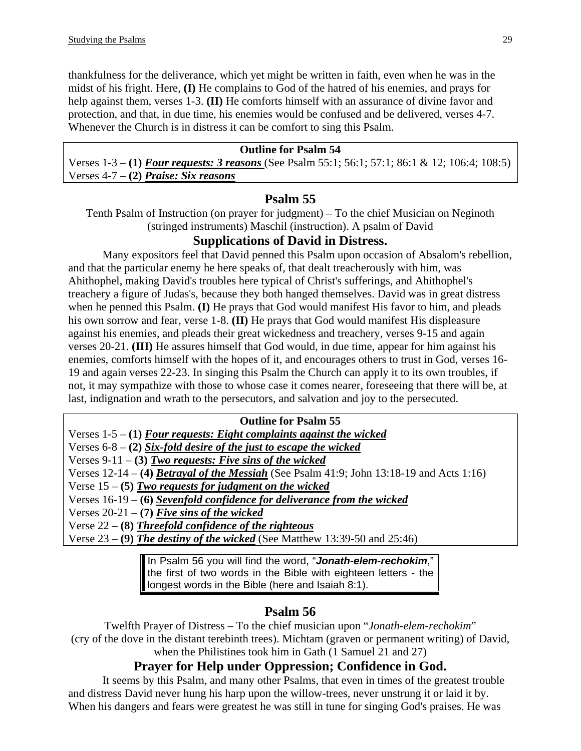thankfulness for the deliverance, which yet might be written in faith, even when he was in the midst of his fright. Here, **(I)** He complains to God of the hatred of his enemies, and prays for help against them, verses 1-3. **(II)** He comforts himself with an assurance of divine favor and protection, and that, in due time, his enemies would be confused and be delivered, verses 4-7. Whenever the Church is in distress it can be comfort to sing this Psalm.

#### **Outline for Psalm 54**

Verses 1-3 – **(1)** *Four requests: 3 reasons* (See Psalm 55:1; 56:1; 57:1; 86:1 & 12; 106:4; 108:5) Verses 4-7 – **(2)** *Praise: Six reasons*

## **Psalm 55**

Tenth Psalm of Instruction (on prayer for judgment) – To the chief Musician on Neginoth (stringed instruments) Maschil (instruction). A psalm of David

# **Supplications of David in Distress.**

Many expositors feel that David penned this Psalm upon occasion of Absalom's rebellion, and that the particular enemy he here speaks of, that dealt treacherously with him, was Ahithophel, making David's troubles here typical of Christ's sufferings, and Ahithophel's treachery a figure of Judas's, because they both hanged themselves. David was in great distress when he penned this Psalm. **(I)** He prays that God would manifest His favor to him, and pleads his own sorrow and fear, verse 1-8. **(II)** He prays that God would manifest His displeasure against his enemies, and pleads their great wickedness and treachery, verses 9-15 and again verses 20-21. **(III)** He assures himself that God would, in due time, appear for him against his enemies, comforts himself with the hopes of it, and encourages others to trust in God, verses 16- 19 and again verses 22-23. In singing this Psalm the Church can apply it to its own troubles, if not, it may sympathize with those to whose case it comes nearer, foreseeing that there will be, at last, indignation and wrath to the persecutors, and salvation and joy to the persecuted.

## **Outline for Psalm 55**  Verses 1-5 – **(1)** *Four requests: Eight complaints against the wicked* Verses 6-8 – **(2)** *Six-fold desire of the just to escape the wicked* Verses 9-11 – **(3)** *Two requests: Five sins of the wicked* Verses 12-14 – **(4)** *Betrayal of the Messiah* (See Psalm 41:9; John 13:18-19 and Acts 1:16) Verse 15 – **(5)** *Two requests for judgment on the wicked* Verses 16-19 – **(6)** *Sevenfold confidence for deliverance from the wicked* Verses 20-21 – **(7)** *Five sins of the wicked* Verse 22 – **(8)** *Threefold confidence of the righteous* Verse 23 – **(9)** *The destiny of the wicked* (See Matthew 13:39-50 and 25:46)

In Psalm 56 you will find the word, "*Jonath-elem-rechokim*," the first of two words in the Bible with eighteen letters - the longest words in the Bible (here and Isaiah 8:1).

# **Psalm 56**

Twelfth Prayer of Distress – To the chief musician upon "*Jonath-elem-rechokim*" (cry of the dove in the distant terebinth trees). Michtam (graven or permanent writing) of David, when the Philistines took him in Gath (1 Samuel 21 and 27)

# **Prayer for Help under Oppression; Confidence in God.**

It seems by this Psalm, and many other Psalms, that even in times of the greatest trouble and distress David never hung his harp upon the willow-trees, never unstrung it or laid it by. When his dangers and fears were greatest he was still in tune for singing God's praises. He was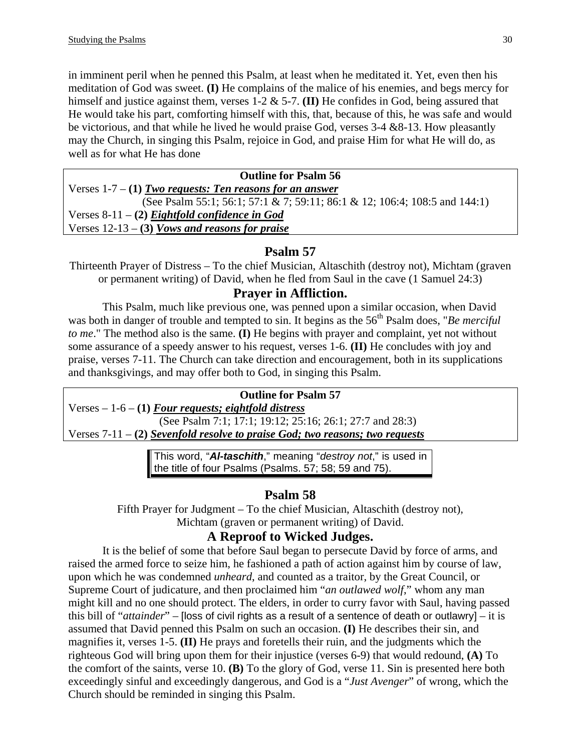in imminent peril when he penned this Psalm, at least when he meditated it. Yet, even then his meditation of God was sweet. **(I)** He complains of the malice of his enemies, and begs mercy for himself and justice against them, verses 1-2 & 5-7. **(II)** He confides in God, being assured that He would take his part, comforting himself with this, that, because of this, he was safe and would be victorious, and that while he lived he would praise God, verses  $3-4 \& 8-13$ . How pleasantly may the Church, in singing this Psalm, rejoice in God, and praise Him for what He will do, as well as for what He has done

## **Outline for Psalm 56**  Verses 1-7 – **(1)** *Two requests: Ten reasons for an answer* (See Psalm 55:1; 56:1; 57:1 & 7; 59:11; 86:1 & 12; 106:4; 108:5 and 144:1) Verses 8-11 – **(2)** *Eightfold confidence in God* Verses 12-13 – **(3)** *Vows and reasons for praise*

# **Psalm 57**

Thirteenth Prayer of Distress – To the chief Musician, Altaschith (destroy not), Michtam (graven or permanent writing) of David, when he fled from Saul in the cave (1 Samuel 24:3)

## **Prayer in Affliction.**

This Psalm, much like previous one, was penned upon a similar occasion, when David was both in danger of trouble and tempted to sin. It begins as the 56<sup>th</sup> Psalm does, "*Be merciful to me*." The method also is the same. **(I)** He begins with prayer and complaint, yet not without some assurance of a speedy answer to his request, verses 1-6. **(II)** He concludes with joy and praise, verses 7-11. The Church can take direction and encouragement, both in its supplications and thanksgivings, and may offer both to God, in singing this Psalm.

### **Outline for Psalm 57**

Verses – 1-6 – **(1)** *Four requests; eightfold distress* (See Psalm 7:1; 17:1; 19:12; 25:16; 26:1; 27:7 and 28:3)

Verses 7-11 – **(2)** *Sevenfold resolve to praise God; two reasons; two requests*

This word, "*Al-taschith*," meaning "*destroy not*," is used in the title of four Psalms (Psalms. 57; 58; 59 and 75).

# **Psalm 58**

Fifth Prayer for Judgment – To the chief Musician, Altaschith (destroy not), Michtam (graven or permanent writing) of David.

# **A Reproof to Wicked Judges.**

It is the belief of some that before Saul began to persecute David by force of arms, and raised the armed force to seize him, he fashioned a path of action against him by course of law, upon which he was condemned *unheard*, and counted as a traitor, by the Great Council, or Supreme Court of judicature, and then proclaimed him "*an outlawed wolf*," whom any man might kill and no one should protect. The elders, in order to curry favor with Saul, having passed this bill of "*attainder*" – [loss of civil rights as a result of a sentence of death or outlawry] – it is assumed that David penned this Psalm on such an occasion. **(I)** He describes their sin, and magnifies it, verses 1-5. **(II)** He prays and foretells their ruin, and the judgments which the righteous God will bring upon them for their injustice (verses 6-9) that would redound, **(A)** To the comfort of the saints, verse 10. **(B)** To the glory of God, verse 11. Sin is presented here both exceedingly sinful and exceedingly dangerous, and God is a "*Just Avenger*" of wrong, which the Church should be reminded in singing this Psalm.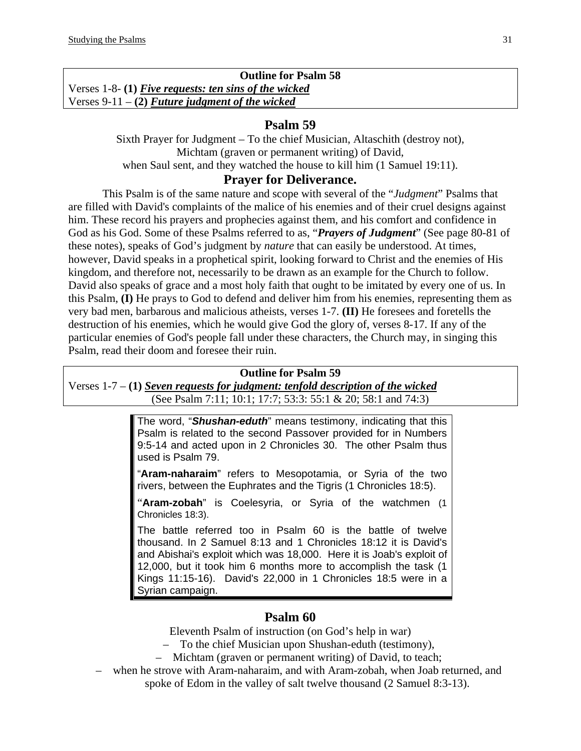**Outline for Psalm 58**  Verses 1-8- **(1)** *Five requests: ten sins of the wicked* Verses 9-11 – **(2)** *Future judgment of the wicked*

# **Psalm 59**

Sixth Prayer for Judgment – To the chief Musician, Altaschith (destroy not), Michtam (graven or permanent writing) of David, when Saul sent, and they watched the house to kill him (1 Samuel 19:11).

# **Prayer for Deliverance.**

This Psalm is of the same nature and scope with several of the "*Judgment*" Psalms that are filled with David's complaints of the malice of his enemies and of their cruel designs against him. These record his prayers and prophecies against them, and his comfort and confidence in God as his God. Some of these Psalms referred to as, "*Prayers of Judgment*" (See page 80-81 of these notes), speaks of God's judgment by *nature* that can easily be understood. At times, however, David speaks in a prophetical spirit, looking forward to Christ and the enemies of His kingdom, and therefore not, necessarily to be drawn as an example for the Church to follow. David also speaks of grace and a most holy faith that ought to be imitated by every one of us. In this Psalm, **(I)** He prays to God to defend and deliver him from his enemies, representing them as very bad men, barbarous and malicious atheists, verses 1-7. **(II)** He foresees and foretells the destruction of his enemies, which he would give God the glory of, verses 8-17. If any of the particular enemies of God's people fall under these characters, the Church may, in singing this Psalm, read their doom and foresee their ruin.

### **Outline for Psalm 59**

Verses 1-7 – **(1)** *Seven requests for judgment: tenfold description of the wicked* (See Psalm 7:11; 10:1; 17:7; 53:3: 55:1 & 20; 58:1 and 74:3)

> The word, "*Shushan-eduth*" means testimony, indicating that this Psalm is related to the second Passover provided for in Numbers 9:5-14 and acted upon in 2 Chronicles 30. The other Psalm thus used is Psalm 79.

> "**Aram-naharaim**" refers to Mesopotamia, or Syria of the two rivers, between the Euphrates and the Tigris (1 Chronicles 18:5).

> "**Aram-zobah**" is Coelesyria, or Syria of the watchmen (1 Chronicles 18:3).

> The battle referred too in Psalm 60 is the battle of twelve thousand. In 2 Samuel 8:13 and 1 Chronicles 18:12 it is David's and Abishai's exploit which was 18,000. Here it is Joab's exploit of 12,000, but it took him 6 months more to accomplish the task (1 Kings 11:15-16). David's 22,000 in 1 Chronicles 18:5 were in a Syrian campaign.

# **Psalm 60**

Eleventh Psalm of instruction (on God's help in war)

- To the chief Musician upon Shushan-eduth (testimony),
- Michtam (graven or permanent writing) of David, to teach;
- when he strove with Aram-naharaim, and with Aram-zobah, when Joab returned, and spoke of Edom in the valley of salt twelve thousand (2 Samuel 8:3-13).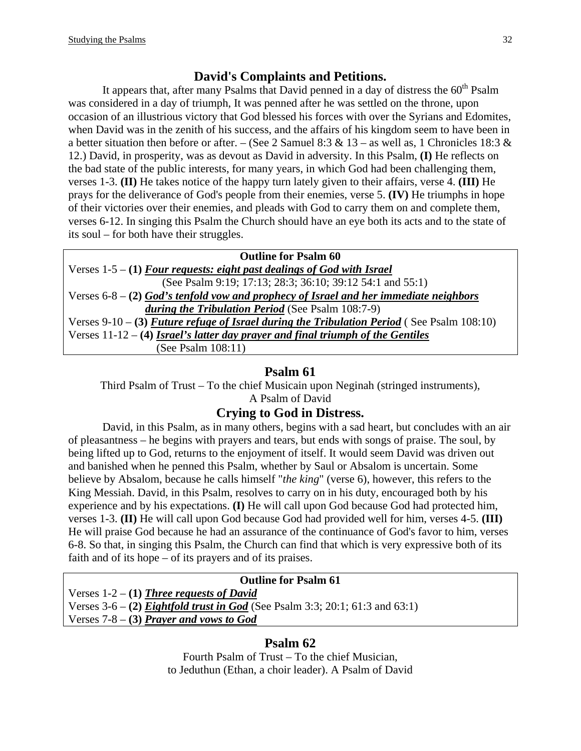# **David's Complaints and Petitions.**

It appears that, after many Psalms that David penned in a day of distress the  $60<sup>th</sup>$  Psalm was considered in a day of triumph, It was penned after he was settled on the throne, upon occasion of an illustrious victory that God blessed his forces with over the Syrians and Edomites, when David was in the zenith of his success, and the affairs of his kingdom seem to have been in a better situation then before or after. – (See 2 Samuel 8:3 & 13 – as well as, 1 Chronicles 18:3 & 12.) David, in prosperity, was as devout as David in adversity. In this Psalm, **(I)** He reflects on the bad state of the public interests, for many years, in which God had been challenging them, verses 1-3. **(II)** He takes notice of the happy turn lately given to their affairs, verse 4. **(III)** He prays for the deliverance of God's people from their enemies, verse 5. **(IV)** He triumphs in hope of their victories over their enemies, and pleads with God to carry them on and complete them, verses 6-12. In singing this Psalm the Church should have an eye both its acts and to the state of its soul – for both have their struggles.

| <b>Outline for Psalm 60</b>                                                                |
|--------------------------------------------------------------------------------------------|
| Verses $1-5 - (1)$ Four requests: eight past dealings of God with Israel                   |
| (See Psalm 9:19; 17:13; 28:3; 36:10; 39:12 54:1 and 55:1)                                  |
| Verses $6-8- (2)$ God's tenfold vow and prophecy of Israel and her immediate neighbors     |
| during the Tribulation Period (See Psalm 108:7-9)                                          |
| Verses 9-10 - (3) Future refuge of Israel during the Tribulation Period (See Psalm 108:10) |
| Verses $11-12 - (4)$ Israel's latter day prayer and final triumph of the Gentiles          |
| (See Psalm $108:11$ )                                                                      |

# **Psalm 61**

Third Psalm of Trust – To the chief Musicain upon Neginah (stringed instruments),

# A Psalm of David

# **Crying to God in Distress.**

David, in this Psalm, as in many others, begins with a sad heart, but concludes with an air of pleasantness – he begins with prayers and tears, but ends with songs of praise. The soul, by being lifted up to God, returns to the enjoyment of itself. It would seem David was driven out and banished when he penned this Psalm, whether by Saul or Absalom is uncertain. Some believe by Absalom, because he calls himself "*the king*" (verse 6), however, this refers to the King Messiah. David, in this Psalm, resolves to carry on in his duty, encouraged both by his experience and by his expectations. **(I)** He will call upon God because God had protected him, verses 1-3. **(II)** He will call upon God because God had provided well for him, verses 4-5. **(III)** He will praise God because he had an assurance of the continuance of God's favor to him, verses 6-8. So that, in singing this Psalm, the Church can find that which is very expressive both of its faith and of its hope – of its prayers and of its praises.

# **Outline for Psalm 61**

Verses 1-2 – **(1)** *Three requests of David* Verses 3-6 – **(2)** *Eightfold trust in God* (See Psalm 3:3; 20:1; 61:3 and 63:1) Verses 7-8 – **(3)** *Prayer and vows to God*

# **Psalm 62**

Fourth Psalm of Trust – To the chief Musician, to Jeduthun (Ethan, a choir leader). A Psalm of David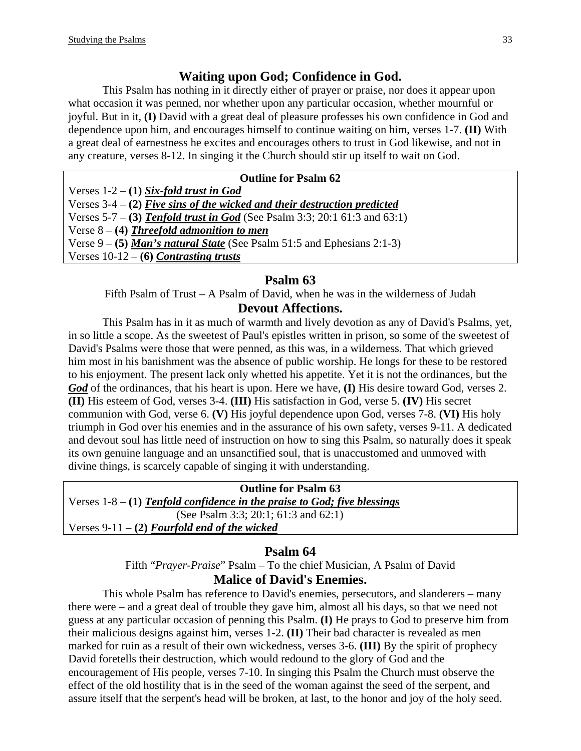# **Waiting upon God; Confidence in God.**

This Psalm has nothing in it directly either of prayer or praise, nor does it appear upon what occasion it was penned, nor whether upon any particular occasion, whether mournful or joyful. But in it, **(I)** David with a great deal of pleasure professes his own confidence in God and dependence upon him, and encourages himself to continue waiting on him, verses 1-7. **(II)** With a great deal of earnestness he excites and encourages others to trust in God likewise, and not in any creature, verses 8-12. In singing it the Church should stir up itself to wait on God.

#### **Outline for Psalm 62**

Verses 1-2 – **(1)** *Six-fold trust in God* Verses 3-4 – **(2)** *Five sins of the wicked and their destruction predicted*

Verses 5-7 – **(3)** *Tenfold trust in God* (See Psalm 3:3; 20:1 61:3 and 63:1)

Verse 8 – **(4)** *Threefold admonition to men*

Verse 9 – **(5)** *Man's natural State* (See Psalm 51:5 and Ephesians 2:1-3)

Verses 10-12 – **(6)** *Contrasting trusts*

### **Psalm 63**

Fifth Psalm of Trust – A Psalm of David, when he was in the wilderness of Judah

### **Devout Affections.**

This Psalm has in it as much of warmth and lively devotion as any of David's Psalms, yet, in so little a scope. As the sweetest of Paul's epistles written in prison, so some of the sweetest of David's Psalms were those that were penned, as this was, in a wilderness. That which grieved him most in his banishment was the absence of public worship. He longs for these to be restored to his enjoyment. The present lack only whetted his appetite. Yet it is not the ordinances, but the *God* of the ordinances, that his heart is upon. Here we have, **(I)** His desire toward God, verses 2. **(II)** His esteem of God, verses 3-4. **(III)** His satisfaction in God, verse 5. **(IV)** His secret communion with God, verse 6. **(V)** His joyful dependence upon God, verses 7-8. **(VI)** His holy triumph in God over his enemies and in the assurance of his own safety, verses 9-11. A dedicated and devout soul has little need of instruction on how to sing this Psalm, so naturally does it speak its own genuine language and an unsanctified soul, that is unaccustomed and unmoved with divine things, is scarcely capable of singing it with understanding.

**Outline for Psalm 63**  Verses 1-8 – **(1)** *Tenfold confidence in the praise to God; five blessings* (See Psalm 3:3; 20:1; 61:3 and 62:1) Verses 9-11 – **(2)** *Fourfold end of the wicked*

# **Psalm 64**

Fifth "*Prayer-Praise*" Psalm – To the chief Musician, A Psalm of David **Malice of David's Enemies.** 

This whole Psalm has reference to David's enemies, persecutors, and slanderers – many there were – and a great deal of trouble they gave him, almost all his days, so that we need not guess at any particular occasion of penning this Psalm. **(I)** He prays to God to preserve him from their malicious designs against him, verses 1-2. **(II)** Their bad character is revealed as men marked for ruin as a result of their own wickedness, verses 3-6. **(III)** By the spirit of prophecy David foretells their destruction, which would redound to the glory of God and the encouragement of His people, verses 7-10. In singing this Psalm the Church must observe the effect of the old hostility that is in the seed of the woman against the seed of the serpent, and assure itself that the serpent's head will be broken, at last, to the honor and joy of the holy seed.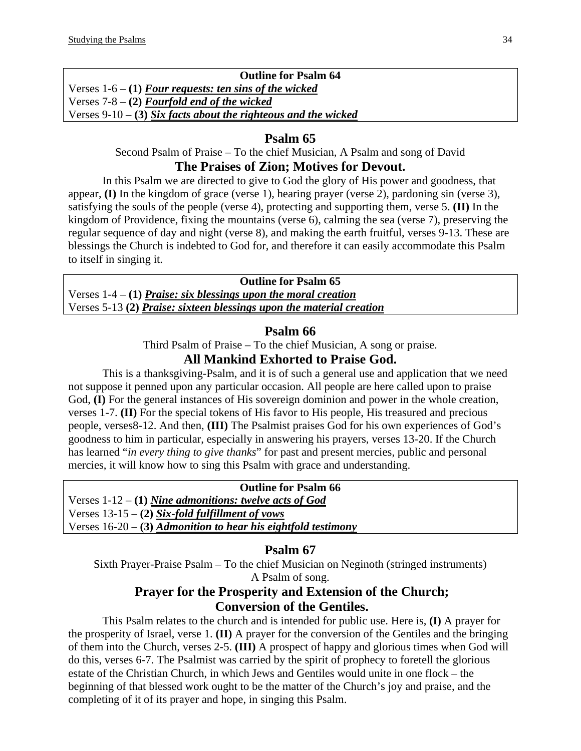## **Outline for Psalm 64**  Verses 1-6 – **(1)** *Four requests: ten sins of the wicked* Verses 7-8 – **(2)** *Fourfold end of the wicked* Verses 9-10 – **(3)** *Six facts about the righteous and the wicked*

## **Psalm 65**

Second Psalm of Praise – To the chief Musician, A Psalm and song of David

# **The Praises of Zion; Motives for Devout.**

In this Psalm we are directed to give to God the glory of His power and goodness, that appear, **(I)** In the kingdom of grace (verse 1), hearing prayer (verse 2), pardoning sin (verse 3), satisfying the souls of the people (verse 4), protecting and supporting them, verse 5. **(II)** In the kingdom of Providence, fixing the mountains (verse 6), calming the sea (verse 7), preserving the regular sequence of day and night (verse 8), and making the earth fruitful, verses 9-13. These are blessings the Church is indebted to God for, and therefore it can easily accommodate this Psalm to itself in singing it.

**Outline for Psalm 65**  Verses 1-4 – **(1)** *Praise: six blessings upon the moral creation* Verses 5-13 **(2)** *Praise: sixteen blessings upon the material creation*

### **Psalm 66**

Third Psalm of Praise – To the chief Musician, A song or praise.

# **All Mankind Exhorted to Praise God.**

This is a thanksgiving-Psalm, and it is of such a general use and application that we need not suppose it penned upon any particular occasion. All people are here called upon to praise God, **(I)** For the general instances of His sovereign dominion and power in the whole creation, verses 1-7. **(II)** For the special tokens of His favor to His people, His treasured and precious people, verses8-12. And then, **(III)** The Psalmist praises God for his own experiences of God's goodness to him in particular, especially in answering his prayers, verses 13-20. If the Church has learned "*in every thing to give thanks*" for past and present mercies, public and personal mercies, it will know how to sing this Psalm with grace and understanding.

### **Outline for Psalm 66**

Verses 1-12 – **(1)** *Nine admonitions: twelve acts of God* Verses 13-15 – **(2)** *Six-fold fulfillment of vows* Verses 16-20 – **(3)** *Admonition to hear his eightfold testimony*

# **Psalm 67**

Sixth Prayer-Praise Psalm – To the chief Musician on Neginoth (stringed instruments) A Psalm of song.

# **Prayer for the Prosperity and Extension of the Church; Conversion of the Gentiles.**

This Psalm relates to the church and is intended for public use. Here is, **(I)** A prayer for the prosperity of Israel, verse 1. **(II)** A prayer for the conversion of the Gentiles and the bringing of them into the Church, verses 2-5. **(III)** A prospect of happy and glorious times when God will do this, verses 6-7. The Psalmist was carried by the spirit of prophecy to foretell the glorious estate of the Christian Church, in which Jews and Gentiles would unite in one flock – the beginning of that blessed work ought to be the matter of the Church's joy and praise, and the completing of it of its prayer and hope, in singing this Psalm.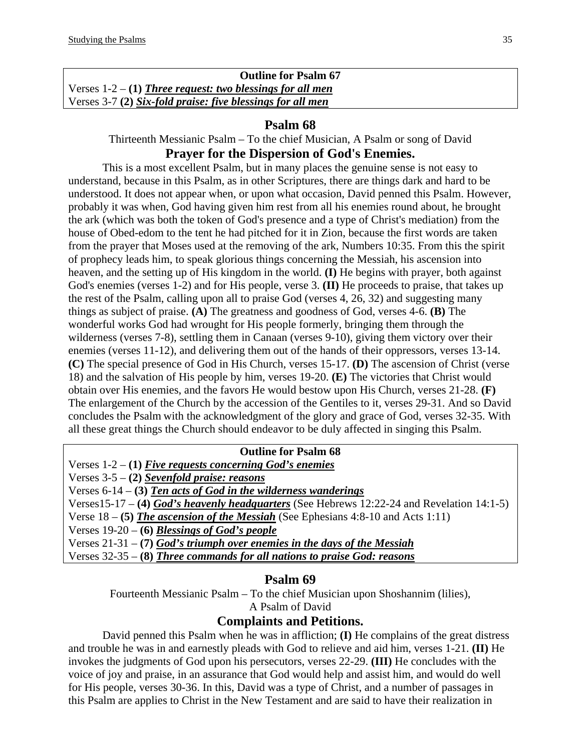| <b>Outline for Psalm 67</b>                                 |  |
|-------------------------------------------------------------|--|
| Verses $1-2 - (1)$ Three request: two blessings for all men |  |
| Verses 3-7 (2) Six-fold praise: five blessings for all men  |  |

#### **Psalm 68**

Thirteenth Messianic Psalm – To the chief Musician, A Psalm or song of David **Prayer for the Dispersion of God's Enemies.**

This is a most excellent Psalm, but in many places the genuine sense is not easy to understand, because in this Psalm, as in other Scriptures, there are things dark and hard to be understood. It does not appear when, or upon what occasion, David penned this Psalm. However, probably it was when, God having given him rest from all his enemies round about, he brought the ark (which was both the token of God's presence and a type of Christ's mediation) from the house of Obed-edom to the tent he had pitched for it in Zion, because the first words are taken from the prayer that Moses used at the removing of the ark, Numbers 10:35. From this the spirit of prophecy leads him, to speak glorious things concerning the Messiah, his ascension into heaven, and the setting up of His kingdom in the world. **(I)** He begins with prayer, both against God's enemies (verses 1-2) and for His people, verse 3. **(II)** He proceeds to praise, that takes up the rest of the Psalm, calling upon all to praise God (verses 4, 26, 32) and suggesting many things as subject of praise. **(A)** The greatness and goodness of God, verses 4-6. **(B)** The wonderful works God had wrought for His people formerly, bringing them through the wilderness (verses 7-8), settling them in Canaan (verses 9-10), giving them victory over their enemies (verses 11-12), and delivering them out of the hands of their oppressors, verses 13-14. **(C)** The special presence of God in His Church, verses 15-17. **(D)** The ascension of Christ (verse 18) and the salvation of His people by him, verses 19-20. **(E)** The victories that Christ would obtain over His enemies, and the favors He would bestow upon His Church, verses 21-28. **(F)** The enlargement of the Church by the accession of the Gentiles to it, verses 29-31. And so David concludes the Psalm with the acknowledgment of the glory and grace of God, verses 32-35. With all these great things the Church should endeavor to be duly affected in singing this Psalm.

#### **Outline for Psalm 68**

Verses 1-2 – **(1)** *Five requests concerning God's enemies* Verses 3-5 – **(2)** *Sevenfold praise: reasons* Verses 6-14 – **(3)** *Ten acts of God in the wilderness wanderings* Verses15-17 – **(4)** *God's heavenly headquarters* (See Hebrews 12:22-24 and Revelation 14:1-5) Verse 18 – **(5)** *The ascension of the Messiah* (See Ephesians 4:8-10 and Acts 1:11) Verses 19-20 – **(6)** *Blessings of God's people* Verses 21-31 – **(7)** *God's triumph over enemies in the days of the Messiah* Verses 32-35 – **(8)** *Three commands for all nations to praise God: reasons*

### **Psalm 69**

Fourteenth Messianic Psalm – To the chief Musician upon Shoshannim (lilies), A Psalm of David

## **Complaints and Petitions.**

David penned this Psalm when he was in affliction; **(I)** He complains of the great distress and trouble he was in and earnestly pleads with God to relieve and aid him, verses 1-21. **(II)** He invokes the judgments of God upon his persecutors, verses 22-29. **(III)** He concludes with the voice of joy and praise, in an assurance that God would help and assist him, and would do well for His people, verses 30-36. In this, David was a type of Christ, and a number of passages in this Psalm are applies to Christ in the New Testament and are said to have their realization in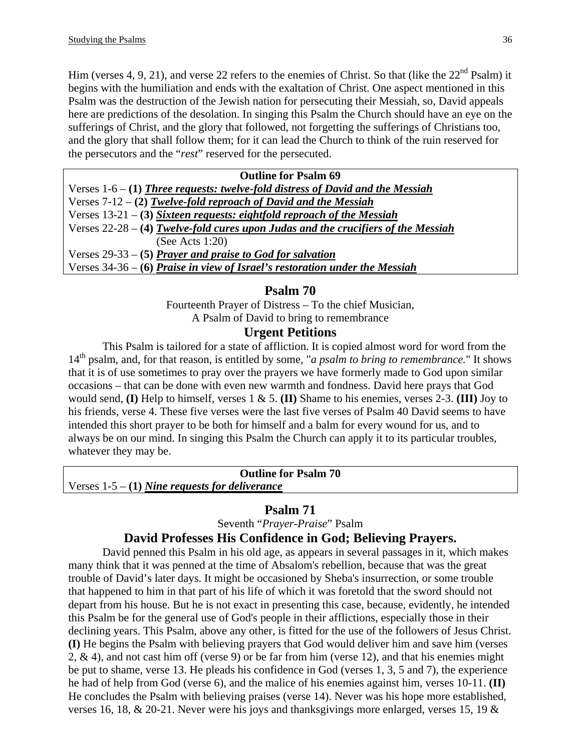Him (verses 4, 9, 21), and verse 22 refers to the enemies of Christ. So that (like the  $22<sup>nd</sup>$  Psalm) it begins with the humiliation and ends with the exaltation of Christ. One aspect mentioned in this Psalm was the destruction of the Jewish nation for persecuting their Messiah, so, David appeals here are predictions of the desolation. In singing this Psalm the Church should have an eye on the sufferings of Christ, and the glory that followed, not forgetting the sufferings of Christians too, and the glory that shall follow them; for it can lead the Church to think of the ruin reserved for the persecutors and the "*rest*" reserved for the persecuted.

| <b>Outline for Psalm 69</b>                                                         |
|-------------------------------------------------------------------------------------|
| Verses $1-6 - (1)$ Three requests: twelve-fold distress of David and the Messiah    |
| Verses $7-12 - (2)$ Twelve-fold reproach of David and the Messiah                   |
| Verses $13-21$ – (3) Sixteen requests: eightfold reproach of the Messiah            |
| Verses $22-28 - (4)$ Twelve-fold cures upon Judas and the crucifiers of the Messiah |
| (See Acts 1:20)                                                                     |
| Verses $29-33 - (5)$ Prayer and praise to God for salvation                         |
| Verses $34-36-6$ Praise in view of Israel's restoration under the Messiah           |

#### **Psalm 70**

Fourteenth Prayer of Distress – To the chief Musician, A Psalm of David to bring to remembrance

#### **Urgent Petitions**

This Psalm is tailored for a state of affliction. It is copied almost word for word from the 14th psalm, and, for that reason, is entitled by some, "*a psalm to bring to remembrance.*" It shows that it is of use sometimes to pray over the prayers we have formerly made to God upon similar occasions – that can be done with even new warmth and fondness. David here prays that God would send, **(I)** Help to himself, verses 1 & 5. **(II)** Shame to his enemies, verses 2-3. **(III)** Joy to his friends, verse 4. These five verses were the last five verses of Psalm 40 David seems to have intended this short prayer to be both for himself and a balm for every wound for us, and to always be on our mind. In singing this Psalm the Church can apply it to its particular troubles, whatever they may be.

**Outline for Psalm 70**  Verses 1-5 – **(1)** *Nine requests for deliverance*

### **Psalm 71**

Seventh "*Prayer-Praise*" Psalm

### **David Professes His Confidence in God; Believing Prayers.**

David penned this Psalm in his old age, as appears in several passages in it, which makes many think that it was penned at the time of Absalom's rebellion, because that was the great trouble of David's later days. It might be occasioned by Sheba's insurrection, or some trouble that happened to him in that part of his life of which it was foretold that the sword should not depart from his house. But he is not exact in presenting this case, because, evidently, he intended this Psalm be for the general use of God's people in their afflictions, especially those in their declining years. This Psalm, above any other, is fitted for the use of the followers of Jesus Christ. **(I)** He begins the Psalm with believing prayers that God would deliver him and save him (verses 2, & 4), and not cast him off (verse 9) or be far from him (verse 12), and that his enemies might be put to shame, verse 13. He pleads his confidence in God (verses 1, 3, 5 and 7), the experience he had of help from God (verse 6), and the malice of his enemies against him, verses 10-11. **(II)** He concludes the Psalm with believing praises (verse 14). Never was his hope more established, verses 16, 18, & 20-21. Never were his joys and thanksgivings more enlarged, verses 15, 19 &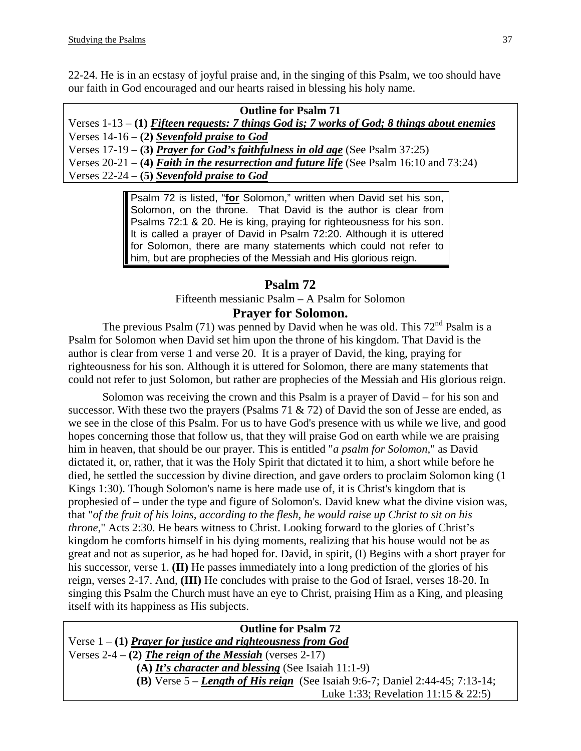22-24. He is in an ecstasy of joyful praise and, in the singing of this Psalm, we too should have our faith in God encouraged and our hearts raised in blessing his holy name.

| <b>Outline for Psalm 71</b>                                                                |
|--------------------------------------------------------------------------------------------|
| Verses $1-13-1$ Fifteen requests: 7 things God is; 7 works of God; 8 things about enemies  |
| Verses $14-16 - (2)$ Sevenfold praise to God                                               |
| Verses $17-19 - (3)$ Prayer for God's faithfulness in old age (See Psalm 37:25)            |
| Verses $20-21 - (4)$ Faith in the resurrection and future life (See Psalm 16:10 and 73:24) |
| Verses $22-24 - (5)$ Sevenfold praise to God                                               |

Psalm 72 is listed, "**for** Solomon," written when David set his son, Solomon, on the throne. That David is the author is clear from Psalms 72:1 & 20. He is king, praying for righteousness for his son. It is called a prayer of David in Psalm 72:20. Although it is uttered for Solomon, there are many statements which could not refer to him, but are prophecies of the Messiah and His glorious reign.

# **Psalm 72**

Fifteenth messianic Psalm – A Psalm for Solomon **Prayer for Solomon.** 

The previous Psalm (71) was penned by David when he was old. This  $72<sup>nd</sup>$  Psalm is a Psalm for Solomon when David set him upon the throne of his kingdom. That David is the author is clear from verse 1 and verse 20. It is a prayer of David, the king, praying for righteousness for his son. Although it is uttered for Solomon, there are many statements that could not refer to just Solomon, but rather are prophecies of the Messiah and His glorious reign.

Solomon was receiving the crown and this Psalm is a prayer of David – for his son and successor. With these two the prayers (Psalms 71  $\&$  72) of David the son of Jesse are ended, as we see in the close of this Psalm. For us to have God's presence with us while we live, and good hopes concerning those that follow us, that they will praise God on earth while we are praising him in heaven, that should be our prayer. This is entitled "*a psalm for Solomon,*" as David dictated it, or, rather, that it was the Holy Spirit that dictated it to him, a short while before he died, he settled the succession by divine direction, and gave orders to proclaim Solomon king (1 Kings 1:30). Though Solomon's name is here made use of, it is Christ's kingdom that is prophesied of – under the type and figure of Solomon's. David knew what the divine vision was, that "*of the fruit of his loins, according to the flesh, he would raise up Christ to sit on his throne*," Acts 2:30. He bears witness to Christ. Looking forward to the glories of Christ's kingdom he comforts himself in his dying moments, realizing that his house would not be as great and not as superior, as he had hoped for. David, in spirit, (I) Begins with a short prayer for his successor, verse 1. **(II)** He passes immediately into a long prediction of the glories of his reign, verses 2-17. And, **(III)** He concludes with praise to the God of Israel, verses 18-20. In singing this Psalm the Church must have an eye to Christ, praising Him as a King, and pleasing itself with its happiness as His subjects.

| <b>Outline for Psalm 72</b>                                                            |
|----------------------------------------------------------------------------------------|
| Verse $1 - (1)$ Prayer for justice and righteousness from God                          |
| Verses $2-4 - (2)$ The reign of the Messiah (verses 2-17)                              |
| (A) It's character and blessing (See Isaiah 11:1-9)                                    |
| <b>(B)</b> Verse $5 - Length$ of His reign (See Isaiah 9:6-7; Daniel 2:44-45; 7:13-14; |
| Luke 1:33; Revelation 11:15 & 22:5)                                                    |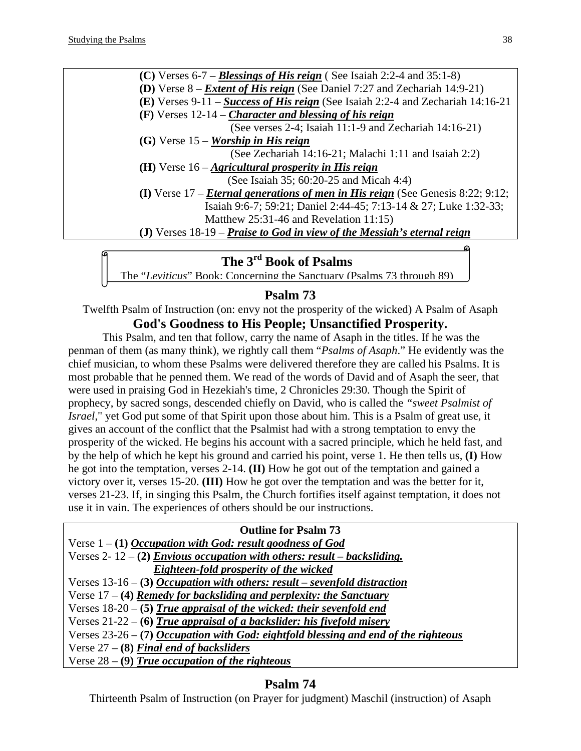**(C)** Verses 6-7 – *Blessings of His reign* ( See Isaiah 2:2-4 and 35:1-8) **(D)** Verse 8 – *Extent of His reign* (See Daniel 7:27 and Zechariah 14:9-21) **(E)** Verses 9-11 – *Success of His reign* (See Isaiah 2:2-4 and Zechariah 14:16-21 **(F)** Verses 12-14 – *Character and blessing of his reign* (See verses 2-4; Isaiah 11:1-9 and Zechariah 14:16-21)  **(G)** Verse 15 – *Worship in His reign* (See Zechariah 14:16-21; Malachi 1:11 and Isaiah 2:2) **(H)** Verse 16 – *Agricultural prosperity in His reign* (See Isaiah 35; 60:20-25 and Micah 4:4) **(I)** Verse 17 – *Eternal generations of men in His reign* (See Genesis 8:22; 9:12; Isaiah 9:6-7; 59:21; Daniel 2:44-45; 7:13-14 & 27; Luke 1:32-33; Matthew 25:31-46 and Revelation 11:15) **(J)** Verses 18-19 – *Praise to God in view of the Messiah's eternal reign*

# **The 3rd Book of Psalms**

The "*Leviticus*" Book: Concerning the Sanctuary (Psalms 73 through 89)

# **Psalm 73**

Twelfth Psalm of Instruction (on: envy not the prosperity of the wicked) A Psalm of Asaph **God's Goodness to His People; Unsanctified Prosperity.** 

This Psalm, and ten that follow, carry the name of Asaph in the titles. If he was the penman of them (as many think), we rightly call them "*Psalms of Asaph*." He evidently was the chief musician, to whom these Psalms were delivered therefore they are called his Psalms. It is most probable that he penned them. We read of the words of David and of Asaph the seer, that were used in praising God in Hezekiah's time, 2 Chronicles 29:30. Though the Spirit of prophecy, by sacred songs, descended chiefly on David, who is called the *"sweet Psalmist of Israel*," yet God put some of that Spirit upon those about him. This is a Psalm of great use, it gives an account of the conflict that the Psalmist had with a strong temptation to envy the prosperity of the wicked. He begins his account with a sacred principle, which he held fast, and by the help of which he kept his ground and carried his point, verse 1. He then tells us, **(I)** How he got into the temptation, verses 2-14. **(II)** How he got out of the temptation and gained a victory over it, verses 15-20. **(III)** How he got over the temptation and was the better for it, verses 21-23. If, in singing this Psalm, the Church fortifies itself against temptation, it does not use it in vain. The experiences of others should be our instructions.

| <b>Outline for Psalm 73</b>                                                           |
|---------------------------------------------------------------------------------------|
| Verse $1 - (1)$ <i>Occupation with God: result goodness of God</i>                    |
| Verses 2-12 - (2) <i>Envious occupation with others: result – backsliding.</i>        |
| Eighteen-fold prosperity of the wicked                                                |
| Verses $13-16 - (3)$ <i>Occupation with others: result – sevenfold distraction</i>    |
| Verse $17 - (4)$ Remedy for backsliding and perplexity: the Sanctuary                 |
| Verses $18-20$ – (5) True appraisal of the wicked: their sevenfold end                |
| Verses $21-22-6$ ) True appraisal of a backslider: his fivefold misery                |
| Verses $23-26$ – (7) Occupation with God: eightfold blessing and end of the righteous |
| Verse $27 - (8)$ Final end of backsliders                                             |
| Verse $28 - (9)$ True occupation of the righteous                                     |

# **Psalm 74**

Thirteenth Psalm of Instruction (on Prayer for judgment) Maschil (instruction) of Asaph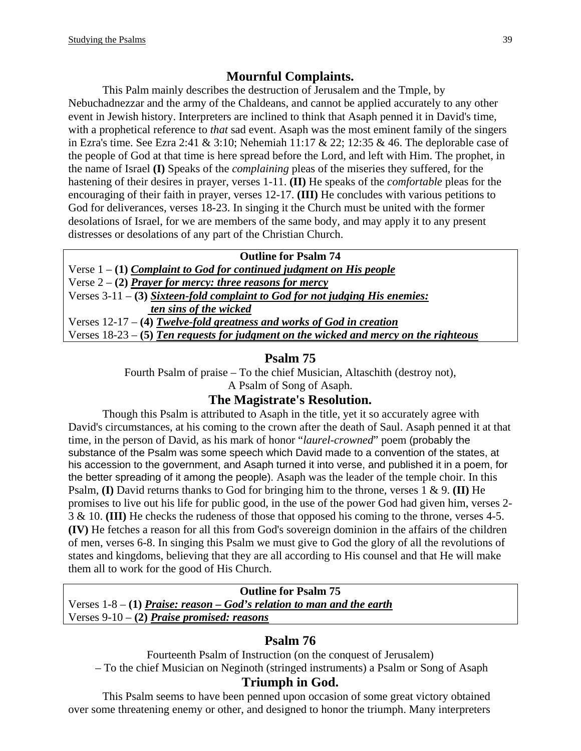# **Mournful Complaints.**

This Palm mainly describes the destruction of Jerusalem and the Tmple, by Nebuchadnezzar and the army of the Chaldeans, and cannot be applied accurately to any other event in Jewish history. Interpreters are inclined to think that Asaph penned it in David's time, with a prophetical reference to *that* sad event. Asaph was the most eminent family of the singers in Ezra's time. See Ezra 2:41 & 3:10; Nehemiah  $11:17$  & 22; 12:35 & 46. The deplorable case of the people of God at that time is here spread before the Lord, and left with Him. The prophet, in the name of Israel **(I)** Speaks of the *complaining* pleas of the miseries they suffered, for the hastening of their desires in prayer, verses 1-11. **(II)** He speaks of the *comfortable* pleas for the encouraging of their faith in prayer, verses 12-17. **(III)** He concludes with various petitions to God for deliverances, verses 18-23. In singing it the Church must be united with the former desolations of Israel, for we are members of the same body, and may apply it to any present distresses or desolations of any part of the Christian Church.

#### **Outline for Psalm 74**

Verse 1 – **(1)** *Complaint to God for continued judgment on His people* Verse 2 – **(2)** *Prayer for mercy: three reasons for mercy* Verses 3-11 – **(3)** *Sixteen-fold complaint to God for not judging His enemies: ten sins of the wicked* Verses 12-17 – **(4)** *Twelve-fold greatness and works of God in creation* Verses 18-23 – **(5)** *Ten requests for judgment on the wicked and mercy on the righteous*

#### **Psalm 75**

Fourth Psalm of praise – To the chief Musician, Altaschith (destroy not),

# A Psalm of Song of Asaph.

# **The Magistrate's Resolution.**

Though this Psalm is attributed to Asaph in the title, yet it so accurately agree with David's circumstances, at his coming to the crown after the death of Saul. Asaph penned it at that time, in the person of David, as his mark of honor "*laurel-crowned*" poem (probably the substance of the Psalm was some speech which David made to a convention of the states, at his accession to the government, and Asaph turned it into verse, and published it in a poem, for the better spreading of it among the people). Asaph was the leader of the temple choir. In this Psalm, **(I)** David returns thanks to God for bringing him to the throne, verses 1 & 9. **(II)** He promises to live out his life for public good, in the use of the power God had given him, verses 2- 3 & 10. **(III)** He checks the rudeness of those that opposed his coming to the throne, verses 4-5. **(IV)** He fetches a reason for all this from God's sovereign dominion in the affairs of the children of men, verses 6-8. In singing this Psalm we must give to God the glory of all the revolutions of states and kingdoms, believing that they are all according to His counsel and that He will make them all to work for the good of His Church.

#### **Outline for Psalm 75**  Verses 1-8 – **(1)** *Praise: reason – God's relation to man and the earth* Verses 9-10 – **(2)** *Praise promised: reasons*

# **Psalm 76**

Fourteenth Psalm of Instruction (on the conquest of Jerusalem) – To the chief Musician on Neginoth (stringed instruments) a Psalm or Song of Asaph

#### **Triumph in God.**

This Psalm seems to have been penned upon occasion of some great victory obtained over some threatening enemy or other, and designed to honor the triumph. Many interpreters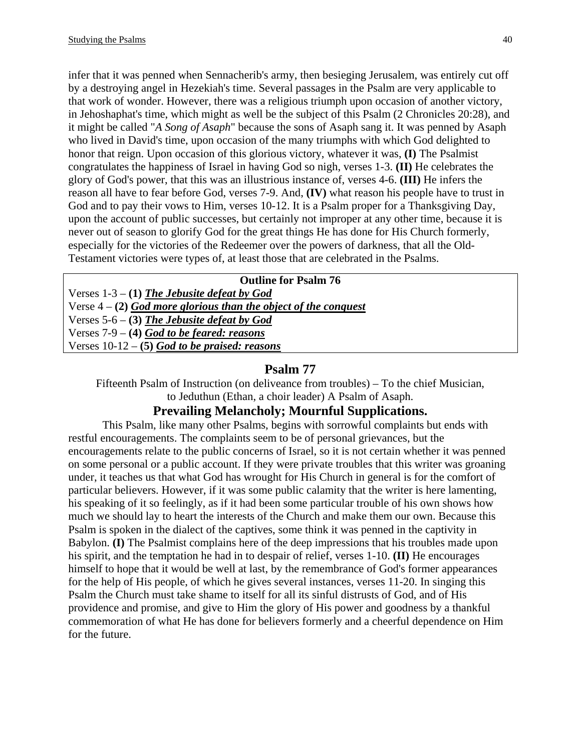infer that it was penned when Sennacherib's army, then besieging Jerusalem, was entirely cut off by a destroying angel in Hezekiah's time. Several passages in the Psalm are very applicable to that work of wonder. However, there was a religious triumph upon occasion of another victory, in Jehoshaphat's time, which might as well be the subject of this Psalm (2 Chronicles 20:28), and it might be called "*A Song of Asaph*" because the sons of Asaph sang it. It was penned by Asaph who lived in David's time, upon occasion of the many triumphs with which God delighted to honor that reign. Upon occasion of this glorious victory, whatever it was, **(I)** The Psalmist congratulates the happiness of Israel in having God so nigh, verses 1-3. **(II)** He celebrates the glory of God's power, that this was an illustrious instance of, verses 4-6. **(III)** He infers the reason all have to fear before God, verses 7-9. And, **(IV)** what reason his people have to trust in God and to pay their vows to Him, verses 10-12. It is a Psalm proper for a Thanksgiving Day, upon the account of public successes, but certainly not improper at any other time, because it is never out of season to glorify God for the great things He has done for His Church formerly, especially for the victories of the Redeemer over the powers of darkness, that all the Old-Testament victories were types of, at least those that are celebrated in the Psalms.

| <b>Outline for Psalm 76</b>                                       |
|-------------------------------------------------------------------|
| Verses $1-3 - (1)$ The Jebusite defeat by God                     |
| Verse $4 - (2)$ God more glorious than the object of the conquest |
| Verses $5-6$ – (3) The Jebusite defeat by God                     |
| Verses $7-9 - (4)$ God to be feared: reasons                      |
| Verses $10-12-5$ God to be praised: reasons                       |

#### **Psalm 77**

Fifteenth Psalm of Instruction (on deliveance from troubles) – To the chief Musician, to Jeduthun (Ethan, a choir leader) A Psalm of Asaph.

#### **Prevailing Melancholy; Mournful Supplications.**

This Psalm, like many other Psalms, begins with sorrowful complaints but ends with restful encouragements. The complaints seem to be of personal grievances, but the encouragements relate to the public concerns of Israel, so it is not certain whether it was penned on some personal or a public account. If they were private troubles that this writer was groaning under, it teaches us that what God has wrought for His Church in general is for the comfort of particular believers. However, if it was some public calamity that the writer is here lamenting, his speaking of it so feelingly, as if it had been some particular trouble of his own shows how much we should lay to heart the interests of the Church and make them our own. Because this Psalm is spoken in the dialect of the captives, some think it was penned in the captivity in Babylon. **(I)** The Psalmist complains here of the deep impressions that his troubles made upon his spirit, and the temptation he had in to despair of relief, verses 1-10. **(II)** He encourages himself to hope that it would be well at last, by the remembrance of God's former appearances for the help of His people, of which he gives several instances, verses 11-20. In singing this Psalm the Church must take shame to itself for all its sinful distrusts of God, and of His providence and promise, and give to Him the glory of His power and goodness by a thankful commemoration of what He has done for believers formerly and a cheerful dependence on Him for the future.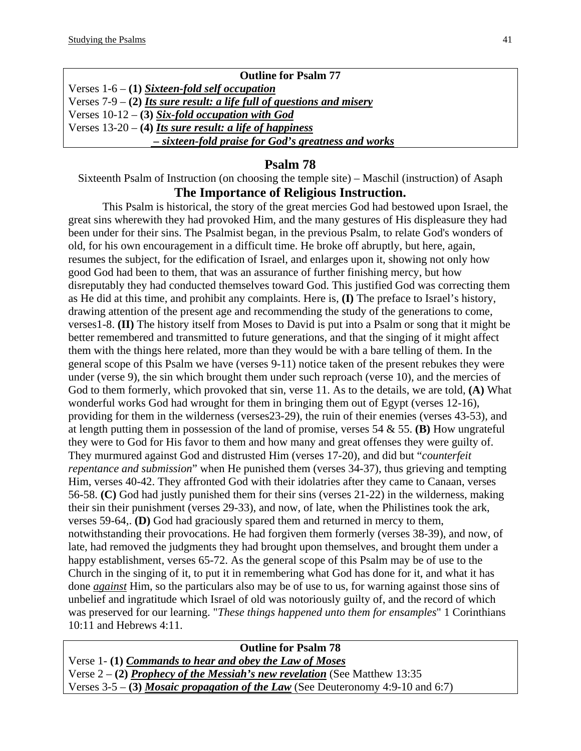| <b>Outline for Psalm 77</b>                                             |
|-------------------------------------------------------------------------|
| Verses $1-6 - (1)$ Sixteen-fold self occupation                         |
| Verses $7-9 - (2)$ Its sure result: a life full of questions and misery |
| Verses $10-12$ – (3) Six-fold occupation with God                       |
| Verses $13-20 - (4)$ Its sure result: a life of happiness               |
| - sixteen-fold praise for God's greatness and works                     |

Sixteenth Psalm of Instruction (on choosing the temple site) – Maschil (instruction) of Asaph

# **The Importance of Religious Instruction.**

This Psalm is historical, the story of the great mercies God had bestowed upon Israel, the great sins wherewith they had provoked Him, and the many gestures of His displeasure they had been under for their sins. The Psalmist began, in the previous Psalm, to relate God's wonders of old, for his own encouragement in a difficult time. He broke off abruptly, but here, again, resumes the subject, for the edification of Israel, and enlarges upon it, showing not only how good God had been to them, that was an assurance of further finishing mercy, but how disreputably they had conducted themselves toward God. This justified God was correcting them as He did at this time, and prohibit any complaints. Here is, **(I)** The preface to Israel's history, drawing attention of the present age and recommending the study of the generations to come, verses1-8. **(II)** The history itself from Moses to David is put into a Psalm or song that it might be better remembered and transmitted to future generations, and that the singing of it might affect them with the things here related, more than they would be with a bare telling of them. In the general scope of this Psalm we have (verses 9-11) notice taken of the present rebukes they were under (verse 9), the sin which brought them under such reproach (verse 10), and the mercies of God to them formerly, which provoked that sin, verse 11. As to the details, we are told, **(A)** What wonderful works God had wrought for them in bringing them out of Egypt (verses 12-16), providing for them in the wilderness (verses23-29), the ruin of their enemies (verses 43-53), and at length putting them in possession of the land of promise, verses 54 & 55. **(B)** How ungrateful they were to God for His favor to them and how many and great offenses they were guilty of. They murmured against God and distrusted Him (verses 17-20), and did but "*counterfeit repentance and submission*" when He punished them (verses 34-37), thus grieving and tempting Him, verses 40-42. They affronted God with their idolatries after they came to Canaan, verses 56-58. **(C)** God had justly punished them for their sins (verses 21-22) in the wilderness, making their sin their punishment (verses 29-33), and now, of late, when the Philistines took the ark, verses 59-64,. **(D)** God had graciously spared them and returned in mercy to them, notwithstanding their provocations. He had forgiven them formerly (verses 38-39), and now, of late, had removed the judgments they had brought upon themselves, and brought them under a happy establishment, verses 65-72. As the general scope of this Psalm may be of use to the Church in the singing of it, to put it in remembering what God has done for it, and what it has done *against* Him, so the particulars also may be of use to us, for warning against those sins of unbelief and ingratitude which Israel of old was notoriously guilty of, and the record of which was preserved for our learning. "*These things happened unto them for ensamples*" 1 Corinthians 10:11 and Hebrews 4:11.

**Outline for Psalm 78**  Verse 1- **(1)** *Commands to hear and obey the Law of Moses* Verse 2 – **(2)** *Prophecy of the Messiah's new revelation* (See Matthew 13:35 Verses 3-5 – **(3)** *Mosaic propagation of the Law* (See Deuteronomy 4:9-10 and 6:7)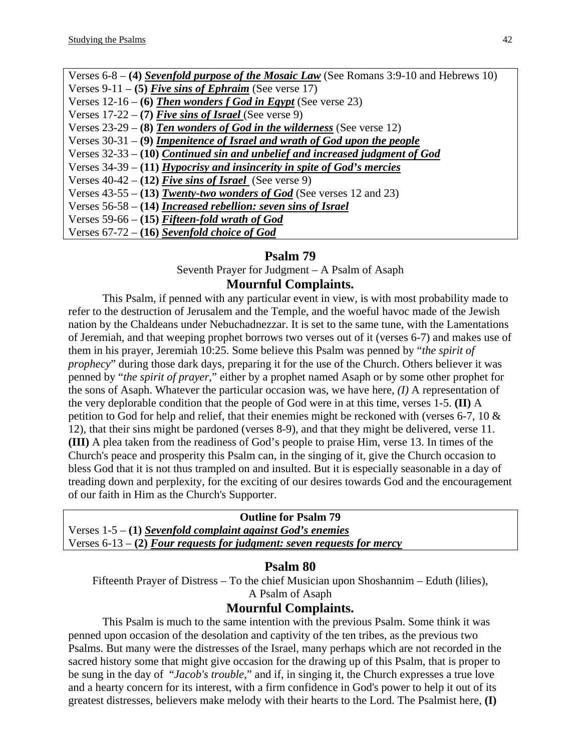| Verses 6-8 – (4) Sevenfold purpose of the Mosaic Law (See Romans 3:9-10 and Hebrews 10) |
|-----------------------------------------------------------------------------------------|
| Verses 9-11 – (5) Five sins of Ephraim (See verse 17)                                   |
| Verses $12-16 - (6)$ Then wonders f God in Egypt (See verse 23)                         |
| Verses $17-22 - (7)$ Five sins of Israel (See verse 9)                                  |
| Verses $23-29$ – (8) Ten wonders of God in the wilderness (See verse 12)                |
| Verses $30-31 - (9)$ <i>Impenitence of Israel and wrath of God upon the people</i>      |
| Verses $32-33 - (10)$ Continued sin and unbelief and increased judgment of God          |
| Verses $34-39 - (11)$ Hypocrisy and insincerity in spite of God's mercies               |
| Verses $40-42 - (12)$ Five sins of Israel (See verse 9)                                 |
| Verses $43-55 - (13)$ Twenty-two wonders of God (See verses 12 and 23)                  |
| Verses $56-58 - (14)$ <i>Increased rebellion: seven sins of Israel</i>                  |
| Verses 59-66 – (15) Fifteen-fold wrath of God                                           |
| Verses $67-72 - (16)$ Sevenfold choice of God                                           |

Seventh Prayer for Judgment – A Psalm of Asaph **Mournful Complaints.** 

This Psalm, if penned with any particular event in view, is with most probability made to refer to the destruction of Jerusalem and the Temple, and the woeful havoc made of the Jewish nation by the Chaldeans under Nebuchadnezzar. It is set to the same tune, with the Lamentations of Jeremiah, and that weeping prophet borrows two verses out of it (verses 6-7) and makes use of them in his prayer, Jeremiah 10:25. Some believe this Psalm was penned by "*the spirit of prophecy*" during those dark days, preparing it for the use of the Church. Others believer it was penned by "*the spirit of prayer*," either by a prophet named Asaph or by some other prophet for the sons of Asaph. Whatever the particular occasion was, we have here, *(I)* A representation of the very deplorable condition that the people of God were in at this time, verses 1-5. **(II)** A petition to God for help and relief, that their enemies might be reckoned with (verses 6-7, 10 & 12), that their sins might be pardoned (verses 8-9), and that they might be delivered, verse 11. **(III)** A plea taken from the readiness of God's people to praise Him, verse 13. In times of the Church's peace and prosperity this Psalm can, in the singing of it, give the Church occasion to bless God that it is not thus trampled on and insulted. But it is especially seasonable in a day of treading down and perplexity, for the exciting of our desires towards God and the encouragement of our faith in Him as the Church's Supporter.

**Outline for Psalm 79**  Verses 1-5 – **(1)** *Sevenfold complaint against God's enemies* Verses 6-13 – **(2)** *Four requests for judgment: seven requests for mercy*

#### **Psalm 80**

Fifteenth Prayer of Distress – To the chief Musician upon Shoshannim – Eduth (lilies), A Psalm of Asaph

#### **Mournful Complaints.**

This Psalm is much to the same intention with the previous Psalm. Some think it was penned upon occasion of the desolation and captivity of the ten tribes, as the previous two Psalms. But many were the distresses of the Israel, many perhaps which are not recorded in the sacred history some that might give occasion for the drawing up of this Psalm, that is proper to be sung in the day of "*Jacob's trouble*," and if, in singing it, the Church expresses a true love and a hearty concern for its interest, with a firm confidence in God's power to help it out of its greatest distresses, believers make melody with their hearts to the Lord. The Psalmist here, **(I)**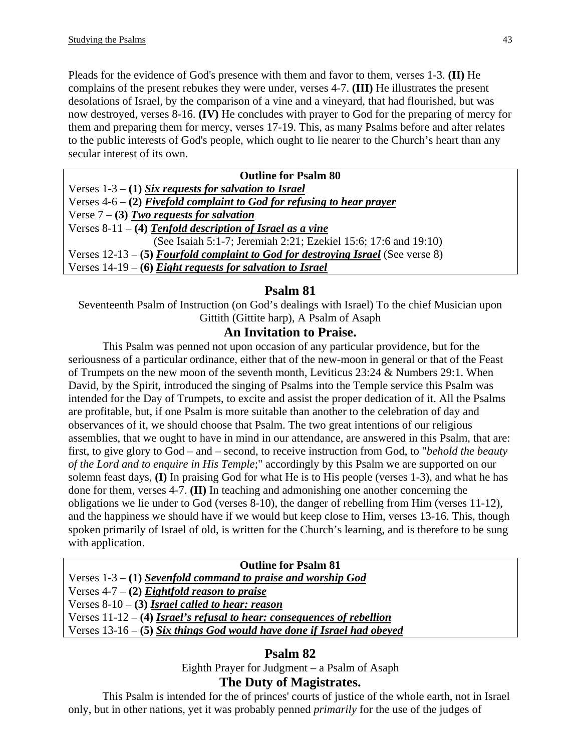Pleads for the evidence of God's presence with them and favor to them, verses 1-3. **(II)** He complains of the present rebukes they were under, verses 4-7. **(III)** He illustrates the present desolations of Israel, by the comparison of a vine and a vineyard, that had flourished, but was now destroyed, verses 8-16. **(IV)** He concludes with prayer to God for the preparing of mercy for them and preparing them for mercy, verses 17-19. This, as many Psalms before and after relates to the public interests of God's people, which ought to lie nearer to the Church's heart than any secular interest of its own.

| <b>Outline for Psalm 80</b>                                                    |
|--------------------------------------------------------------------------------|
| Verses $1-3 - (1)$ Six requests for salvation to Israel                        |
| Verses $4-6 - (2)$ Fivefold complaint to God for refusing to hear prayer       |
| Verse $7 - (3)$ Two requests for salvation                                     |
| Verses $8-11 - (4)$ Tenfold description of Israel as a vine                    |
| (See Isaiah 5:1-7; Jeremiah 2:21; Ezekiel 15:6; 17:6 and 19:10)                |
| Verses $12-13-5$ Fourfold complaint to God for destroying Israel (See verse 8) |
| Verses $14-19-$ (6) Eight requests for salvation to Israel                     |
|                                                                                |

# **Psalm 81**

Seventeenth Psalm of Instruction (on God's dealings with Israel) To the chief Musician upon Gittith (Gittite harp), A Psalm of Asaph

# **An Invitation to Praise.**

This Psalm was penned not upon occasion of any particular providence, but for the seriousness of a particular ordinance, either that of the new-moon in general or that of the Feast of Trumpets on the new moon of the seventh month, Leviticus 23:24 & Numbers 29:1. When David, by the Spirit, introduced the singing of Psalms into the Temple service this Psalm was intended for the Day of Trumpets, to excite and assist the proper dedication of it. All the Psalms are profitable, but, if one Psalm is more suitable than another to the celebration of day and observances of it, we should choose that Psalm. The two great intentions of our religious assemblies, that we ought to have in mind in our attendance, are answered in this Psalm, that are: first, to give glory to God – and – second, to receive instruction from God, to "*behold the beauty of the Lord and to enquire in His Temple*;" accordingly by this Psalm we are supported on our solemn feast days, **(I)** In praising God for what He is to His people (verses 1-3), and what he has done for them, verses 4-7. **(II)** In teaching and admonishing one another concerning the obligations we lie under to God (verses 8-10), the danger of rebelling from Him (verses 11-12), and the happiness we should have if we would but keep close to Him, verses 13-16. This, though spoken primarily of Israel of old, is written for the Church's learning, and is therefore to be sung with application.

#### **Outline for Psalm 81**

Verses 1-3 – **(1)** *Sevenfold command to praise and worship God* Verses 4-7 – **(2)** *Eightfold reason to praise* Verses 8-10 – **(3)** *Israel called to hear: reason* Verses 11-12 – **(4)** *Israel's refusal to hear: consequences of rebellion* Verses 13-16 – **(5)** *Six things God would have done if Israel had obeyed*

# **Psalm 82**

Eighth Prayer for Judgment – a Psalm of Asaph

# **The Duty of Magistrates.**

This Psalm is intended for the of princes' courts of justice of the whole earth, not in Israel only, but in other nations, yet it was probably penned *primarily* for the use of the judges of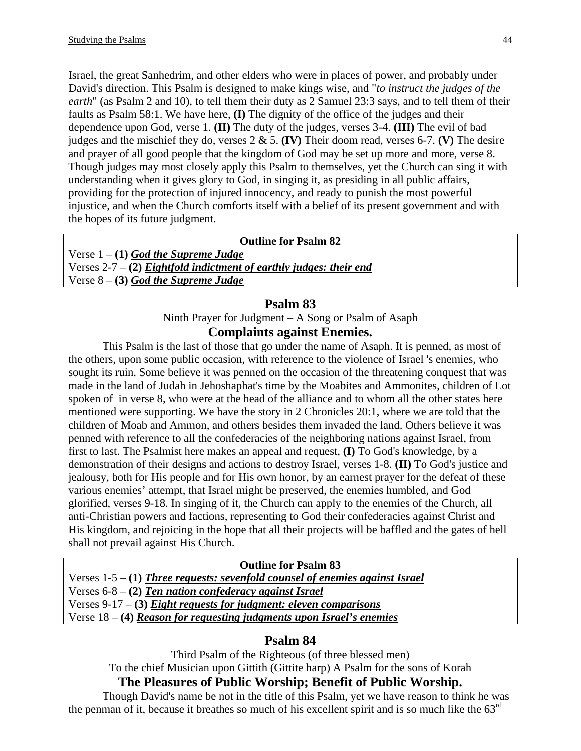Israel, the great Sanhedrim, and other elders who were in places of power, and probably under David's direction. This Psalm is designed to make kings wise, and "*to instruct the judges of the earth*" (as Psalm 2 and 10), to tell them their duty as 2 Samuel 23:3 says, and to tell them of their faults as Psalm 58:1. We have here, **(I)** The dignity of the office of the judges and their dependence upon God, verse 1. **(II)** The duty of the judges, verses 3-4. **(III)** The evil of bad judges and the mischief they do, verses 2 & 5. **(IV)** Their doom read, verses 6-7. **(V)** The desire and prayer of all good people that the kingdom of God may be set up more and more, verse 8. Though judges may most closely apply this Psalm to themselves, yet the Church can sing it with understanding when it gives glory to God, in singing it, as presiding in all public affairs, providing for the protection of injured innocency, and ready to punish the most powerful injustice, and when the Church comforts itself with a belief of its present government and with the hopes of its future judgment.

**Outline for Psalm 82**  Verse 1 – **(1)** *God the Supreme Judge* Verses 2-7 – **(2)** *Eightfold indictment of earthly judges: their end* Verse 8 – **(3)** *God the Supreme Judge*

# **Psalm 83**

Ninth Prayer for Judgment – A Song or Psalm of Asaph

# **Complaints against Enemies.**

This Psalm is the last of those that go under the name of Asaph. It is penned, as most of the others, upon some public occasion, with reference to the violence of Israel 's enemies, who sought its ruin. Some believe it was penned on the occasion of the threatening conquest that was made in the land of Judah in Jehoshaphat's time by the Moabites and Ammonites, children of Lot spoken of in verse 8, who were at the head of the alliance and to whom all the other states here mentioned were supporting. We have the story in 2 Chronicles 20:1, where we are told that the children of Moab and Ammon, and others besides them invaded the land. Others believe it was penned with reference to all the confederacies of the neighboring nations against Israel, from first to last. The Psalmist here makes an appeal and request, **(I)** To God's knowledge, by a demonstration of their designs and actions to destroy Israel, verses 1-8. **(II)** To God's justice and jealousy, both for His people and for His own honor, by an earnest prayer for the defeat of these various enemies' attempt, that Israel might be preserved, the enemies humbled, and God glorified, verses 9-18. In singing of it, the Church can apply to the enemies of the Church, all anti-Christian powers and factions, representing to God their confederacies against Christ and His kingdom, and rejoicing in the hope that all their projects will be baffled and the gates of hell shall not prevail against His Church.

#### **Outline for Psalm 83**

Verses 1-5 – **(1)** *Three requests: sevenfold counsel of enemies against Israel* Verses 6-8 – **(2)** *Ten nation confederacy against Israel* Verses 9-17 – **(3)** *Eight requests for judgment: eleven comparisons* Verse 18 – **(4)** *Reason for requesting judgments upon Israel's enemies*

# **Psalm 84**

Third Psalm of the Righteous (of three blessed men) To the chief Musician upon Gittith (Gittite harp) A Psalm for the sons of Korah

# **The Pleasures of Public Worship; Benefit of Public Worship.**

Though David's name be not in the title of this Psalm, yet we have reason to think he was the penman of it, because it breathes so much of his excellent spirit and is so much like the  $63<sup>rd</sup>$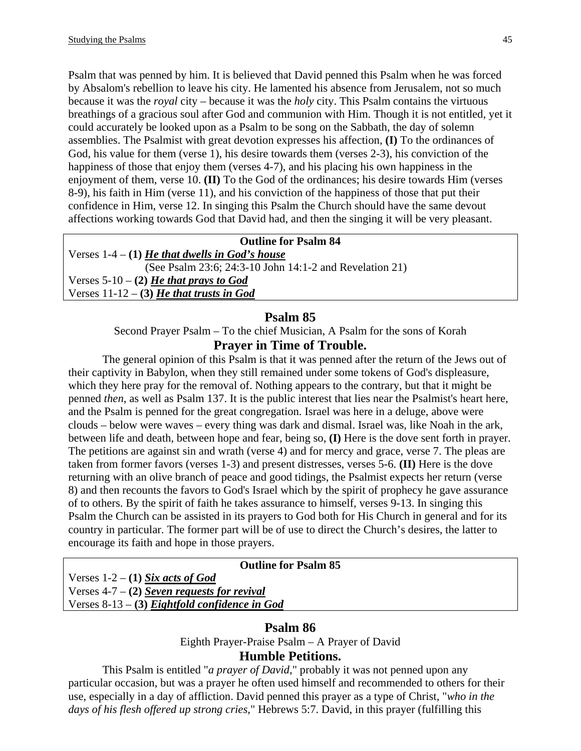Psalm that was penned by him. It is believed that David penned this Psalm when he was forced by Absalom's rebellion to leave his city. He lamented his absence from Jerusalem, not so much because it was the *royal* city – because it was the *holy* city. This Psalm contains the virtuous breathings of a gracious soul after God and communion with Him. Though it is not entitled, yet it could accurately be looked upon as a Psalm to be song on the Sabbath, the day of solemn assemblies. The Psalmist with great devotion expresses his affection, **(I)** To the ordinances of God, his value for them (verse 1), his desire towards them (verses 2-3), his conviction of the happiness of those that enjoy them (verses 4-7), and his placing his own happiness in the enjoyment of them, verse 10. **(II)** To the God of the ordinances; his desire towards Him (verses 8-9), his faith in Him (verse 11), and his conviction of the happiness of those that put their confidence in Him, verse 12. In singing this Psalm the Church should have the same devout affections working towards God that David had, and then the singing it will be very pleasant.

#### **Outline for Psalm 84**

Verses  $1-4 - (1)$  *He that dwells in God's house* (See Psalm 23:6; 24:3-10 John 14:1-2 and Revelation 21) Verses  $5-10-2$ ) *He that prays to God* Verses 11-12 – **(3)** *He that trusts in God*

# **Psalm 85**

Second Prayer Psalm – To the chief Musician, A Psalm for the sons of Korah **Prayer in Time of Trouble.** 

The general opinion of this Psalm is that it was penned after the return of the Jews out of their captivity in Babylon, when they still remained under some tokens of God's displeasure, which they here pray for the removal of. Nothing appears to the contrary, but that it might be penned *then*, as well as Psalm 137. It is the public interest that lies near the Psalmist's heart here, and the Psalm is penned for the great congregation. Israel was here in a deluge, above were clouds – below were waves – every thing was dark and dismal. Israel was, like Noah in the ark, between life and death, between hope and fear, being so, **(I)** Here is the dove sent forth in prayer. The petitions are against sin and wrath (verse 4) and for mercy and grace, verse 7. The pleas are taken from former favors (verses 1-3) and present distresses, verses 5-6. **(II)** Here is the dove returning with an olive branch of peace and good tidings, the Psalmist expects her return (verse 8) and then recounts the favors to God's Israel which by the spirit of prophecy he gave assurance of to others. By the spirit of faith he takes assurance to himself, verses 9-13. In singing this Psalm the Church can be assisted in its prayers to God both for His Church in general and for its country in particular. The former part will be of use to direct the Church's desires, the latter to encourage its faith and hope in those prayers.

#### **Outline for Psalm 85**

Verses  $1-2 - (1)$  *Six acts of God* Verses 4-7 – **(2)** *Seven requests for revival* Verses 8-13 – **(3)** *Eightfold confidence in God*

#### **Psalm 86**

Eighth Prayer-Praise Psalm – A Prayer of David

# **Humble Petitions.**

This Psalm is entitled "*a prayer of David*," probably it was not penned upon any particular occasion, but was a prayer he often used himself and recommended to others for their use, especially in a day of affliction. David penned this prayer as a type of Christ, "*who in the days of his flesh offered up strong cries*," Hebrews 5:7. David, in this prayer (fulfilling this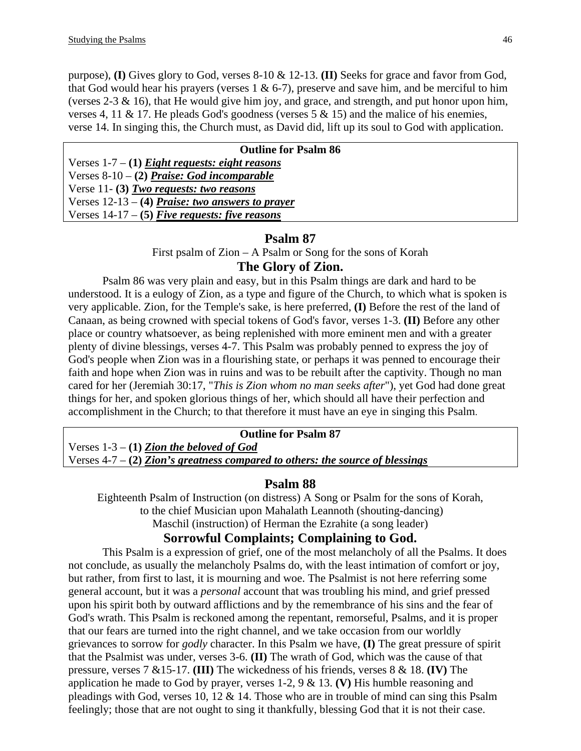purpose), **(I)** Gives glory to God, verses 8-10 & 12-13. **(II)** Seeks for grace and favor from God, that God would hear his prayers (verses  $1 \& 6-7$ ), preserve and save him, and be merciful to him (verses 2-3  $\&$  16), that He would give him joy, and grace, and strength, and put honor upon him, verses 4, 11 & 17. He pleads God's goodness (verses  $5 < 15$ ) and the malice of his enemies, verse 14. In singing this, the Church must, as David did, lift up its soul to God with application.

| <b>Outline for Psalm 86</b>                        |
|----------------------------------------------------|
| Verses $1-7 - (1)$ Eight requests: eight reasons   |
| Verses $8-10-2$ ) Praise: God incomparable         |
| Verse 11- $(3)$ Two requests: two reasons          |
| Verses $12-13 - (4)$ Praise: two answers to prayer |
| Verses $14-17-5$ Five requests: five reasons       |
|                                                    |

#### **Psalm 87**

First psalm of Zion – A Psalm or Song for the sons of Korah

# **The Glory of Zion.**

Psalm 86 was very plain and easy, but in this Psalm things are dark and hard to be understood. It is a eulogy of Zion, as a type and figure of the Church, to which what is spoken is very applicable. Zion, for the Temple's sake, is here preferred, **(I)** Before the rest of the land of Canaan, as being crowned with special tokens of God's favor, verses 1-3. **(II)** Before any other place or country whatsoever, as being replenished with more eminent men and with a greater plenty of divine blessings, verses 4-7. This Psalm was probably penned to express the joy of God's people when Zion was in a flourishing state, or perhaps it was penned to encourage their faith and hope when Zion was in ruins and was to be rebuilt after the captivity. Though no man cared for her (Jeremiah 30:17, "*This is Zion whom no man seeks after*"), yet God had done great things for her, and spoken glorious things of her, which should all have their perfection and accomplishment in the Church; to that therefore it must have an eye in singing this Psalm.

#### **Outline for Psalm 87**

Verses 1-3 – **(1)** *Zion the beloved of God* Verses 4-7 – **(2)** *Zion's greatness compared to others: the source of blessings*

#### **Psalm 88**

Eighteenth Psalm of Instruction (on distress) A Song or Psalm for the sons of Korah, to the chief Musician upon Mahalath Leannoth (shouting-dancing) Maschil (instruction) of Herman the Ezrahite (a song leader)

#### **Sorrowful Complaints; Complaining to God.**

This Psalm is a expression of grief, one of the most melancholy of all the Psalms. It does not conclude, as usually the melancholy Psalms do, with the least intimation of comfort or joy, but rather, from first to last, it is mourning and woe. The Psalmist is not here referring some general account, but it was a *personal* account that was troubling his mind, and grief pressed upon his spirit both by outward afflictions and by the remembrance of his sins and the fear of God's wrath. This Psalm is reckoned among the repentant, remorseful, Psalms, and it is proper that our fears are turned into the right channel, and we take occasion from our worldly grievances to sorrow for *godly* character. In this Psalm we have, **(I)** The great pressure of spirit that the Psalmist was under, verses 3-6. **(II)** The wrath of God, which was the cause of that pressure, verses 7 &15-17. **(III)** The wickedness of his friends, verses 8 & 18. **(IV)** The application he made to God by prayer, verses 1-2, 9 & 13. **(V)** His humble reasoning and pleadings with God, verses 10, 12 & 14. Those who are in trouble of mind can sing this Psalm feelingly; those that are not ought to sing it thankfully, blessing God that it is not their case.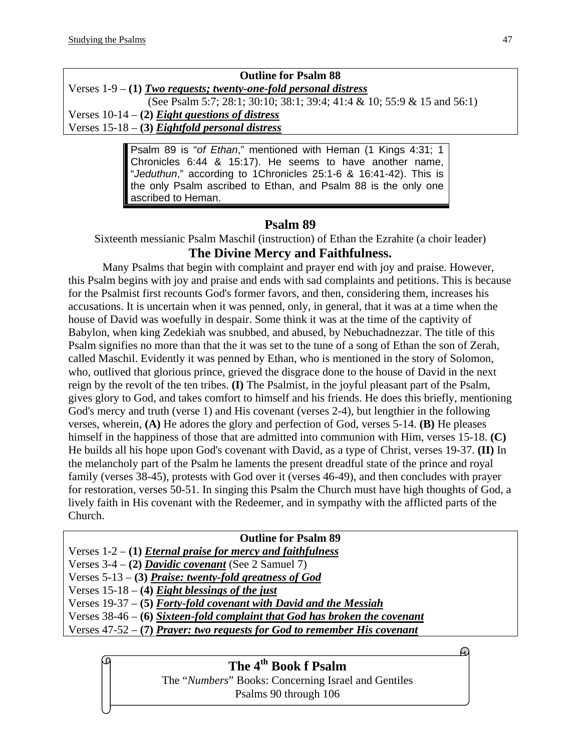# **Outline for Psalm 88**

Verses 1-9 – **(1)** *Two requests; twenty-one-fold personal distress*

 (See Psalm 5:7; 28:1; 30:10; 38:1; 39:4; 41:4 & 10; 55:9 & 15 and 56:1) Verses 10-14 – **(2)** *Eight questions of distress* Verses 15-18 – **(3)** *Eightfold personal distress*

> Psalm 89 is "*of Ethan*," mentioned with Heman (1 Kings 4:31; 1 Chronicles 6:44 & 15:17). He seems to have another name, "*Jeduthun*," according to 1Chronicles 25:1-6 & 16:41-42). This is the only Psalm ascribed to Ethan, and Psalm 88 is the only one ascribed to Heman.

# **Psalm 89**

Sixteenth messianic Psalm Maschil (instruction) of Ethan the Ezrahite (a choir leader) **The Divine Mercy and Faithfulness.** 

Many Psalms that begin with complaint and prayer end with joy and praise. However, this Psalm begins with joy and praise and ends with sad complaints and petitions. This is because for the Psalmist first recounts God's former favors, and then, considering them, increases his accusations. It is uncertain when it was penned, only, in general, that it was at a time when the house of David was woefully in despair. Some think it was at the time of the captivity of Babylon, when king Zedekiah was snubbed, and abused, by Nebuchadnezzar. The title of this Psalm signifies no more than that the it was set to the tune of a song of Ethan the son of Zerah, called Maschil. Evidently it was penned by Ethan, who is mentioned in the story of Solomon, who, outlived that glorious prince, grieved the disgrace done to the house of David in the next reign by the revolt of the ten tribes. **(I)** The Psalmist, in the joyful pleasant part of the Psalm, gives glory to God, and takes comfort to himself and his friends. He does this briefly, mentioning God's mercy and truth (verse 1) and His covenant (verses 2-4), but lengthier in the following verses, wherein, **(A)** He adores the glory and perfection of God, verses 5-14. **(B)** He pleases himself in the happiness of those that are admitted into communion with Him, verses 15-18. **(C)** He builds all his hope upon God's covenant with David, as a type of Christ, verses 19-37. **(II)** In the melancholy part of the Psalm he laments the present dreadful state of the prince and royal family (verses 38-45), protests with God over it (verses 46-49), and then concludes with prayer for restoration, verses 50-51. In singing this Psalm the Church must have high thoughts of God, a lively faith in His covenant with the Redeemer, and in sympathy with the afflicted parts of the Church.

#### **Outline for Psalm 89**  Verses 1-2 – **(1)** *Eternal praise for mercy and faithfulness* Verses 3-4 – **(2)** *Davidic covenant* (See 2 Samuel 7) Verses 5-13 – **(3)** *Praise: twenty-fold greatness of God* Verses 15-18 – **(4)** *Eight blessings of the just* Verses 19-37 – **(5)** *Forty-fold covenant with David and the Messiah* Verses 38-46 – **(6)** *Sixteen-fold complaint that God has broken the covenant* Verses 47-52 – **(7)** *Prayer: two requests for God to remember His covenant*

The "*Numbers*" Books: Concerning Israel and Gentiles Psalms 90 through 106 **The 4th Book f Psalm** 

6.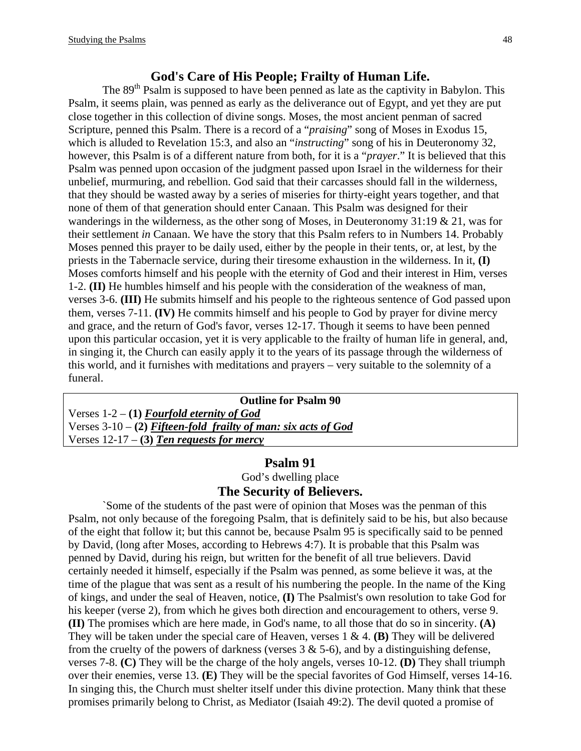#### **God's Care of His People; Frailty of Human Life.**

The 89<sup>th</sup> Psalm is supposed to have been penned as late as the captivity in Babylon. This Psalm, it seems plain, was penned as early as the deliverance out of Egypt, and yet they are put close together in this collection of divine songs. Moses, the most ancient penman of sacred Scripture, penned this Psalm. There is a record of a "*praising*" song of Moses in Exodus 15, which is alluded to Revelation 15:3, and also an "*instructing*" song of his in Deuteronomy 32, however, this Psalm is of a different nature from both, for it is a "*prayer*." It is believed that this Psalm was penned upon occasion of the judgment passed upon Israel in the wilderness for their unbelief, murmuring, and rebellion. God said that their carcasses should fall in the wilderness, that they should be wasted away by a series of miseries for thirty-eight years together, and that none of them of that generation should enter Canaan. This Psalm was designed for their wanderings in the wilderness, as the other song of Moses, in Deuteronomy 31:19 & 21, was for their settlement *in* Canaan. We have the story that this Psalm refers to in Numbers 14. Probably Moses penned this prayer to be daily used, either by the people in their tents, or, at lest, by the priests in the Tabernacle service, during their tiresome exhaustion in the wilderness. In it, **(I)** Moses comforts himself and his people with the eternity of God and their interest in Him, verses 1-2. **(II)** He humbles himself and his people with the consideration of the weakness of man, verses 3-6. **(III)** He submits himself and his people to the righteous sentence of God passed upon them, verses 7-11. **(IV)** He commits himself and his people to God by prayer for divine mercy and grace, and the return of God's favor, verses 12-17. Though it seems to have been penned upon this particular occasion, yet it is very applicable to the frailty of human life in general, and, in singing it, the Church can easily apply it to the years of its passage through the wilderness of this world, and it furnishes with meditations and prayers – very suitable to the solemnity of a funeral.

| <b>Outline for Psalm 90</b>                                      |
|------------------------------------------------------------------|
| Verses $1-2 - (1)$ Fourfold eternity of God                      |
| Verses $3-10 - (2)$ Fifteen-fold frailty of man: six acts of God |
| Verses $12-17$ – (3) Ten requests for mercy                      |

# **Psalm 91**  God's dwelling place

# **The Security of Believers.**

`Some of the students of the past were of opinion that Moses was the penman of this Psalm, not only because of the foregoing Psalm, that is definitely said to be his, but also because of the eight that follow it; but this cannot be, because Psalm 95 is specifically said to be penned by David, (long after Moses, according to Hebrews 4:7). It is probable that this Psalm was penned by David, during his reign, but written for the benefit of all true believers. David certainly needed it himself, especially if the Psalm was penned, as some believe it was, at the time of the plague that was sent as a result of his numbering the people. In the name of the King of kings, and under the seal of Heaven, notice, **(I)** The Psalmist's own resolution to take God for his keeper (verse 2), from which he gives both direction and encouragement to others, verse 9. **(II)** The promises which are here made, in God's name, to all those that do so in sincerity. **(A)** They will be taken under the special care of Heaven, verses 1 & 4. **(B)** They will be delivered from the cruelty of the powers of darkness (verses  $3 \& 5-6$ ), and by a distinguishing defense, verses 7-8. **(C)** They will be the charge of the holy angels, verses 10-12. **(D)** They shall triumph over their enemies, verse 13. **(E)** They will be the special favorites of God Himself, verses 14-16. In singing this, the Church must shelter itself under this divine protection. Many think that these promises primarily belong to Christ, as Mediator (Isaiah 49:2). The devil quoted a promise of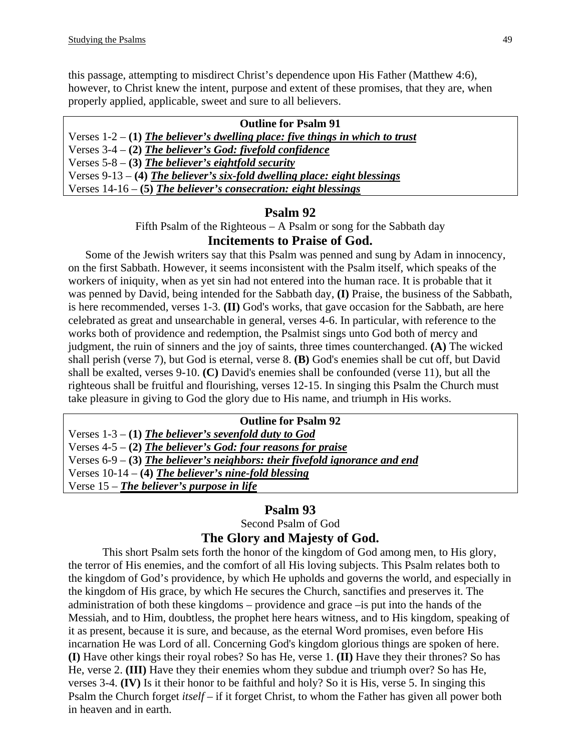this passage, attempting to misdirect Christ's dependence upon His Father (Matthew 4:6), however, to Christ knew the intent, purpose and extent of these promises, that they are, when properly applied, applicable, sweet and sure to all believers.

#### **Outline for Psalm 91**

Verses 1-2 – **(1)** *The believer's dwelling place: five things in which to trust* Verses 3-4 – **(2)** *The believer's God: fivefold confidence* Verses 5-8 – **(3)** *The believer's eightfold security* Verses 9-13 – **(4)** *The believer's six-fold dwelling place: eight blessings* Verses 14-16 – **(5)** *The believer's consecration: eight blessings*

#### **Psalm 92**

Fifth Psalm of the Righteous – A Psalm or song for the Sabbath day

#### **Incitements to Praise of God.**

 Some of the Jewish writers say that this Psalm was penned and sung by Adam in innocency, on the first Sabbath. However, it seems inconsistent with the Psalm itself, which speaks of the workers of iniquity, when as yet sin had not entered into the human race. It is probable that it was penned by David, being intended for the Sabbath day, **(I)** Praise, the business of the Sabbath, is here recommended, verses 1-3. **(II)** God's works, that gave occasion for the Sabbath, are here celebrated as great and unsearchable in general, verses 4-6. In particular, with reference to the works both of providence and redemption, the Psalmist sings unto God both of mercy and judgment, the ruin of sinners and the joy of saints, three times counterchanged. **(A)** The wicked shall perish (verse 7), but God is eternal, verse 8. **(B)** God's enemies shall be cut off, but David shall be exalted, verses 9-10. **(C)** David's enemies shall be confounded (verse 11), but all the righteous shall be fruitful and flourishing, verses 12-15. In singing this Psalm the Church must take pleasure in giving to God the glory due to His name, and triumph in His works.

#### **Outline for Psalm 92**

Verses 1-3 – **(1)** *The believer's sevenfold duty to God* Verses 4-5 – **(2)** *The believer's God: four reasons for praise* Verses 6-9 – **(3)** *The believer's neighbors: their fivefold ignorance and end* Verses 10-14 – **(4)** *The believer's nine-fold blessing*

Verse 15 – *The believer's purpose in life*

#### **Psalm 93**

Second Psalm of God

#### **The Glory and Majesty of God.**

This short Psalm sets forth the honor of the kingdom of God among men, to His glory, the terror of His enemies, and the comfort of all His loving subjects. This Psalm relates both to the kingdom of God's providence, by which He upholds and governs the world, and especially in the kingdom of His grace, by which He secures the Church, sanctifies and preserves it. The administration of both these kingdoms – providence and grace –is put into the hands of the Messiah, and to Him, doubtless, the prophet here hears witness, and to His kingdom, speaking of it as present, because it is sure, and because, as the eternal Word promises, even before His incarnation He was Lord of all. Concerning God's kingdom glorious things are spoken of here. **(I)** Have other kings their royal robes? So has He, verse 1. **(II)** Have they their thrones? So has He, verse 2. **(III)** Have they their enemies whom they subdue and triumph over? So has He, verses 3-4. **(IV)** Is it their honor to be faithful and holy? So it is His, verse 5. In singing this Psalm the Church forget *itself* – if it forget Christ, to whom the Father has given all power both in heaven and in earth.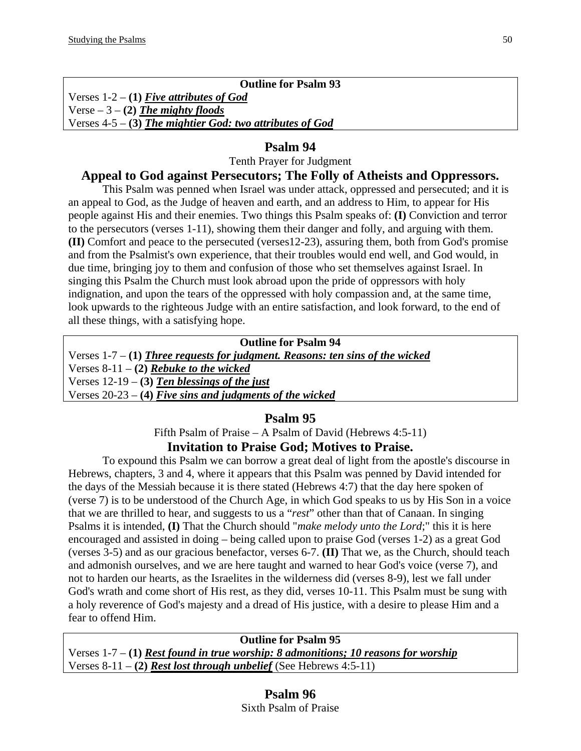#### **Outline for Psalm 93**

Verses 1-2 – **(1)** *Five attributes of God* Verse – 3 – **(2)** *The mighty floods* Verses 4-5 – **(3)** *The mightier God: two attributes of God*

# **Psalm 94**

Tenth Prayer for Judgment

# **Appeal to God against Persecutors; The Folly of Atheists and Oppressors.**

This Psalm was penned when Israel was under attack, oppressed and persecuted; and it is an appeal to God, as the Judge of heaven and earth, and an address to Him, to appear for His people against His and their enemies. Two things this Psalm speaks of: **(I)** Conviction and terror to the persecutors (verses 1-11), showing them their danger and folly, and arguing with them. **(II)** Comfort and peace to the persecuted (verses12-23), assuring them, both from God's promise and from the Psalmist's own experience, that their troubles would end well, and God would, in due time, bringing joy to them and confusion of those who set themselves against Israel. In singing this Psalm the Church must look abroad upon the pride of oppressors with holy indignation, and upon the tears of the oppressed with holy compassion and, at the same time, look upwards to the righteous Judge with an entire satisfaction, and look forward, to the end of all these things, with a satisfying hope.

| <b>Outline for Psalm 94</b>                                                    |
|--------------------------------------------------------------------------------|
| Verses $1-7- (1)$ Three requests for judgment. Reasons: ten sins of the wicked |
| Verses $8-11 - (2)$ Rebuke to the wicked                                       |
| Verses $12-19$ – (3) Ten blessings of the just                                 |
| Verses $20-23 - (4)$ Five sins and judgments of the wicked                     |

# **Psalm 95**

Fifth Psalm of Praise – A Psalm of David (Hebrews 4:5-11) **Invitation to Praise God; Motives to Praise.** 

To expound this Psalm we can borrow a great deal of light from the apostle's discourse in Hebrews, chapters, 3 and 4, where it appears that this Psalm was penned by David intended for the days of the Messiah because it is there stated (Hebrews 4:7) that the day here spoken of (verse 7) is to be understood of the Church Age, in which God speaks to us by His Son in a voice that we are thrilled to hear, and suggests to us a "*rest*" other than that of Canaan. In singing Psalms it is intended, **(I)** That the Church should "*make melody unto the Lord*;" this it is here encouraged and assisted in doing – being called upon to praise God (verses 1-2) as a great God (verses 3-5) and as our gracious benefactor, verses 6-7. **(II)** That we, as the Church, should teach and admonish ourselves, and we are here taught and warned to hear God's voice (verse 7), and not to harden our hearts, as the Israelites in the wilderness did (verses 8-9), lest we fall under God's wrath and come short of His rest, as they did, verses 10-11. This Psalm must be sung with a holy reverence of God's majesty and a dread of His justice, with a desire to please Him and a fear to offend Him.

**Outline for Psalm 95** 

Verses 1-7 – **(1)** *Rest found in true worship: 8 admonitions; 10 reasons for worship* Verses 8-11 – **(2)** *Rest lost through unbelief* (See Hebrews 4:5-11)

# **Psalm 96**

Sixth Psalm of Praise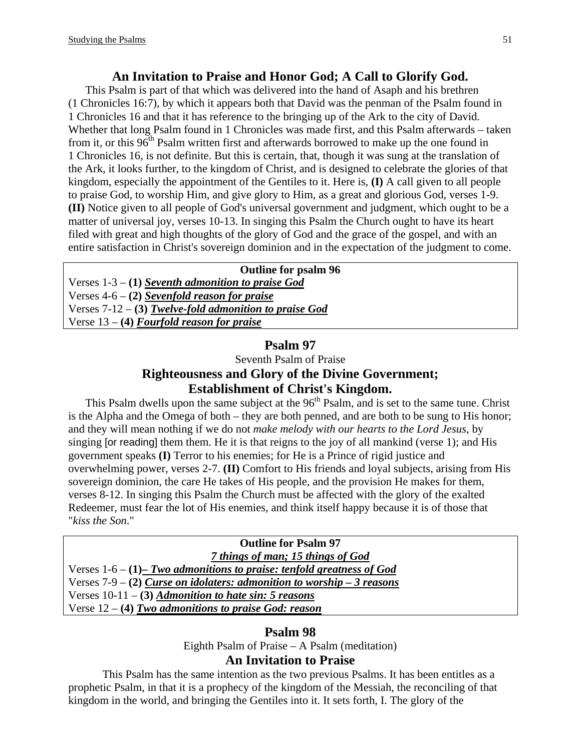### **An Invitation to Praise and Honor God; A Call to Glorify God.**

 This Psalm is part of that which was delivered into the hand of Asaph and his brethren (1 Chronicles 16:7), by which it appears both that David was the penman of the Psalm found in 1 Chronicles 16 and that it has reference to the bringing up of the Ark to the city of David. Whether that long Psalm found in 1 Chronicles was made first, and this Psalm afterwards – taken from it, or this  $96<sup>th</sup>$  Psalm written first and afterwards borrowed to make up the one found in 1 Chronicles 16, is not definite. But this is certain, that, though it was sung at the translation of the Ark, it looks further, to the kingdom of Christ, and is designed to celebrate the glories of that kingdom, especially the appointment of the Gentiles to it. Here is, **(I)** A call given to all people to praise God, to worship Him, and give glory to Him, as a great and glorious God, verses 1-9. **(II)** Notice given to all people of God's universal government and judgment, which ought to be a matter of universal joy, verses 10-13. In singing this Psalm the Church ought to have its heart filed with great and high thoughts of the glory of God and the grace of the gospel, and with an entire satisfaction in Christ's sovereign dominion and in the expectation of the judgment to come.

#### **Outline for psalm 96**

Verses 1-3 – **(1)** *Seventh admonition to praise God* Verses 4-6 – **(2)** *Sevenfold reason for praise* Verses 7-12 – **(3)** *Twelve-fold admonition to praise God* Verse 13 – **(4)** *Fourfold reason for praise*

#### **Psalm 97**

Seventh Psalm of Praise

# **Righteousness and Glory of the Divine Government; Establishment of Christ's Kingdom.**

This Psalm dwells upon the same subject at the  $96<sup>th</sup>$  Psalm, and is set to the same tune. Christ is the Alpha and the Omega of both – they are both penned, and are both to be sung to His honor; and they will mean nothing if we do not *make melody with our hearts to the Lord Jesus*, by singing [or reading] them them. He it is that reigns to the joy of all mankind (verse 1); and His government speaks **(I)** Terror to his enemies; for He is a Prince of rigid justice and overwhelming power, verses 2-7. **(II)** Comfort to His friends and loyal subjects, arising from His sovereign dominion, the care He takes of His people, and the provision He makes for them, verses 8-12. In singing this Psalm the Church must be affected with the glory of the exalted Redeemer, must fear the lot of His enemies, and think itself happy because it is of those that "*kiss the Son*."

#### **Outline for Psalm 97**  *7 things of man; 15 things of God*

Verses 1-6 – **(1)***– Two admonitions to praise: tenfold greatness of God*  Verses 7-9 – **(2)** *Curse on idolaters: admonition to worship – 3 reasons* Verses 10-11 – **(3)** *Admonition to hate sin: 5 reasons* Verse 12 – **(4)** *Two admonitions to praise God: reason*

#### **Psalm 98**

Eighth Psalm of Praise – A Psalm (meditation)

### **An Invitation to Praise**

This Psalm has the same intention as the two previous Psalms. It has been entitles as a prophetic Psalm, in that it is a prophecy of the kingdom of the Messiah, the reconciling of that kingdom in the world, and bringing the Gentiles into it. It sets forth, I. The glory of the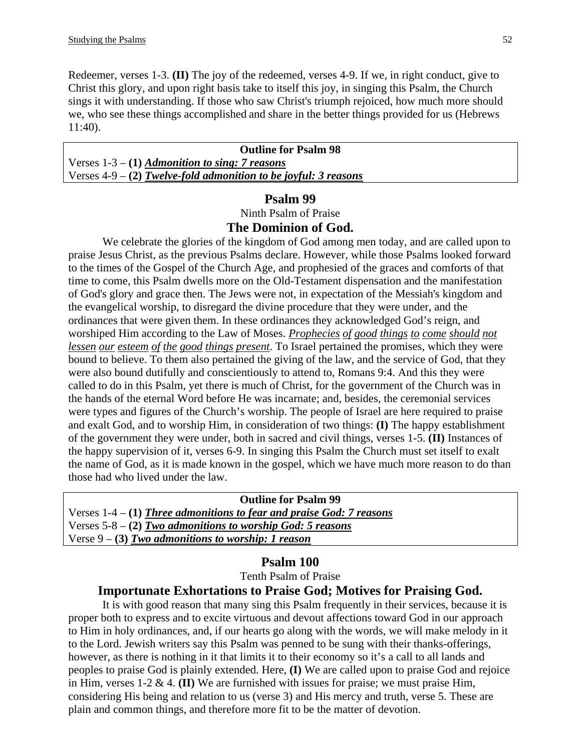Redeemer, verses 1-3. **(II)** The joy of the redeemed, verses 4-9. If we, in right conduct, give to Christ this glory, and upon right basis take to itself this joy, in singing this Psalm, the Church sings it with understanding. If those who saw Christ's triumph rejoiced, how much more should we, who see these things accomplished and share in the better things provided for us (Hebrews 11:40).

**Outline for Psalm 98**  Verses 1-3 – **(1)** *Admonition to sing: 7 reasons* Verses 4-9 – **(2)** *Twelve-fold admonition to be joyful: 3 reasons*

#### **Psalm 99**

Ninth Psalm of Praise

#### **The Dominion of God.**

We celebrate the glories of the kingdom of God among men today, and are called upon to praise Jesus Christ, as the previous Psalms declare. However, while those Psalms looked forward to the times of the Gospel of the Church Age, and prophesied of the graces and comforts of that time to come, this Psalm dwells more on the Old-Testament dispensation and the manifestation of God's glory and grace then. The Jews were not, in expectation of the Messiah's kingdom and the evangelical worship, to disregard the divine procedure that they were under, and the ordinances that were given them. In these ordinances they acknowledged God's reign, and worshiped Him according to the Law of Moses. *Prophecies of good things to come should not lessen our esteem of the good things present*. To Israel pertained the promises, which they were bound to believe. To them also pertained the giving of the law, and the service of God, that they were also bound dutifully and conscientiously to attend to, Romans 9:4. And this they were called to do in this Psalm, yet there is much of Christ, for the government of the Church was in the hands of the eternal Word before He was incarnate; and, besides, the ceremonial services were types and figures of the Church's worship. The people of Israel are here required to praise and exalt God, and to worship Him, in consideration of two things: **(I)** The happy establishment of the government they were under, both in sacred and civil things, verses 1-5. **(II)** Instances of the happy supervision of it, verses 6-9. In singing this Psalm the Church must set itself to exalt the name of God, as it is made known in the gospel, which we have much more reason to do than those had who lived under the law.

| <b>Outline for Psalm 99</b>                                          |  |
|----------------------------------------------------------------------|--|
| Verses $1-4-(1)$ Three admonitions to fear and praise God: 7 reasons |  |
| Verses 5-8 – (2) Two admonitions to worship God: 5 reasons           |  |
| Verse $9 - (3)$ Two admonitions to worship: 1 reason                 |  |
|                                                                      |  |

#### **Psalm 100**

Tenth Psalm of Praise

#### **Importunate Exhortations to Praise God; Motives for Praising God.**

It is with good reason that many sing this Psalm frequently in their services, because it is proper both to express and to excite virtuous and devout affections toward God in our approach to Him in holy ordinances, and, if our hearts go along with the words, we will make melody in it to the Lord. Jewish writers say this Psalm was penned to be sung with their thanks-offerings, however, as there is nothing in it that limits it to their economy so it's a call to all lands and peoples to praise God is plainly extended. Here, **(I)** We are called upon to praise God and rejoice in Him, verses 1-2 & 4. **(II)** We are furnished with issues for praise; we must praise Him, considering His being and relation to us (verse 3) and His mercy and truth, verse 5. These are plain and common things, and therefore more fit to be the matter of devotion.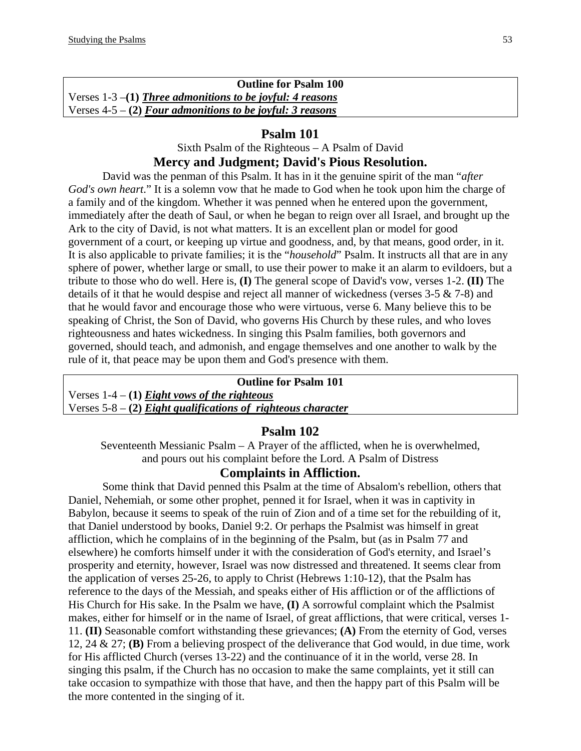**Outline for Psalm 100**  Verses 1-3 –**(1)** *Three admonitions to be joyful: 4 reasons* Verses 4-5 – **(2)** *Four admonitions to be joyful: 3 reasons*

#### **Psalm 101**

#### Sixth Psalm of the Righteous – A Psalm of David **Mercy and Judgment; David's Pious Resolution.**

David was the penman of this Psalm. It has in it the genuine spirit of the man "*after God's own heart*." It is a solemn vow that he made to God when he took upon him the charge of a family and of the kingdom. Whether it was penned when he entered upon the government, immediately after the death of Saul, or when he began to reign over all Israel, and brought up the Ark to the city of David, is not what matters. It is an excellent plan or model for good government of a court, or keeping up virtue and goodness, and, by that means, good order, in it. It is also applicable to private families; it is the "*household*" Psalm. It instructs all that are in any sphere of power, whether large or small, to use their power to make it an alarm to evildoers, but a tribute to those who do well. Here is, **(I)** The general scope of David's vow, verses 1-2. **(II)** The details of it that he would despise and reject all manner of wickedness (verses 3-5 & 7-8) and that he would favor and encourage those who were virtuous, verse 6. Many believe this to be speaking of Christ, the Son of David, who governs His Church by these rules, and who loves righteousness and hates wickedness. In singing this Psalm families, both governors and governed, should teach, and admonish, and engage themselves and one another to walk by the rule of it, that peace may be upon them and God's presence with them.

#### **Outline for Psalm 101**

Verses 1-4 – **(1)** *Eight vows of the righteous* Verses 5-8 – **(2)** *Eight qualifications of righteous character*

# **Psalm 102**

Seventeenth Messianic Psalm – A Prayer of the afflicted, when he is overwhelmed, and pours out his complaint before the Lord. A Psalm of Distress

#### **Complaints in Affliction.**

Some think that David penned this Psalm at the time of Absalom's rebellion, others that Daniel, Nehemiah, or some other prophet, penned it for Israel, when it was in captivity in Babylon, because it seems to speak of the ruin of Zion and of a time set for the rebuilding of it, that Daniel understood by books, Daniel 9:2. Or perhaps the Psalmist was himself in great affliction, which he complains of in the beginning of the Psalm, but (as in Psalm 77 and elsewhere) he comforts himself under it with the consideration of God's eternity, and Israel's prosperity and eternity, however, Israel was now distressed and threatened. It seems clear from the application of verses 25-26, to apply to Christ (Hebrews 1:10-12), that the Psalm has reference to the days of the Messiah, and speaks either of His affliction or of the afflictions of His Church for His sake. In the Psalm we have, **(I)** A sorrowful complaint which the Psalmist makes, either for himself or in the name of Israel, of great afflictions, that were critical, verses 1- 11. **(II)** Seasonable comfort withstanding these grievances; **(A)** From the eternity of God, verses 12, 24 & 27; **(B)** From a believing prospect of the deliverance that God would, in due time, work for His afflicted Church (verses 13-22) and the continuance of it in the world, verse 28. In singing this psalm, if the Church has no occasion to make the same complaints, yet it still can take occasion to sympathize with those that have, and then the happy part of this Psalm will be the more contented in the singing of it.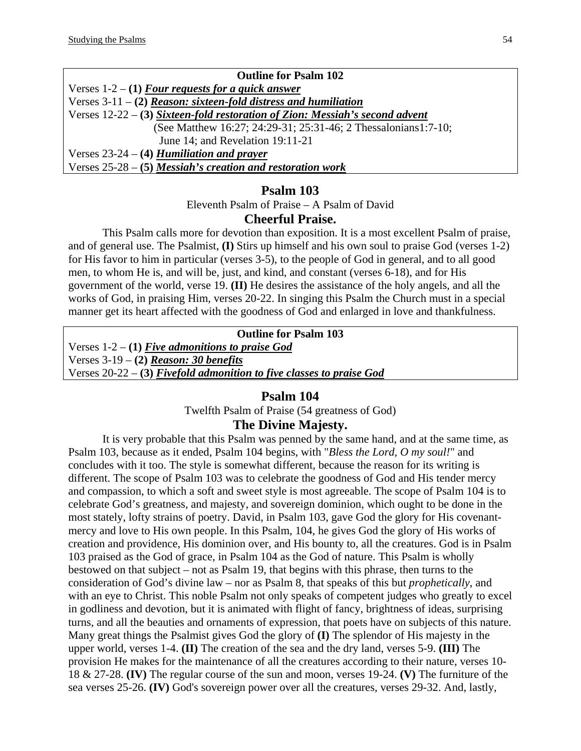| <b>Outline for Psalm 102</b>                                                   |
|--------------------------------------------------------------------------------|
| Verses $1-2 - (1)$ Four requests for a quick answer                            |
| Verses $3-11 - (2)$ Reason: sixteen-fold distress and humiliation              |
| Verses $12-22$ – (3) Sixteen-fold restoration of Zion: Messiah's second advent |
| (See Matthew 16:27; 24:29-31; 25:31-46; 2 Thessalonians1:7-10;                 |
| June 14; and Revelation 19:11-21                                               |
| Verses $23-24 - (4)$ Humiliation and prayer                                    |
| Verses $25-28 - (5)$ Messiah's creation and restoration work                   |

Eleventh Psalm of Praise – A Psalm of David

#### **Cheerful Praise.**

This Psalm calls more for devotion than exposition. It is a most excellent Psalm of praise, and of general use. The Psalmist, **(I)** Stirs up himself and his own soul to praise God (verses 1-2) for His favor to him in particular (verses 3-5), to the people of God in general, and to all good men, to whom He is, and will be, just, and kind, and constant (verses 6-18), and for His government of the world, verse 19. **(II)** He desires the assistance of the holy angels, and all the works of God, in praising Him, verses 20-22. In singing this Psalm the Church must in a special manner get its heart affected with the goodness of God and enlarged in love and thankfulness.

#### **Outline for Psalm 103**

Verses 1-2 – **(1)** *Five admonitions to praise God* Verses 3-19 – **(2)** *Reason: 30 benefits* Verses 20-22 – **(3)** *Fivefold admonition to five classes to praise God*

#### **Psalm 104**

Twelfth Psalm of Praise (54 greatness of God)

#### **The Divine Majesty.**

It is very probable that this Psalm was penned by the same hand, and at the same time, as Psalm 103, because as it ended, Psalm 104 begins, with "*Bless the Lord, O my soul!*" and concludes with it too. The style is somewhat different, because the reason for its writing is different. The scope of Psalm 103 was to celebrate the goodness of God and His tender mercy and compassion, to which a soft and sweet style is most agreeable. The scope of Psalm 104 is to celebrate God's greatness, and majesty, and sovereign dominion, which ought to be done in the most stately, lofty strains of poetry. David, in Psalm 103, gave God the glory for His covenantmercy and love to His own people. In this Psalm, 104, he gives God the glory of His works of creation and providence, His dominion over, and His bounty to, all the creatures. God is in Psalm 103 praised as the God of grace, in Psalm 104 as the God of nature. This Psalm is wholly bestowed on that subject – not as Psalm 19, that begins with this phrase, then turns to the consideration of God's divine law – nor as Psalm 8, that speaks of this but *prophetically*, and with an eye to Christ. This noble Psalm not only speaks of competent judges who greatly to excel in godliness and devotion, but it is animated with flight of fancy, brightness of ideas, surprising turns, and all the beauties and ornaments of expression, that poets have on subjects of this nature. Many great things the Psalmist gives God the glory of **(I)** The splendor of His majesty in the upper world, verses 1-4. **(II)** The creation of the sea and the dry land, verses 5-9. **(III)** The provision He makes for the maintenance of all the creatures according to their nature, verses 10- 18 & 27-28. **(IV)** The regular course of the sun and moon, verses 19-24. **(V)** The furniture of the sea verses 25-26. **(IV)** God's sovereign power over all the creatures, verses 29-32. And, lastly,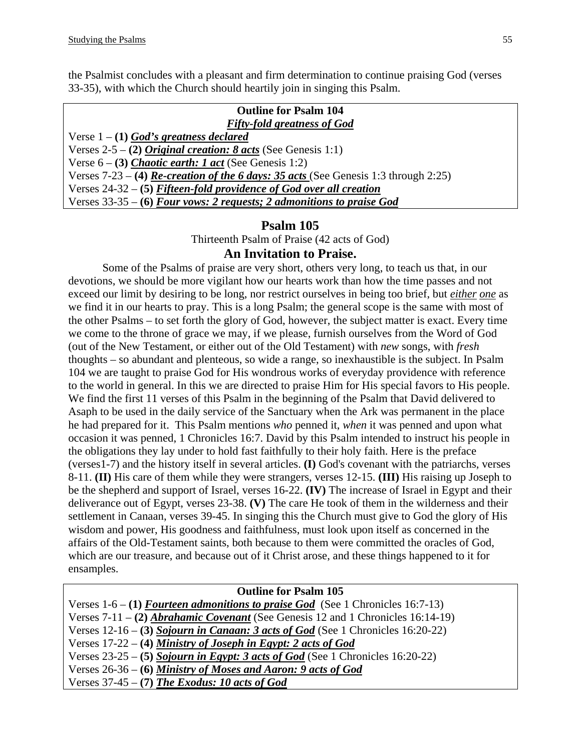the Psalmist concludes with a pleasant and firm determination to continue praising God (verses 33-35), with which the Church should heartily join in singing this Psalm.

| <b>Outline for Psalm 104</b>                                                                 |
|----------------------------------------------------------------------------------------------|
| <b>Fifty-fold greatness of God</b>                                                           |
| Verse $1 - (1)$ God's greatness declared                                                     |
| Verses 2-5 – (2) Original creation: 8 acts (See Genesis 1:1)                                 |
| Verse $6 - (3)$ <i>Chaotic earth: 1 act</i> (See Genesis 1:2)                                |
| Verses $7-23 - (4)$ <i>Re-creation of the 6 days: 35 acts</i> (See Genesis 1:3 through 2:25) |
| Verses $24-32-5$ Fifteen-fold providence of God over all creation                            |
| Verses $33-35 - (6)$ Four vows: 2 requests; 2 admonitions to praise God                      |

# **Psalm 105**

Thirteenth Psalm of Praise (42 acts of God)

#### **An Invitation to Praise.**

Some of the Psalms of praise are very short, others very long, to teach us that, in our devotions, we should be more vigilant how our hearts work than how the time passes and not exceed our limit by desiring to be long, nor restrict ourselves in being too brief, but *either one* as we find it in our hearts to pray. This is a long Psalm; the general scope is the same with most of the other Psalms – to set forth the glory of God, however, the subject matter is exact. Every time we come to the throne of grace we may, if we please, furnish ourselves from the Word of God (out of the New Testament, or either out of the Old Testament) with *new* songs, with *fresh* thoughts – so abundant and plenteous, so wide a range, so inexhaustible is the subject. In Psalm 104 we are taught to praise God for His wondrous works of everyday providence with reference to the world in general. In this we are directed to praise Him for His special favors to His people. We find the first 11 verses of this Psalm in the beginning of the Psalm that David delivered to Asaph to be used in the daily service of the Sanctuary when the Ark was permanent in the place he had prepared for it. This Psalm mentions *who* penned it, *when* it was penned and upon what occasion it was penned, 1 Chronicles 16:7. David by this Psalm intended to instruct his people in the obligations they lay under to hold fast faithfully to their holy faith. Here is the preface (verses1-7) and the history itself in several articles. **(I)** God's covenant with the patriarchs, verses 8-11. **(II)** His care of them while they were strangers, verses 12-15. **(III)** His raising up Joseph to be the shepherd and support of Israel, verses 16-22. **(IV)** The increase of Israel in Egypt and their deliverance out of Egypt, verses 23-38. **(V)** The care He took of them in the wilderness and their settlement in Canaan, verses 39-45. In singing this the Church must give to God the glory of His wisdom and power, His goodness and faithfulness, must look upon itself as concerned in the affairs of the Old-Testament saints, both because to them were committed the oracles of God, which are our treasure, and because out of it Christ arose, and these things happened to it for ensamples.

| <b>Outline for Psalm 105</b>                                                             |
|------------------------------------------------------------------------------------------|
| Verses $1-6 - (1)$ Fourteen admonitions to praise God (See 1 Chronicles 16:7-13)         |
| Verses $7-11 - (2)$ <i>Abrahamic Covenant</i> (See Genesis 12 and 1 Chronicles 16:14-19) |
| Verses $12-16$ – (3) Sojourn in Canaan: 3 acts of God (See 1 Chronicles 16:20-22)        |
| Verses $17-22 - (4)$ Ministry of Joseph in Egypt: 2 acts of God                          |
| Verses $23-25$ – (5) Sojourn in Egypt: 3 acts of God (See 1 Chronicles 16:20-22)         |
| Verses $26-36 - (6)$ Ministry of Moses and Aaron: 9 acts of God                          |
| Verses $37-45 - (7)$ The Exodus: 10 acts of God                                          |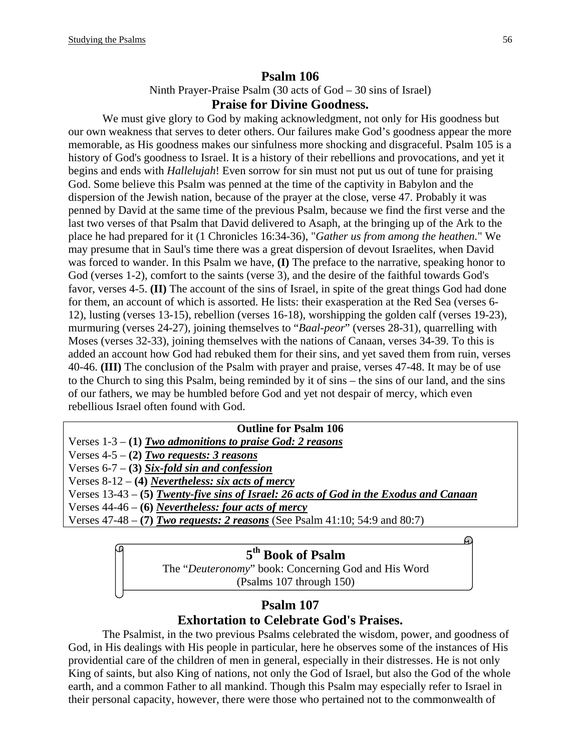Ninth Prayer-Praise Psalm (30 acts of God – 30 sins of Israel)

#### **Praise for Divine Goodness.**

We must give glory to God by making acknowledgment, not only for His goodness but our own weakness that serves to deter others. Our failures make God's goodness appear the more memorable, as His goodness makes our sinfulness more shocking and disgraceful. Psalm 105 is a history of God's goodness to Israel. It is a history of their rebellions and provocations, and yet it begins and ends with *Hallelujah*! Even sorrow for sin must not put us out of tune for praising God. Some believe this Psalm was penned at the time of the captivity in Babylon and the dispersion of the Jewish nation, because of the prayer at the close, verse 47. Probably it was penned by David at the same time of the previous Psalm, because we find the first verse and the last two verses of that Psalm that David delivered to Asaph, at the bringing up of the Ark to the place he had prepared for it (1 Chronicles 16:34-36), "*Gather us from among the heathen.*" We may presume that in Saul's time there was a great dispersion of devout Israelites, when David was forced to wander. In this Psalm we have, **(I)** The preface to the narrative, speaking honor to God (verses 1-2), comfort to the saints (verse 3), and the desire of the faithful towards God's favor, verses 4-5. **(II)** The account of the sins of Israel, in spite of the great things God had done for them, an account of which is assorted. He lists: their exasperation at the Red Sea (verses 6- 12), lusting (verses 13-15), rebellion (verses 16-18), worshipping the golden calf (verses 19-23), murmuring (verses 24-27), joining themselves to "*Baal-peor*" (verses 28-31), quarrelling with Moses (verses 32-33), joining themselves with the nations of Canaan, verses 34-39. To this is added an account how God had rebuked them for their sins, and yet saved them from ruin, verses 40-46. **(III)** The conclusion of the Psalm with prayer and praise, verses 47-48. It may be of use to the Church to sing this Psalm, being reminded by it of sins – the sins of our land, and the sins of our fathers, we may be humbled before God and yet not despair of mercy, which even rebellious Israel often found with God.

| <b>Outline for Psalm 106</b>                                                             |
|------------------------------------------------------------------------------------------|
| Verses $1-3 - (1)$ Two admonitions to praise God: 2 reasons                              |
| Verses $4-5 - (2)$ Two requests: 3 reasons                                               |
| Verses $6-7 - (3)$ Six-fold sin and confession                                           |
| Verses 8-12 – (4) Nevertheless: six acts of mercy                                        |
| Verses $13-43 - (5)$ Twenty-five sins of Israel: 26 acts of God in the Exodus and Canaan |
| Verses $44-46 - (6)$ Nevertheless: four acts of mercy                                    |
| Verses $47-48 - (7)$ Two requests: 2 reasons (See Psalm $41:10$ ; 54:9 and 80:7)         |
|                                                                                          |
|                                                                                          |

# **5th Book of Psalm**

The "*Deuteronomy*" book: Concerning God and His Word (Psalms 107 through 150)

# **Psalm 107 Exhortation to Celebrate God's Praises.**

The Psalmist, in the two previous Psalms celebrated the wisdom, power, and goodness of God, in His dealings with His people in particular, here he observes some of the instances of His providential care of the children of men in general, especially in their distresses. He is not only King of saints, but also King of nations, not only the God of Israel, but also the God of the whole earth, and a common Father to all mankind. Though this Psalm may especially refer to Israel in their personal capacity, however, there were those who pertained not to the commonwealth of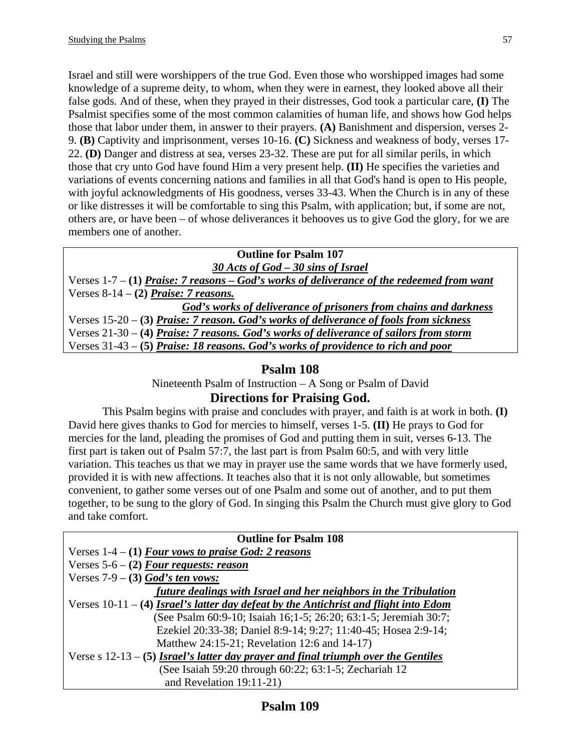Israel and still were worshippers of the true God. Even those who worshipped images had some knowledge of a supreme deity, to whom, when they were in earnest, they looked above all their false gods. And of these, when they prayed in their distresses, God took a particular care, **(I)** The Psalmist specifies some of the most common calamities of human life, and shows how God helps those that labor under them, in answer to their prayers. **(A)** Banishment and dispersion, verses 2- 9. **(B)** Captivity and imprisonment, verses 10-16. **(C)** Sickness and weakness of body, verses 17- 22. **(D)** Danger and distress at sea, verses 23-32. These are put for all similar perils, in which those that cry unto God have found Him a very present help. **(II)** He specifies the varieties and variations of events concerning nations and families in all that God's hand is open to His people, with joyful acknowledgments of His goodness, verses 33-43. When the Church is in any of these or like distresses it will be comfortable to sing this Psalm, with application; but, if some are not, others are, or have been – of whose deliverances it behooves us to give God the glory, for we are members one of another.

# **Outline for Psalm 107**

*30 Acts of God – 30 sins of Israel* Verses 1-7 – **(1)** *Praise: 7 reasons – God's works of deliverance of the redeemed from want* Verses 8-14 – **(2)** *Praise: 7 reasons. God's works of deliverance of prisoners from chains and darkness* Verses 15-20 – **(3)** *Praise: 7 reason. God's works of deliverance of fools from sickness* Verses 21-30 – **(4)** *Praise: 7 reasons. God's works of deliverance of sailors from storm*

Verses 31-43 – **(5)** *Praise: 18 reasons. God's works of providence to rich and poor*

# **Psalm 108**

Nineteenth Psalm of Instruction – A Song or Psalm of David

# **Directions for Praising God.**

This Psalm begins with praise and concludes with prayer, and faith is at work in both. **(I)** David here gives thanks to God for mercies to himself, verses 1-5. **(II)** He prays to God for mercies for the land, pleading the promises of God and putting them in suit, verses 6-13. The first part is taken out of Psalm 57:7, the last part is from Psalm 60:5, and with very little variation. This teaches us that we may in prayer use the same words that we have formerly used, provided it is with new affections. It teaches also that it is not only allowable, but sometimes convenient, to gather some verses out of one Psalm and some out of another, and to put them together, to be sung to the glory of God. In singing this Psalm the Church must give glory to God and take comfort.

| <b>Outline for Psalm 108</b>                                                           |
|----------------------------------------------------------------------------------------|
| Verses $1-4 - (1)$ Four vows to praise God: 2 reasons                                  |
| Verses $5-6 - (2)$ Four requests: reason                                               |
| Verses $7-9$ – (3) God's ten vows:                                                     |
| future dealings with Israel and her neighbors in the Tribulation                       |
| Verses $10-11 - (4)$ Israel's latter day defeat by the Antichrist and flight into Edom |
| (See Psalm 60:9-10; Isaiah 16;1-5; 26:20; 63:1-5; Jeremiah 30:7;                       |
| Ezekiel 20:33-38; Daniel 8:9-14; 9:27; 11:40-45; Hosea 2:9-14;                         |
| Matthew 24:15-21; Revelation 12:6 and 14-17)                                           |
| Verse s $12-13-5$ Israel's latter day prayer and final triumph over the Gentiles       |
| (See Isaiah 59:20 through 60:22; 63:1-5; Zechariah 12                                  |
| and Revelation 19:11-21)                                                               |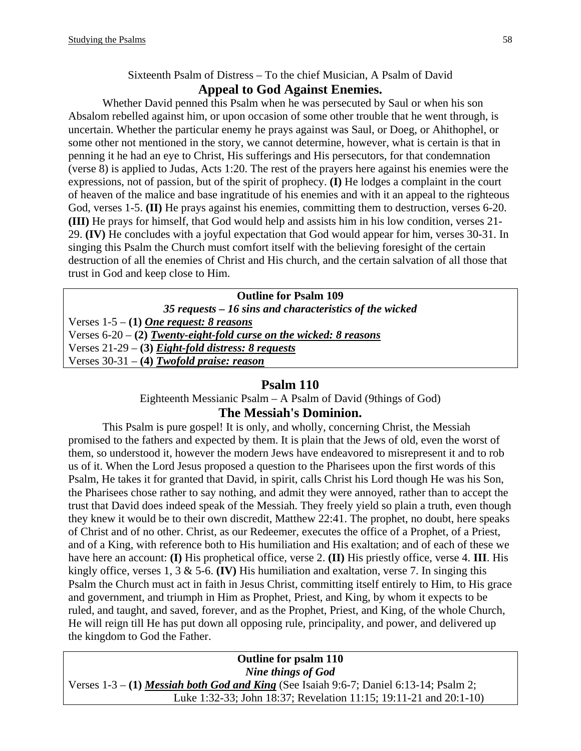# Sixteenth Psalm of Distress – To the chief Musician, A Psalm of David **Appeal to God Against Enemies.**

Whether David penned this Psalm when he was persecuted by Saul or when his son Absalom rebelled against him, or upon occasion of some other trouble that he went through, is uncertain. Whether the particular enemy he prays against was Saul, or Doeg, or Ahithophel, or some other not mentioned in the story, we cannot determine, however, what is certain is that in penning it he had an eye to Christ, His sufferings and His persecutors, for that condemnation (verse 8) is applied to Judas, Acts 1:20. The rest of the prayers here against his enemies were the expressions, not of passion, but of the spirit of prophecy. **(I)** He lodges a complaint in the court of heaven of the malice and base ingratitude of his enemies and with it an appeal to the righteous God, verses 1-5. **(II)** He prays against his enemies, committing them to destruction, verses 6-20. **(III)** He prays for himself, that God would help and assists him in his low condition, verses 21- 29. **(IV)** He concludes with a joyful expectation that God would appear for him, verses 30-31. In singing this Psalm the Church must comfort itself with the believing foresight of the certain destruction of all the enemies of Christ and His church, and the certain salvation of all those that trust in God and keep close to Him.

| <b>Outline for Psalm 109</b>                                         |
|----------------------------------------------------------------------|
| 35 requests – 16 sins and characteristics of the wicked              |
| Verses $1-5 - (1)$ One request: 8 reasons                            |
| Verses $6-20 - (2)$ Twenty-eight-fold curse on the wicked: 8 reasons |
| Verses $21-29$ – (3) Eight-fold distress: 8 requests                 |
| Verses $30-31 - (4)$ Twofold praise: reason                          |
|                                                                      |

# **Psalm 110**

Eighteenth Messianic Psalm – A Psalm of David (9things of God)

# **The Messiah's Dominion.**

This Psalm is pure gospel! It is only, and wholly, concerning Christ, the Messiah promised to the fathers and expected by them. It is plain that the Jews of old, even the worst of them, so understood it, however the modern Jews have endeavored to misrepresent it and to rob us of it. When the Lord Jesus proposed a question to the Pharisees upon the first words of this Psalm, He takes it for granted that David, in spirit, calls Christ his Lord though He was his Son, the Pharisees chose rather to say nothing, and admit they were annoyed, rather than to accept the trust that David does indeed speak of the Messiah. They freely yield so plain a truth, even though they knew it would be to their own discredit, Matthew 22:41. The prophet, no doubt, here speaks of Christ and of no other. Christ, as our Redeemer, executes the office of a Prophet, of a Priest, and of a King, with reference both to His humiliation and His exaltation; and of each of these we have here an account: **(I)** His prophetical office, verse 2. **(II)** His priestly office, verse 4. **III**. His kingly office, verses 1, 3 & 5-6. **(IV)** His humiliation and exaltation, verse 7. In singing this Psalm the Church must act in faith in Jesus Christ, committing itself entirely to Him, to His grace and government, and triumph in Him as Prophet, Priest, and King, by whom it expects to be ruled, and taught, and saved, forever, and as the Prophet, Priest, and King, of the whole Church, He will reign till He has put down all opposing rule, principality, and power, and delivered up the kingdom to God the Father.

**Outline for psalm 110**  *Nine things of God*  Verses 1-3 – **(1)** *Messiah both God and King* (See Isaiah 9:6-7; Daniel 6:13-14; Psalm 2; Luke 1:32-33; John 18:37; Revelation 11:15; 19:11-21 and 20:1-10)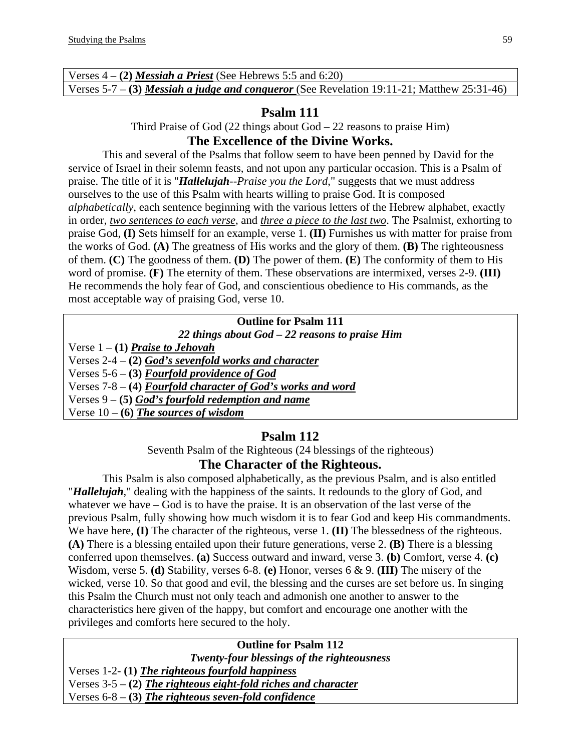| Verses $4 - (2)$ <i>Messiah a Priest</i> (See Hebrews 5:5 and 6:20)                               |  |
|---------------------------------------------------------------------------------------------------|--|
| Verses 5-7 – (3) <i>Messiah a judge and conqueror</i> (See Revelation 19:11-21; Matthew 25:31-46) |  |

Third Praise of God  $(22 \text{ things about God} - 22 \text{ reasons to praise Him})$ 

# **The Excellence of the Divine Works.**

This and several of the Psalms that follow seem to have been penned by David for the service of Israel in their solemn feasts, and not upon any particular occasion. This is a Psalm of praise. The title of it is "*Hallelujah--Praise you the Lord*," suggests that we must address ourselves to the use of this Psalm with hearts willing to praise God. It is composed *alphabetically*, each sentence beginning with the various letters of the Hebrew alphabet, exactly in order, *two sentences to each verse*, and *three a piece to the last two*. The Psalmist, exhorting to praise God, **(I)** Sets himself for an example, verse 1. **(II)** Furnishes us with matter for praise from the works of God. **(A)** The greatness of His works and the glory of them. **(B)** The righteousness of them. **(C)** The goodness of them. **(D)** The power of them. **(E)** The conformity of them to His word of promise. **(F)** The eternity of them. These observations are intermixed, verses 2-9. **(III)** He recommends the holy fear of God, and conscientious obedience to His commands, as the most acceptable way of praising God, verse 10.

#### **Outline for Psalm 111**

*22 things about God – 22 reasons to praise Him* 

Verse 1 – **(1)** *Praise to Jehovah*

Verses 2-4 – **(2)** *God's sevenfold works and character*

Verses 5-6 – **(3)** *Fourfold providence of God*

Verses 7-8 – **(4)** *Fourfold character of God's works and word*

Verses 9 – **(5)** *God's fourfold redemption and name*

Verse  $10 - (6)$  *The sources of wisdom* 

# **Psalm 112**

Seventh Psalm of the Righteous (24 blessings of the righteous)

# **The Character of the Righteous.**

This Psalm is also composed alphabetically, as the previous Psalm, and is also entitled "*Hallelujah*," dealing with the happiness of the saints. It redounds to the glory of God, and whatever we have – God is to have the praise. It is an observation of the last verse of the previous Psalm, fully showing how much wisdom it is to fear God and keep His commandments. We have here, **(I)** The character of the righteous, verse 1. **(II)** The blessedness of the righteous. **(A)** There is a blessing entailed upon their future generations, verse 2. **(B)** There is a blessing conferred upon themselves. **(a)** Success outward and inward, verse 3. **(b)** Comfort, verse 4. **(c)** Wisdom, verse 5. **(d)** Stability, verses 6-8. **(e)** Honor, verses 6 & 9. **(III)** The misery of the wicked, verse 10. So that good and evil, the blessing and the curses are set before us. In singing this Psalm the Church must not only teach and admonish one another to answer to the characteristics here given of the happy, but comfort and encourage one another with the privileges and comforts here secured to the holy.

# **Outline for Psalm 112**

*Twenty-four blessings of the righteousness*  Verses 1-2- **(1)** *The righteous fourfold happiness* Verses 3-5 – **(2)** *The righteous eight-fold riches and character* Verses 6-8 – **(3)** *The righteous seven-fold confidence*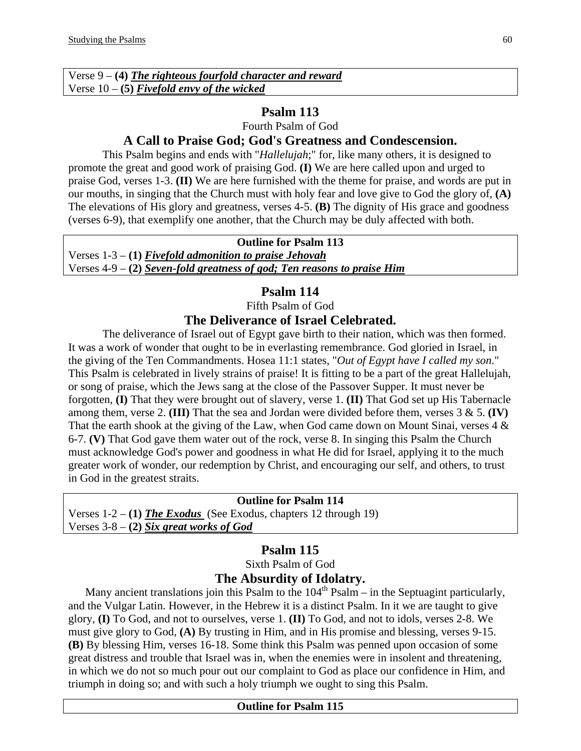| Verse $9 - (4)$ The righteous fourfold character and reward |
|-------------------------------------------------------------|
| Verse $10 - (5)$ Fivefold envy of the wicked                |

Fourth Psalm of God

# **A Call to Praise God; God's Greatness and Condescension.**

This Psalm begins and ends with "*Hallelujah*;" for, like many others, it is designed to promote the great and good work of praising God. **(I)** We are here called upon and urged to praise God, verses 1-3. **(II)** We are here furnished with the theme for praise, and words are put in our mouths, in singing that the Church must with holy fear and love give to God the glory of, **(A)** The elevations of His glory and greatness, verses 4-5. **(B)** The dignity of His grace and goodness (verses 6-9), that exemplify one another, that the Church may be duly affected with both.

#### **Outline for Psalm 113**

Verses 1-3 – **(1)** *Fivefold admonition to praise Jehovah* Verses 4-9 – **(2)** *Seven-fold greatness of god; Ten reasons to praise Him*

# **Psalm 114**

Fifth Psalm of God

# **The Deliverance of Israel Celebrated.**

The deliverance of Israel out of Egypt gave birth to their nation, which was then formed. It was a work of wonder that ought to be in everlasting remembrance. God gloried in Israel, in the giving of the Ten Commandments. Hosea 11:1 states, "*Out of Egypt have I called my son*." This Psalm is celebrated in lively strains of praise! It is fitting to be a part of the great Hallelujah, or song of praise, which the Jews sang at the close of the Passover Supper. It must never be forgotten, **(I)** That they were brought out of slavery, verse 1. **(II)** That God set up His Tabernacle among them, verse 2. **(III)** That the sea and Jordan were divided before them, verses 3 & 5. **(IV)** That the earth shook at the giving of the Law, when God came down on Mount Sinai, verses  $4 \&$ 6-7. **(V)** That God gave them water out of the rock, verse 8. In singing this Psalm the Church must acknowledge God's power and goodness in what He did for Israel, applying it to the much greater work of wonder, our redemption by Christ, and encouraging our self, and others, to trust in God in the greatest straits.

#### **Outline for Psalm 114**

Verses 1-2 – **(1)** *The Exodus* (See Exodus, chapters 12 through 19) Verses 3-8 – **(2)** *Six great works of God*

# **Psalm 115**

Sixth Psalm of God **The Absurdity of Idolatry.** 

Many ancient translations join this Psalm to the  $104<sup>th</sup>$  Psalm – in the Septuagint particularly, and the Vulgar Latin. However, in the Hebrew it is a distinct Psalm. In it we are taught to give glory, **(I)** To God, and not to ourselves, verse 1. **(II)** To God, and not to idols, verses 2-8. We must give glory to God, **(A)** By trusting in Him, and in His promise and blessing, verses 9-15. **(B)** By blessing Him, verses 16-18. Some think this Psalm was penned upon occasion of some great distress and trouble that Israel was in, when the enemies were in insolent and threatening, in which we do not so much pour out our complaint to God as place our confidence in Him, and triumph in doing so; and with such a holy triumph we ought to sing this Psalm.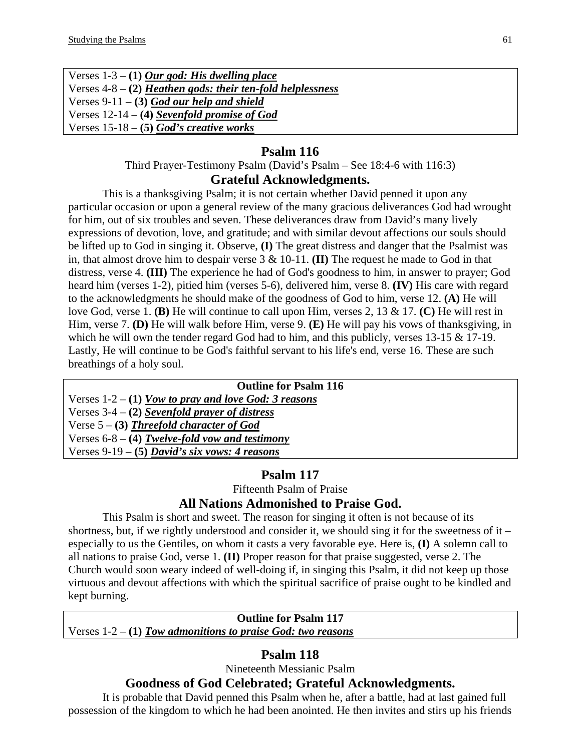| Verses $1-3 - (1)$ Our god: His dwelling place               |
|--------------------------------------------------------------|
| Verses $4-8 - (2)$ Heathen gods: their ten-fold helplessness |
| Verses $9-11 - (3)$ God our help and shield                  |
| Verses $12-14 - (4)$ Sevenfold promise of God                |
| Verses $15-18 - (5)$ God's creative works                    |

Third Prayer-Testimony Psalm (David's Psalm – See 18:4-6 with 116:3)

#### **Grateful Acknowledgments.**

This is a thanksgiving Psalm; it is not certain whether David penned it upon any particular occasion or upon a general review of the many gracious deliverances God had wrought for him, out of six troubles and seven. These deliverances draw from David's many lively expressions of devotion, love, and gratitude; and with similar devout affections our souls should be lifted up to God in singing it. Observe, **(I)** The great distress and danger that the Psalmist was in, that almost drove him to despair verse 3 & 10-11. **(II)** The request he made to God in that distress, verse 4. **(III)** The experience he had of God's goodness to him, in answer to prayer; God heard him (verses 1-2), pitied him (verses 5-6), delivered him, verse 8. **(IV)** His care with regard to the acknowledgments he should make of the goodness of God to him, verse 12. **(A)** He will love God, verse 1. **(B)** He will continue to call upon Him, verses 2, 13 & 17. **(C)** He will rest in Him, verse 7. **(D)** He will walk before Him, verse 9. **(E)** He will pay his vows of thanksgiving, in which he will own the tender regard God had to him, and this publicly, verses 13-15 & 17-19. Lastly, He will continue to be God's faithful servant to his life's end, verse 16. These are such breathings of a holy soul.

| <b>Outline for Psalm 116</b>                           |
|--------------------------------------------------------|
| Verses $1-2 - (1)$ Vow to pray and love God: 3 reasons |
| Verses $3-4 - (2)$ Sevenfold prayer of distress        |
| Verse $5 - (3)$ Threefold character of God             |
| Verses $6-8 - (4)$ Twelve-fold vow and testimony       |
| Verses 9-19 – (5) David's six vows: 4 reasons          |

# **Psalm 117**

Fifteenth Psalm of Praise

# **All Nations Admonished to Praise God.**

This Psalm is short and sweet. The reason for singing it often is not because of its shortness, but, if we rightly understood and consider it, we should sing it for the sweetness of it – especially to us the Gentiles, on whom it casts a very favorable eye. Here is, **(I)** A solemn call to all nations to praise God, verse 1. **(II)** Proper reason for that praise suggested, verse 2. The Church would soon weary indeed of well-doing if, in singing this Psalm, it did not keep up those virtuous and devout affections with which the spiritual sacrifice of praise ought to be kindled and kept burning.

#### **Outline for Psalm 117**

Verses 1-2 – **(1)** *Tow admonitions to praise God: two reasons*

# **Psalm 118**

Nineteenth Messianic Psalm

# **Goodness of God Celebrated; Grateful Acknowledgments.**

It is probable that David penned this Psalm when he, after a battle, had at last gained full possession of the kingdom to which he had been anointed. He then invites and stirs up his friends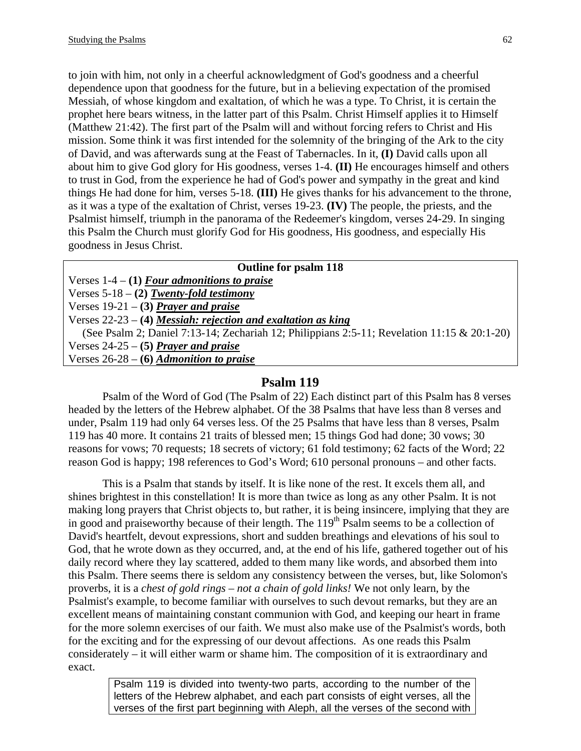to join with him, not only in a cheerful acknowledgment of God's goodness and a cheerful dependence upon that goodness for the future, but in a believing expectation of the promised Messiah, of whose kingdom and exaltation, of which he was a type. To Christ, it is certain the prophet here bears witness, in the latter part of this Psalm. Christ Himself applies it to Himself (Matthew 21:42). The first part of the Psalm will and without forcing refers to Christ and His mission. Some think it was first intended for the solemnity of the bringing of the Ark to the city of David, and was afterwards sung at the Feast of Tabernacles. In it, **(I)** David calls upon all about him to give God glory for His goodness, verses 1-4. **(II)** He encourages himself and others to trust in God, from the experience he had of God's power and sympathy in the great and kind things He had done for him, verses 5-18. **(III)** He gives thanks for his advancement to the throne, as it was a type of the exaltation of Christ, verses 19-23. **(IV)** The people, the priests, and the Psalmist himself, triumph in the panorama of the Redeemer's kingdom, verses 24-29. In singing this Psalm the Church must glorify God for His goodness, His goodness, and especially His goodness in Jesus Christ.

#### **Outline for psalm 118**

Verses 1-4 – **(1)** *Four admonitions to praise*

Verses 5-18 – **(2)** *Twenty-fold testimony*

Verses 19-21 – **(3)** *Prayer and praise*

Verses 22-23 – **(4)** *Messiah: rejection and exaltation as king*

 (See Psalm 2; Daniel 7:13-14; Zechariah 12; Philippians 2:5-11; Revelation 11:15 & 20:1-20) Verses 24-25 – **(5)** *Prayer and praise* Verses 26-28 – **(6)** *Admonition to praise* 

#### **Psalm 119**

Psalm of the Word of God (The Psalm of 22) Each distinct part of this Psalm has 8 verses headed by the letters of the Hebrew alphabet. Of the 38 Psalms that have less than 8 verses and under, Psalm 119 had only 64 verses less. Of the 25 Psalms that have less than 8 verses, Psalm 119 has 40 more. It contains 21 traits of blessed men; 15 things God had done; 30 vows; 30 reasons for vows; 70 requests; 18 secrets of victory; 61 fold testimony; 62 facts of the Word; 22 reason God is happy; 198 references to God's Word; 610 personal pronouns – and other facts.

This is a Psalm that stands by itself. It is like none of the rest. It excels them all, and shines brightest in this constellation! It is more than twice as long as any other Psalm. It is not making long prayers that Christ objects to, but rather, it is being insincere, implying that they are in good and praiseworthy because of their length. The  $119<sup>th</sup>$  Psalm seems to be a collection of David's heartfelt, devout expressions, short and sudden breathings and elevations of his soul to God, that he wrote down as they occurred, and, at the end of his life, gathered together out of his daily record where they lay scattered, added to them many like words, and absorbed them into this Psalm. There seems there is seldom any consistency between the verses, but, like Solomon's proverbs, it is a *chest of gold rings – not a chain of gold links!* We not only learn, by the Psalmist's example, to become familiar with ourselves to such devout remarks, but they are an excellent means of maintaining constant communion with God, and keeping our heart in frame for the more solemn exercises of our faith. We must also make use of the Psalmist's words, both for the exciting and for the expressing of our devout affections. As one reads this Psalm considerately – it will either warm or shame him. The composition of it is extraordinary and exact.

> Psalm 119 is divided into twenty-two parts, according to the number of the letters of the Hebrew alphabet, and each part consists of eight verses, all the verses of the first part beginning with Aleph, all the verses of the second with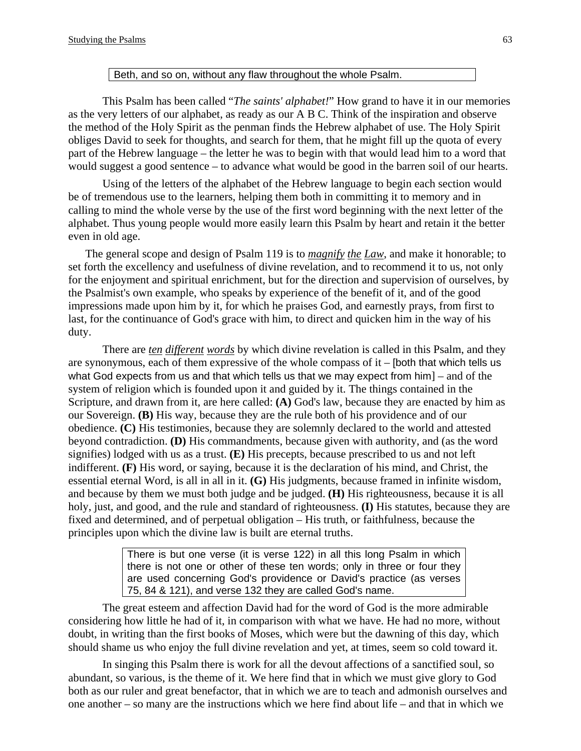#### Beth, and so on, without any flaw throughout the whole Psalm.

This Psalm has been called "*The saints' alphabet!*" How grand to have it in our memories as the very letters of our alphabet, as ready as our A B C. Think of the inspiration and observe the method of the Holy Spirit as the penman finds the Hebrew alphabet of use. The Holy Spirit obliges David to seek for thoughts, and search for them, that he might fill up the quota of every part of the Hebrew language – the letter he was to begin with that would lead him to a word that would suggest a good sentence – to advance what would be good in the barren soil of our hearts.

Using of the letters of the alphabet of the Hebrew language to begin each section would be of tremendous use to the learners, helping them both in committing it to memory and in calling to mind the whole verse by the use of the first word beginning with the next letter of the alphabet. Thus young people would more easily learn this Psalm by heart and retain it the better even in old age.

 The general scope and design of Psalm 119 is to *magnify the Law*, and make it honorable; to set forth the excellency and usefulness of divine revelation, and to recommend it to us, not only for the enjoyment and spiritual enrichment, but for the direction and supervision of ourselves, by the Psalmist's own example, who speaks by experience of the benefit of it, and of the good impressions made upon him by it, for which he praises God, and earnestly prays, from first to last, for the continuance of God's grace with him, to direct and quicken him in the way of his duty.

There are *ten different words* by which divine revelation is called in this Psalm, and they are synonymous, each of them expressive of the whole compass of it – [both that which tells us what God expects from us and that which tells us that we may expect from  $\lim_{n \to \infty}$  and of the system of religion which is founded upon it and guided by it. The things contained in the Scripture, and drawn from it, are here called: **(A)** God's law, because they are enacted by him as our Sovereign. **(B)** His way, because they are the rule both of his providence and of our obedience. **(C)** His testimonies, because they are solemnly declared to the world and attested beyond contradiction. **(D)** His commandments, because given with authority, and (as the word signifies) lodged with us as a trust. **(E)** His precepts, because prescribed to us and not left indifferent. **(F)** His word, or saying, because it is the declaration of his mind, and Christ, the essential eternal Word, is all in all in it. **(G)** His judgments, because framed in infinite wisdom, and because by them we must both judge and be judged. **(H)** His righteousness, because it is all holy, just, and good, and the rule and standard of righteousness. **(I)** His statutes, because they are fixed and determined, and of perpetual obligation – His truth, or faithfulness, because the principles upon which the divine law is built are eternal truths.

> There is but one verse (it is verse 122) in all this long Psalm in which there is not one or other of these ten words; only in three or four they are used concerning God's providence or David's practice (as verses 75, 84 & 121), and verse 132 they are called God's name.

The great esteem and affection David had for the word of God is the more admirable considering how little he had of it, in comparison with what we have. He had no more, without doubt, in writing than the first books of Moses, which were but the dawning of this day, which should shame us who enjoy the full divine revelation and yet, at times, seem so cold toward it.

In singing this Psalm there is work for all the devout affections of a sanctified soul, so abundant, so various, is the theme of it. We here find that in which we must give glory to God both as our ruler and great benefactor, that in which we are to teach and admonish ourselves and one another – so many are the instructions which we here find about life – and that in which we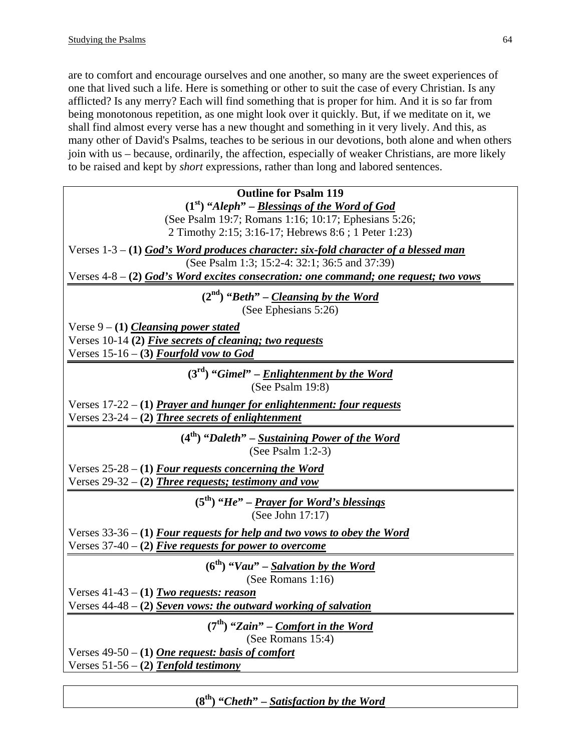are to comfort and encourage ourselves and one another, so many are the sweet experiences of one that lived such a life. Here is something or other to suit the case of every Christian. Is any afflicted? Is any merry? Each will find something that is proper for him. And it is so far from being monotonous repetition, as one might look over it quickly. But, if we meditate on it, we shall find almost every verse has a new thought and something in it very lively. And this, as many other of David's Psalms, teaches to be serious in our devotions, both alone and when others join with us – because, ordinarily, the affection, especially of weaker Christians, are more likely to be raised and kept by *short* expressions, rather than long and labored sentences.

| <b>Outline for Psalm 119</b>                                                                                |
|-------------------------------------------------------------------------------------------------------------|
| $(1st)$ "Aleph" – Blessings of the Word of God                                                              |
| (See Psalm 19:7; Romans 1:16; 10:17; Ephesians 5:26;<br>2 Timothy 2:15; 3:16-17; Hebrews 8:6; 1 Peter 1:23) |
| Verses $1-3-(1)$ God's Word produces character: six-fold character of a blessed man                         |
| (See Psalm 1:3; 15:2-4: 32:1; 36:5 and 37:39)                                                               |
| Verses $4-8 - (2)$ God's Word excites consecration: one command; one request; two vows                      |
| $(2nd)$ "Beth" – Cleansing by the Word<br>(See Ephesians 5:26)                                              |
| Verse $9 - (1)$ Cleansing power stated                                                                      |
| Verses 10-14 (2) Five secrets of cleaning; two requests                                                     |
| Verses $15-16 - (3)$ Fourfold vow to God                                                                    |
| $(3rd)$ "Gimel" – Enlightenment by the Word<br>(See Psalm 19:8)                                             |
| Verses 17-22 – (1) <i>Prayer and hunger for enlightenment: four requests</i>                                |
| Verses $23-24 - (2)$ Three secrets of enlightenment                                                         |
| $(4th)$ "Daleth" – Sustaining Power of the Word<br>(See Psalm $1:2-3$ )                                     |
| Verses $25-28 - (1)$ Four requests concerning the Word                                                      |
| Verses 29-32 – (2) <i>Three requests; testimony and vow</i>                                                 |
| $(5th)$ "He" – Prayer for Word's blessings<br>(See John 17:17)                                              |
| Verses $33-36 - (1)$ Four requests for help and two vows to obey the Word                                   |
| Verses $37-40 - (2)$ Five requests for power to overcome                                                    |
| $(6th)$ "Vau" – Salvation by the Word<br>(See Romans 1:16)                                                  |
| Verses $41-43 - (1)$ Two requests: reason                                                                   |
| Verses $44-48 - (2)$ Seven vows: the outward working of salvation                                           |
| $(7th)$ "Zain" – Comfort in the Word<br>(See Romans 15:4)                                                   |
| Verses $49-50 - (1)$ One request: basis of comfort                                                          |
| Verses $51-56 - (2)$ Tenfold testimony                                                                      |

**(8th) "***Cheth***" –** *Satisfaction by the Word*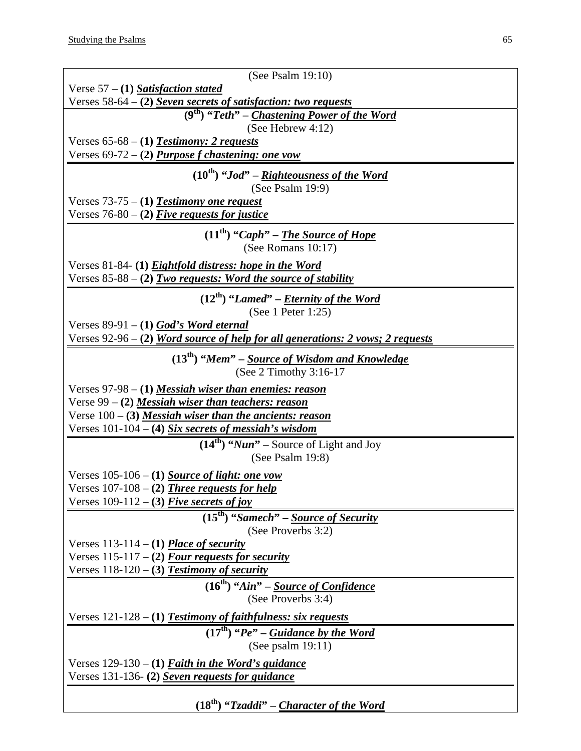$\mathsf{l}$ 

| (See Psalm $19:10$ )                                                           |
|--------------------------------------------------------------------------------|
| Verse $57 - (1)$ Satisfaction stated                                           |
| Verses $58-64 - (2)$ Seven secrets of satisfaction: two requests               |
| $\overline{P(A)}$ "Teth" – Chastening Power of the Word                        |
| (See Hebrew $4:12$ )                                                           |
| Verses $65-68 - (1)$ <b>Testimony: 2 requests</b>                              |
| Verses 69-72 – (2) <i>Purpose f chastening: one vow</i>                        |
|                                                                                |
| $(10^{th})$ "Jod" – Righteousness of the Word                                  |
| (See Psalm $19:9$ )                                                            |
| Verses $73-75 - (1)$ Testimony one request                                     |
| Verses $76-80 - (2)$ Five requests for justice                                 |
| $(11th)$ "Caph" – The Source of Hope                                           |
| (See Romans $10:17$ )                                                          |
|                                                                                |
| Verses 81-84- (1) <i>Eightfold distress: hope in the Word</i>                  |
| Verses $85-88 - (2)$ Two requests: Word the source of stability                |
| $(12^{th})$ "Lamed" – <i>Eternity of the Word</i>                              |
| (See 1 Peter 1:25)                                                             |
| Verses $89-91 - (1)$ God's Word eternal                                        |
| Verses 92-96 - (2) Word source of help for all generations: 2 vows; 2 requests |
|                                                                                |
| $(13th)$ "Mem" – Source of Wisdom and Knowledge                                |
| (See $2$ Timothy $3:16-17$                                                     |
| Verses 97-98 – (1) <i>Messiah wiser than enemies: reason</i>                   |
| Verse 99 – (2) <b>Messiah wiser than teachers: reason</b>                      |
| Verse $100 - (3)$ <i>Messiah wiser than the ancients: reason</i>               |
| Verses $101-104 - (4)$ Six secrets of messiah's wisdom                         |
| $(14th)$ " <i>Nun</i> " – Source of Light and Joy                              |
| (See Psalm $19:8$ )                                                            |
|                                                                                |
| Verses $105-106 - (1)$ Source of light: one vow                                |
| Verses $107-108 - (2)$ Three requests for help                                 |
| Verses $109-112 - (3)$ Five secrets of joy                                     |
| $(15th)$ "Samech" – Source of Security                                         |
| (See Proverbs 3:2)                                                             |
| Verses $113-114 - (1)$ Place of security                                       |
| Verses $115-117 - (2)$ Four requests for security                              |
| Verses $118-120 - (3)$ <b>Testimony of security</b>                            |
| $(16th)$ "Ain" – Source of Confidence                                          |
| (See Proverbs 3:4)                                                             |
|                                                                                |
| Verses 121-128 – (1) <b>Testimony of faithfulness: six requests</b>            |
| $(17th)$ "Pe" – Guidance by the Word                                           |
| (See psalm $19:11$ )                                                           |
| Verses $129-130 - (1)$ <b><i>Faith in the Word's guidance</i></b>              |
| Verses 131-136- (2) Seven requests for guidance                                |
|                                                                                |
| $(18th)$ "Tzaddi" – Character of the Word                                      |
|                                                                                |

 $\perp$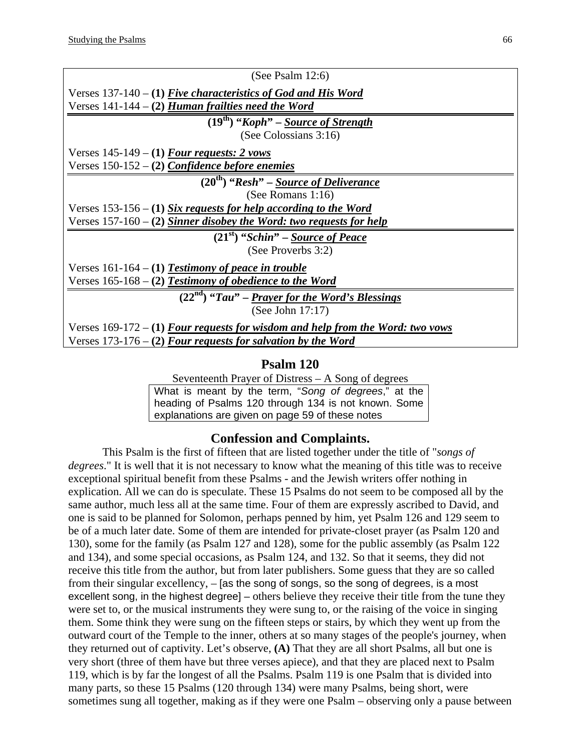| (See Psalm $12:6$ )                                                              |
|----------------------------------------------------------------------------------|
| Verses $137-140 - (1)$ Five characteristics of God and His Word                  |
| Verses 141-144 - (2) <i>Human frailties need the Word</i>                        |
| $(19th)$ "Koph" – Source of Strength                                             |
| (See Colossians 3:16)                                                            |
| Verses $145-149 - (1)$ Four requests: 2 vows                                     |
| Verses 150-152 - (2) Confidence before enemies                                   |
| $\overline{(20^{th})$ "Resh" – Source of Deliverance                             |
| (See Romans $1:16$ )                                                             |
| Verses $153-156 - (1)$ Six requests for help according to the Word               |
| Verses $157-160 - (2)$ Sinner disobey the Word: two requests for help            |
| $(21st)$ "Schin" – Source of Peace                                               |
| (See Proverbs 3:2)                                                               |
| Verses $161-164 - (1)$ Testimony of peace in trouble                             |
| Verses $165-168 - (2)$ Testimony of obedience to the Word                        |
| $(22nd)$ "Tau" – Prayer for the Word's Blessings                                 |
| (See John $17:17$ )                                                              |
| Verses $169-172 - (1)$ Four requests for wisdom and help from the Word: two vows |
| Verses $173-176 - (2)$ Four requests for salvation by the Word                   |
|                                                                                  |

Seventeenth Prayer of Distress – A Song of degrees What is meant by the term, "*Song of degrees*," at the heading of Psalms 120 through 134 is not known. Some explanations are given on page 59 of these notes

#### **Confession and Complaints.**

This Psalm is the first of fifteen that are listed together under the title of "*songs of degrees*." It is well that it is not necessary to know what the meaning of this title was to receive exceptional spiritual benefit from these Psalms - and the Jewish writers offer nothing in explication. All we can do is speculate. These 15 Psalms do not seem to be composed all by the same author, much less all at the same time. Four of them are expressly ascribed to David, and one is said to be planned for Solomon, perhaps penned by him, yet Psalm 126 and 129 seem to be of a much later date. Some of them are intended for private-closet prayer (as Psalm 120 and 130), some for the family (as Psalm 127 and 128), some for the public assembly (as Psalm 122 and 134), and some special occasions, as Psalm 124, and 132. So that it seems, they did not receive this title from the author, but from later publishers. Some guess that they are so called from their singular excellency, – [as the song of songs, so the song of degrees, is a most excellent song, in the highest degree] – others believe they receive their title from the tune they were set to, or the musical instruments they were sung to, or the raising of the voice in singing them. Some think they were sung on the fifteen steps or stairs, by which they went up from the outward court of the Temple to the inner, others at so many stages of the people's journey, when they returned out of captivity. Let's observe, **(A)** That they are all short Psalms, all but one is very short (three of them have but three verses apiece), and that they are placed next to Psalm 119, which is by far the longest of all the Psalms. Psalm 119 is one Psalm that is divided into many parts, so these 15 Psalms (120 through 134) were many Psalms, being short, were sometimes sung all together, making as if they were one Psalm – observing only a pause between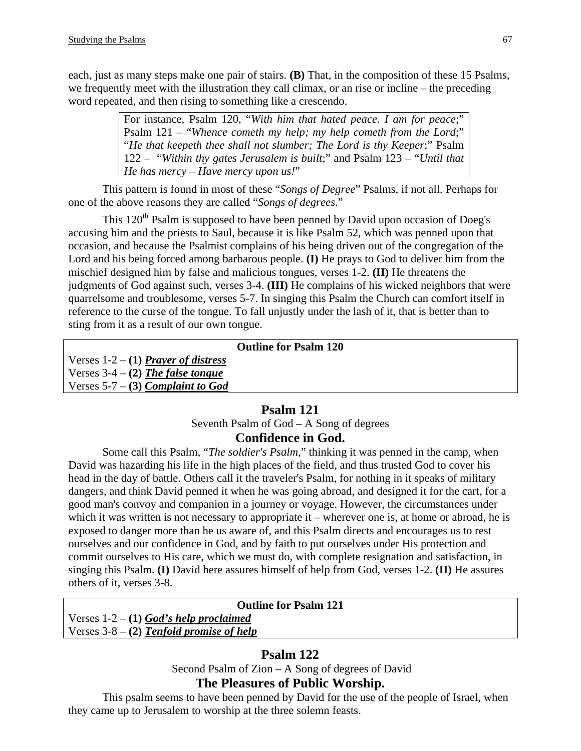each, just as many steps make one pair of stairs. **(B)** That, in the composition of these 15 Psalms, we frequently meet with the illustration they call climax, or an rise or incline – the preceding word repeated, and then rising to something like a crescendo.

> For instance, Psalm 120, "*With him that hated peace. I am for peace*;" Psalm 121 – "*Whence cometh my help; my help cometh from the Lord*;" "*He that keepeth thee shall not slumber; The Lord is thy Keeper*;" Psalm 122 – "*Within thy gates Jerusalem is built*;" and Psalm 123 – "*Until that He has mercy – Have mercy upon us!*"

This pattern is found in most of these "*Songs of Degree*" Psalms, if not all. Perhaps for one of the above reasons they are called "*Songs of degrees*."

This  $120<sup>th</sup>$  Psalm is supposed to have been penned by David upon occasion of Doeg's accusing him and the priests to Saul, because it is like Psalm 52, which was penned upon that occasion, and because the Psalmist complains of his being driven out of the congregation of the Lord and his being forced among barbarous people. **(I)** He prays to God to deliver him from the mischief designed him by false and malicious tongues, verses 1-2. **(II)** He threatens the judgments of God against such, verses 3-4. **(III)** He complains of his wicked neighbors that were quarrelsome and troublesome, verses 5-7. In singing this Psalm the Church can comfort itself in reference to the curse of the tongue. To fall unjustly under the lash of it, that is better than to sting from it as a result of our own tongue.

|            | <b>Outline for Psalm 120</b> |  |
|------------|------------------------------|--|
| f distross |                              |  |

Verses 1-2 – **(1)** *Prayer of distress* Verses 3-4 – **(2)** *The false tongue*

Verses 5-7 – **(3)** *Complaint to God*

# **Psalm 121**

# Seventh Psalm of God – A Song of degrees **Confidence in God.**

Some call this Psalm, "*The soldier's Psalm*," thinking it was penned in the camp, when David was hazarding his life in the high places of the field, and thus trusted God to cover his head in the day of battle. Others call it the traveler's Psalm, for nothing in it speaks of military dangers, and think David penned it when he was going abroad, and designed it for the cart, for a good man's convoy and companion in a journey or voyage. However, the circumstances under which it was written is not necessary to appropriate it – wherever one is, at home or abroad, he is exposed to danger more than he us aware of, and this Psalm directs and encourages us to rest ourselves and our confidence in God, and by faith to put ourselves under His protection and commit ourselves to His care, which we must do, with complete resignation and satisfaction, in singing this Psalm. **(I)** David here assures himself of help from God, verses 1-2. **(II)** He assures others of it, verses 3-8.

#### **Outline for Psalm 121**

Verses 1-2 – **(1)** *God's help proclaimed* Verses 3-8 – **(2)** *Tenfold promise of help*

# **Psalm 122**

Second Psalm of Zion – A Song of degrees of David

# **The Pleasures of Public Worship.**

This psalm seems to have been penned by David for the use of the people of Israel, when they came up to Jerusalem to worship at the three solemn feasts.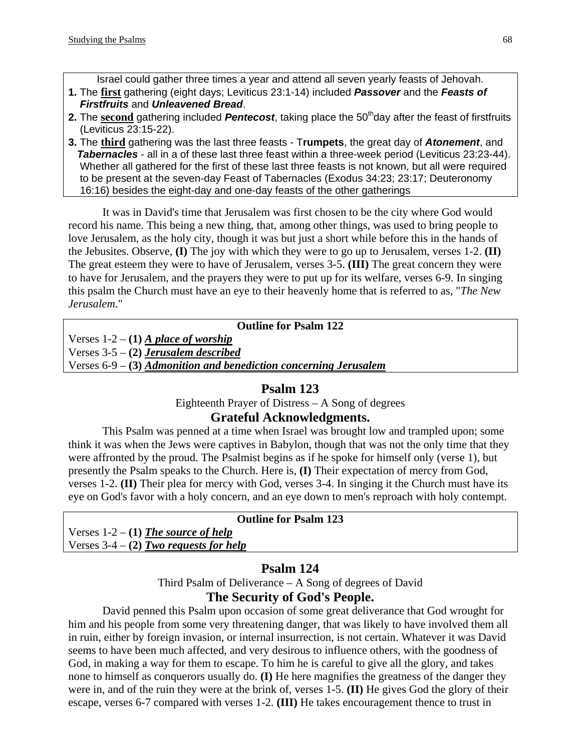Israel could gather three times a year and attend all seven yearly feasts of Jehovah.

- **1.** The **first** gathering (eight days; Leviticus 23:1-14) included *Passover* and the *Feasts of Firstfruits* and *Unleavened Bread*.
- **2.** The second gathering included *Pentecost*, taking place the 50<sup>th</sup>day after the feast of firstfruits (Leviticus 23:15-22).
- **3.** The **third** gathering was the last three feasts T**rumpets**, the great day of *Atonement*, and *Tabernacles* - all in a of these last three feast within a three-week period (Leviticus 23:23-44). Whether all gathered for the first of these last three feasts is not known, but all were required to be present at the seven-day Feast of Tabernacles (Exodus 34:23; 23:17; Deuteronomy 16:16) besides the eight-day and one-day feasts of the other gatherings

It was in David's time that Jerusalem was first chosen to be the city where God would record his name. This being a new thing, that, among other things, was used to bring people to love Jerusalem, as the holy city, though it was but just a short while before this in the hands of the Jebusites. Observe, **(I)** The joy with which they were to go up to Jerusalem, verses 1-2. **(II)** The great esteem they were to have of Jerusalem, verses 3-5. **(III)** The great concern they were to have for Jerusalem, and the prayers they were to put up for its welfare, verses 6-9. In singing this psalm the Church must have an eye to their heavenly home that is referred to as, "*The New Jerusalem*."

#### **Outline for Psalm 122**

Verses  $1-2 - (1)$  *A place of worship* 

Verses 3-5 – **(2)** *Jerusalem described*

Verses 6-9 – **(3)** *Admonition and benediction concerning Jerusalem*

# **Psalm 123**

Eighteenth Prayer of Distress – A Song of degrees

# **Grateful Acknowledgments.**

This Psalm was penned at a time when Israel was brought low and trampled upon; some think it was when the Jews were captives in Babylon, though that was not the only time that they were affronted by the proud. The Psalmist begins as if he spoke for himself only (verse 1), but presently the Psalm speaks to the Church. Here is, **(I)** Their expectation of mercy from God, verses 1-2. **(II)** Their plea for mercy with God, verses 3-4. In singing it the Church must have its eye on God's favor with a holy concern, and an eye down to men's reproach with holy contempt.

#### **Outline for Psalm 123**

Verses 1-2 – **(1)** *The source of help* Verses 3-4 – **(2)** *Two requests for help*

# **Psalm 124**

Third Psalm of Deliverance – A Song of degrees of David **The Security of God's People.** 

David penned this Psalm upon occasion of some great deliverance that God wrought for him and his people from some very threatening danger, that was likely to have involved them all in ruin, either by foreign invasion, or internal insurrection, is not certain. Whatever it was David seems to have been much affected, and very desirous to influence others, with the goodness of God, in making a way for them to escape. To him he is careful to give all the glory, and takes none to himself as conquerors usually do. **(I)** He here magnifies the greatness of the danger they were in, and of the ruin they were at the brink of, verses 1-5. **(II)** He gives God the glory of their escape, verses 6-7 compared with verses 1-2. **(III)** He takes encouragement thence to trust in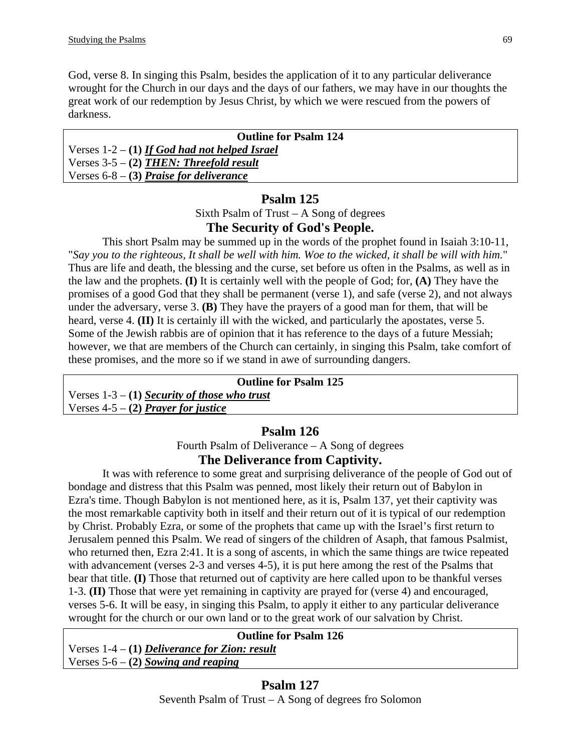God, verse 8. In singing this Psalm, besides the application of it to any particular deliverance wrought for the Church in our days and the days of our fathers, we may have in our thoughts the great work of our redemption by Jesus Christ, by which we were rescued from the powers of darkness.

| <b>Outline for Psalm 124</b>                    |  |  |
|-------------------------------------------------|--|--|
| Verses $1-2 - (1)$ If God had not helped Israel |  |  |
| Verses $3-5 - (2)$ THEN: Threefold result       |  |  |
| Verses $6-8$ – (3) Praise for deliverance       |  |  |

# **Psalm 125**

Sixth Psalm of Trust – A Song of degrees **The Security of God's People.** 

This short Psalm may be summed up in the words of the prophet found in Isaiah 3:10-11, "*Say you to the righteous, It shall be well with him. Woe to the wicked, it shall be will with him.*" Thus are life and death, the blessing and the curse, set before us often in the Psalms, as well as in the law and the prophets. **(I)** It is certainly well with the people of God; for, **(A)** They have the promises of a good God that they shall be permanent (verse 1), and safe (verse 2), and not always under the adversary, verse 3. **(B)** They have the prayers of a good man for them, that will be heard, verse 4. **(II)** It is certainly ill with the wicked, and particularly the apostates, verse 5. Some of the Jewish rabbis are of opinion that it has reference to the days of a future Messiah; however, we that are members of the Church can certainly, in singing this Psalm, take comfort of these promises, and the more so if we stand in awe of surrounding dangers.

#### **Outline for Psalm 125**

Verses 1-3 – **(1)** *Security of those who trust* Verses 4-5 – **(2)** *Prayer for justice*

# **Psalm 126**

Fourth Psalm of Deliverance – A Song of degrees

# **The Deliverance from Captivity.**

It was with reference to some great and surprising deliverance of the people of God out of bondage and distress that this Psalm was penned, most likely their return out of Babylon in Ezra's time. Though Babylon is not mentioned here, as it is, Psalm 137, yet their captivity was the most remarkable captivity both in itself and their return out of it is typical of our redemption by Christ. Probably Ezra, or some of the prophets that came up with the Israel's first return to Jerusalem penned this Psalm. We read of singers of the children of Asaph, that famous Psalmist, who returned then, Ezra 2:41. It is a song of ascents, in which the same things are twice repeated with advancement (verses 2-3 and verses 4-5), it is put here among the rest of the Psalms that bear that title. **(I)** Those that returned out of captivity are here called upon to be thankful verses 1-3. **(II)** Those that were yet remaining in captivity are prayed for (verse 4) and encouraged, verses 5-6. It will be easy, in singing this Psalm, to apply it either to any particular deliverance wrought for the church or our own land or to the great work of our salvation by Christ.

| <b>Outline for Psalm 126</b>                    |  |
|-------------------------------------------------|--|
| Verses $1-4 - (1)$ Deliverance for Zion: result |  |
| Verses $5-6 - (2)$ Sowing and reaping           |  |
|                                                 |  |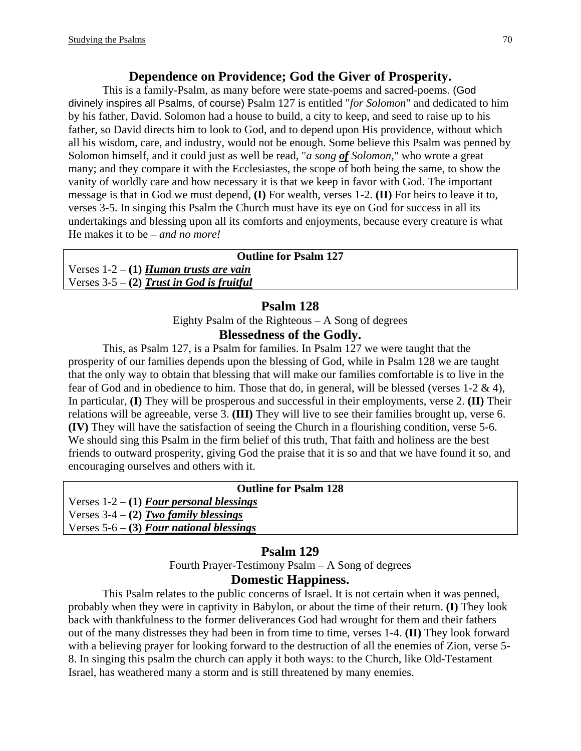#### **Dependence on Providence; God the Giver of Prosperity.**

This is a family-Psalm, as many before were state-poems and sacred-poems. (God divinely inspires all Psalms, of course) Psalm 127 is entitled "*for Solomon*" and dedicated to him by his father, David. Solomon had a house to build, a city to keep, and seed to raise up to his father, so David directs him to look to God, and to depend upon His providence, without which all his wisdom, care, and industry, would not be enough. Some believe this Psalm was penned by Solomon himself, and it could just as well be read, "*a song of Solomon*," who wrote a great many; and they compare it with the Ecclesiastes, the scope of both being the same, to show the vanity of worldly care and how necessary it is that we keep in favor with God. The important message is that in God we must depend, **(I)** For wealth, verses 1-2. **(II)** For heirs to leave it to, verses 3-5. In singing this Psalm the Church must have its eye on God for success in all its undertakings and blessing upon all its comforts and enjoyments, because every creature is what He makes it to be – *and no more!*

| <b>Outline for Psalm 127</b>                |  |  |
|---------------------------------------------|--|--|
| Verses $1-2 - (1)$ Human trusts are vain    |  |  |
| Verses $3-5 - (2)$ Trust in God is fruitful |  |  |
|                                             |  |  |

#### **Psalm 128**

Eighty Psalm of the Righteous – A Song of degrees

# **Blessedness of the Godly.**

This, as Psalm 127, is a Psalm for families. In Psalm 127 we were taught that the prosperity of our families depends upon the blessing of God, while in Psalm 128 we are taught that the only way to obtain that blessing that will make our families comfortable is to live in the fear of God and in obedience to him. Those that do, in general, will be blessed (verses 1-2 & 4), In particular, **(I)** They will be prosperous and successful in their employments, verse 2. **(II)** Their relations will be agreeable, verse 3. **(III)** They will live to see their families brought up, verse 6. **(IV)** They will have the satisfaction of seeing the Church in a flourishing condition, verse 5-6. We should sing this Psalm in the firm belief of this truth, That faith and holiness are the best friends to outward prosperity, giving God the praise that it is so and that we have found it so, and encouraging ourselves and others with it.

| <b>Outline for Psalm 128</b> |  |
|------------------------------|--|
|------------------------------|--|

Verses 1-2 – **(1)** *Four personal blessings*

Verses 3-4 – **(2)** *Two family blessings*

Verses 5-6 – **(3)** *Four national blessings*

#### **Psalm 129**

Fourth Prayer-Testimony Psalm – A Song of degrees

#### **Domestic Happiness.**

This Psalm relates to the public concerns of Israel. It is not certain when it was penned, probably when they were in captivity in Babylon, or about the time of their return. **(I)** They look back with thankfulness to the former deliverances God had wrought for them and their fathers out of the many distresses they had been in from time to time, verses 1-4. **(II)** They look forward with a believing prayer for looking forward to the destruction of all the enemies of Zion, verse 5-8. In singing this psalm the church can apply it both ways: to the Church, like Old-Testament Israel, has weathered many a storm and is still threatened by many enemies.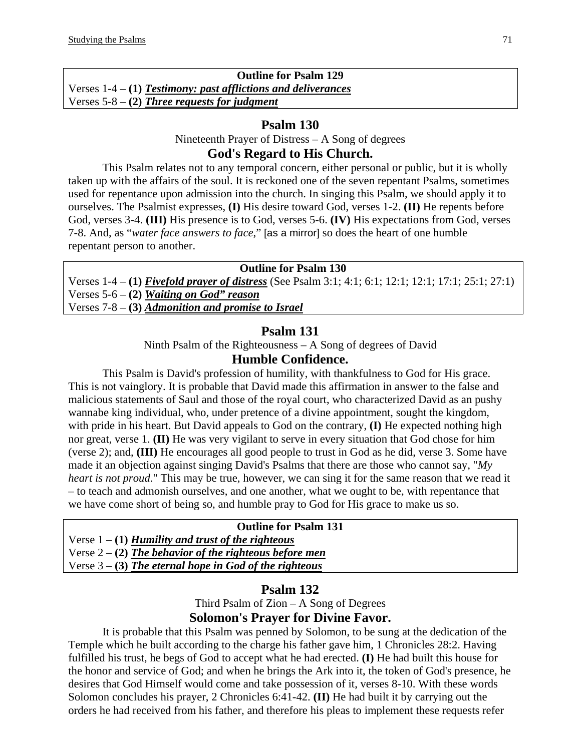|                                                                 | <b>Outline for Psalm 129</b> |
|-----------------------------------------------------------------|------------------------------|
| Verses $1-4 - (1)$ Testimony: past afflictions and deliverances |                              |
| Verses $5-8 - (2)$ Three requests for judgment                  |                              |

Nineteenth Prayer of Distress – A Song of degrees

#### **God's Regard to His Church.**

This Psalm relates not to any temporal concern, either personal or public, but it is wholly taken up with the affairs of the soul. It is reckoned one of the seven repentant Psalms, sometimes used for repentance upon admission into the church. In singing this Psalm, we should apply it to ourselves. The Psalmist expresses, **(I)** His desire toward God, verses 1-2. **(II)** He repents before God, verses 3-4. **(III)** His presence is to God, verses 5-6. **(IV)** His expectations from God, verses 7-8. And, as "*water face answers to face*," [as a mirror] so does the heart of one humble repentant person to another.

#### **Outline for Psalm 130**

Verses 1-4 – **(1)** *Fivefold prayer of distress* (See Psalm 3:1; 4:1; 6:1; 12:1; 12:1; 17:1; 25:1; 27:1) Verses 5-6 – **(2)** *Waiting on God" reason*

Verses 7-8 – **(3)** *Admonition and promise to Israel*

#### **Psalm 131**

Ninth Psalm of the Righteousness – A Song of degrees of David

#### **Humble Confidence.**

This Psalm is David's profession of humility, with thankfulness to God for His grace. This is not vainglory. It is probable that David made this affirmation in answer to the false and malicious statements of Saul and those of the royal court, who characterized David as an pushy wannabe king individual, who, under pretence of a divine appointment, sought the kingdom, with pride in his heart. But David appeals to God on the contrary, **(I)** He expected nothing high nor great, verse 1. **(II)** He was very vigilant to serve in every situation that God chose for him (verse 2); and, **(III)** He encourages all good people to trust in God as he did, verse 3. Some have made it an objection against singing David's Psalms that there are those who cannot say, "*My heart is not proud*." This may be true, however, we can sing it for the same reason that we read it – to teach and admonish ourselves, and one another, what we ought to be, with repentance that we have come short of being so, and humble pray to God for His grace to make us so.

| Verse $1 - (1)$ Humility and trust of the righteous      |
|----------------------------------------------------------|
| Verse $2 - (2)$ The behavior of the righteous before men |
| Verse $3 - (3)$ The eternal hope in God of the righteous |

#### **Psalm 132**

Third Psalm of Zion – A Song of Degrees

# **Solomon's Prayer for Divine Favor.**

It is probable that this Psalm was penned by Solomon, to be sung at the dedication of the Temple which he built according to the charge his father gave him, 1 Chronicles 28:2. Having fulfilled his trust, he begs of God to accept what he had erected. **(I)** He had built this house for the honor and service of God; and when he brings the Ark into it, the token of God's presence, he desires that God Himself would come and take possession of it, verses 8-10. With these words Solomon concludes his prayer, 2 Chronicles 6:41-42. **(II)** He had built it by carrying out the orders he had received from his father, and therefore his pleas to implement these requests refer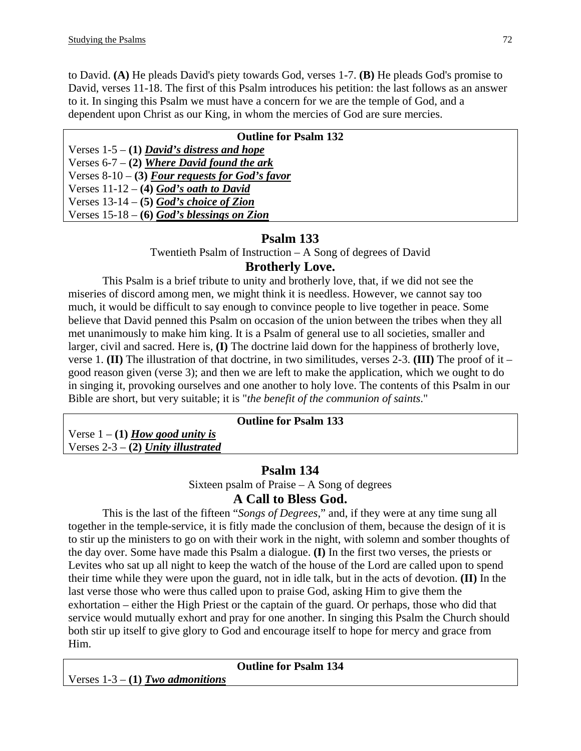to David. **(A)** He pleads David's piety towards God, verses 1-7. **(B)** He pleads God's promise to David, verses 11-18. The first of this Psalm introduces his petition: the last follows as an answer to it. In singing this Psalm we must have a concern for we are the temple of God, and a dependent upon Christ as our King, in whom the mercies of God are sure mercies.

| <b>Outline for Psalm 132</b>                      |
|---------------------------------------------------|
| Verses $1-5 - (1)$ David's distress and hope      |
| Verses $6-7 - (2)$ Where David found the ark      |
| Verses $8-10 - (3)$ Four requests for God's favor |
| Verses $11-12 - (4)$ God's oath to David          |
| Verses $13-14-5$ God's choice of Zion             |
| Verses $15-18 - (6)$ God's blessings on Zion      |

# **Psalm 133**

Twentieth Psalm of Instruction – A Song of degrees of David

# **Brotherly Love.**

This Psalm is a brief tribute to unity and brotherly love, that, if we did not see the miseries of discord among men, we might think it is needless. However, we cannot say too much, it would be difficult to say enough to convince people to live together in peace. Some believe that David penned this Psalm on occasion of the union between the tribes when they all met unanimously to make him king. It is a Psalm of general use to all societies, smaller and larger, civil and sacred. Here is, **(I)** The doctrine laid down for the happiness of brotherly love, verse 1. **(II)** The illustration of that doctrine, in two similitudes, verses 2-3. **(III)** The proof of it – good reason given (verse 3); and then we are left to make the application, which we ought to do in singing it, provoking ourselves and one another to holy love. The contents of this Psalm in our Bible are short, but very suitable; it is "*the benefit of the communion of saints*."

#### **Outline for Psalm 133**

Verse  $1 - (1)$  *How good unity is* Verses 2-3 – **(2)** *Unity illustrated*

# **Psalm 134**

Sixteen psalm of Praise – A Song of degrees

# **A Call to Bless God.**

This is the last of the fifteen "*Songs of Degrees*," and, if they were at any time sung all together in the temple-service, it is fitly made the conclusion of them, because the design of it is to stir up the ministers to go on with their work in the night, with solemn and somber thoughts of the day over. Some have made this Psalm a dialogue. **(I)** In the first two verses, the priests or Levites who sat up all night to keep the watch of the house of the Lord are called upon to spend their time while they were upon the guard, not in idle talk, but in the acts of devotion. **(II)** In the last verse those who were thus called upon to praise God, asking Him to give them the exhortation – either the High Priest or the captain of the guard. Or perhaps, those who did that service would mutually exhort and pray for one another. In singing this Psalm the Church should both stir up itself to give glory to God and encourage itself to hope for mercy and grace from Him.

|                                    | <b>Outline for Psalm 134</b> |
|------------------------------------|------------------------------|
| Verses $1-3 - (1)$ Two admonitions |                              |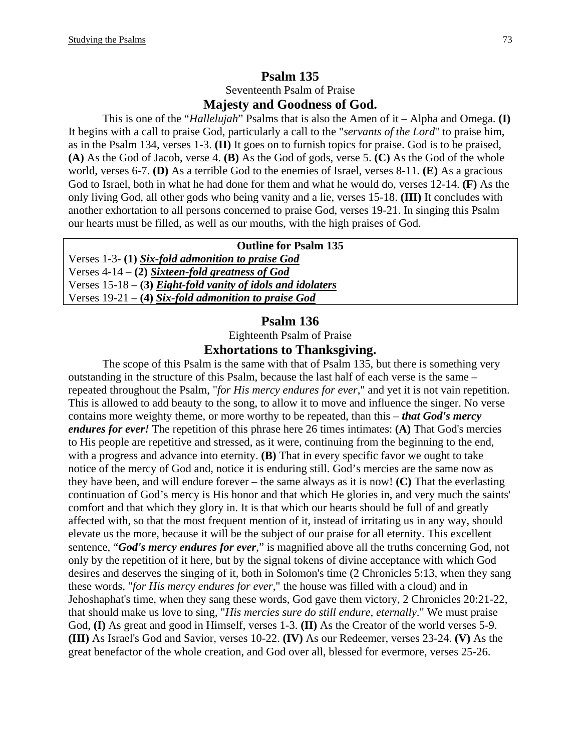#### **Psalm 135**  Seventeenth Psalm of Praise

#### **Majesty and Goodness of God.**

This is one of the "*Hallelujah*" Psalms that is also the Amen of it – Alpha and Omega. **(I)** It begins with a call to praise God, particularly a call to the "*servants of the Lord*" to praise him, as in the Psalm 134, verses 1-3. **(II)** It goes on to furnish topics for praise. God is to be praised, **(A)** As the God of Jacob, verse 4. **(B)** As the God of gods, verse 5. **(C)** As the God of the whole world, verses 6-7. **(D)** As a terrible God to the enemies of Israel, verses 8-11. **(E)** As a gracious God to Israel, both in what he had done for them and what he would do, verses 12-14. **(F)** As the only living God, all other gods who being vanity and a lie, verses 15-18. **(III)** It concludes with another exhortation to all persons concerned to praise God, verses 19-21. In singing this Psalm our hearts must be filled, as well as our mouths, with the high praises of God.

#### **Outline for Psalm 135**

Verses 1-3- **(1)** *Six-fold admonition to praise God* Verses 4-14 – **(2)** *Sixteen-fold greatness of God* Verses 15-18 – **(3)** *Eight-fold vanity of idols and idolaters* Verses 19-21 – **(4)** *Six-fold admonition to praise God*

#### **Psalm 136**

Eighteenth Psalm of Praise

#### **Exhortations to Thanksgiving.**

The scope of this Psalm is the same with that of Psalm 135, but there is something very outstanding in the structure of this Psalm, because the last half of each verse is the same – repeated throughout the Psalm, "*for His mercy endures for ever*," and yet it is not vain repetition. This is allowed to add beauty to the song, to allow it to move and influence the singer. No verse contains more weighty theme, or more worthy to be repeated, than this – *that God's mercy endures for ever!* The repetition of this phrase here 26 times intimates: **(A)** That God's mercies to His people are repetitive and stressed, as it were, continuing from the beginning to the end, with a progress and advance into eternity. **(B)** That in every specific favor we ought to take notice of the mercy of God and, notice it is enduring still. God's mercies are the same now as they have been, and will endure forever – the same always as it is now! **(C)** That the everlasting continuation of God's mercy is His honor and that which He glories in, and very much the saints' comfort and that which they glory in. It is that which our hearts should be full of and greatly affected with, so that the most frequent mention of it, instead of irritating us in any way, should elevate us the more, because it will be the subject of our praise for all eternity. This excellent sentence, "*God's mercy endures for ever*," is magnified above all the truths concerning God, not only by the repetition of it here, but by the signal tokens of divine acceptance with which God desires and deserves the singing of it, both in Solomon's time (2 Chronicles 5:13, when they sang these words, "*for His mercy endures for ever*," the house was filled with a cloud) and in Jehoshaphat's time, when they sang these words, God gave them victory, 2 Chronicles 20:21-22, that should make us love to sing, "*His mercies sure do still endure, eternally*." We must praise God, **(I)** As great and good in Himself, verses 1-3. **(II)** As the Creator of the world verses 5-9. **(III)** As Israel's God and Savior, verses 10-22. **(IV)** As our Redeemer, verses 23-24. **(V)** As the great benefactor of the whole creation, and God over all, blessed for evermore, verses 25-26.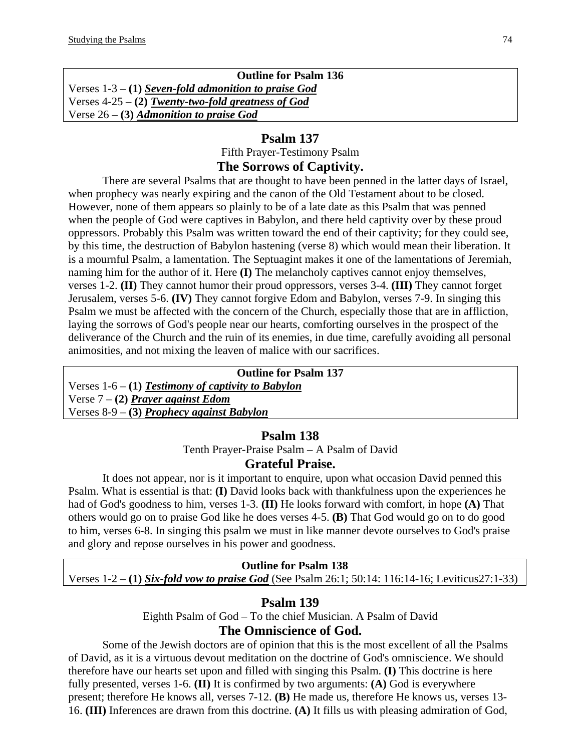| <b>Outline for Psalm 136</b>                           |
|--------------------------------------------------------|
| Verses $1-3 - (1)$ Seven-fold admonition to praise God |
| Verses $4-25 - (2)$ Twenty-two-fold greatness of God   |
| Verse $26 - (3)$ Admonition to praise God              |

## **Psalm 137**

Fifth Prayer-Testimony Psalm

# **The Sorrows of Captivity.**

There are several Psalms that are thought to have been penned in the latter days of Israel, when prophecy was nearly expiring and the canon of the Old Testament about to be closed. However, none of them appears so plainly to be of a late date as this Psalm that was penned when the people of God were captives in Babylon, and there held captivity over by these proud oppressors. Probably this Psalm was written toward the end of their captivity; for they could see, by this time, the destruction of Babylon hastening (verse 8) which would mean their liberation. It is a mournful Psalm, a lamentation. The Septuagint makes it one of the lamentations of Jeremiah, naming him for the author of it. Here **(I)** The melancholy captives cannot enjoy themselves, verses 1-2. **(II)** They cannot humor their proud oppressors, verses 3-4. **(III)** They cannot forget Jerusalem, verses 5-6. **(IV)** They cannot forgive Edom and Babylon, verses 7-9. In singing this Psalm we must be affected with the concern of the Church, especially those that are in affliction, laying the sorrows of God's people near our hearts, comforting ourselves in the prospect of the deliverance of the Church and the ruin of its enemies, in due time, carefully avoiding all personal animosities, and not mixing the leaven of malice with our sacrifices.

| <b>Outline for Psalm 137</b>                         |
|------------------------------------------------------|
| Verses $1-6 - (1)$ Testimony of captivity to Babylon |
| Verse $7 - (2)$ Prayer against Edom                  |
| Verses $8-9$ – (3) Prophecy against Babylon          |

## **Psalm 138**

Tenth Prayer-Praise Psalm – A Psalm of David

## **Grateful Praise.**

It does not appear, nor is it important to enquire, upon what occasion David penned this Psalm. What is essential is that: **(I)** David looks back with thankfulness upon the experiences he had of God's goodness to him, verses 1-3. **(II)** He looks forward with comfort, in hope **(A)** That others would go on to praise God like he does verses 4-5. **(B)** That God would go on to do good to him, verses 6-8. In singing this psalm we must in like manner devote ourselves to God's praise and glory and repose ourselves in his power and goodness.

#### **Outline for Psalm 138**

Verses 1-2 – **(1)** *Six-fold vow to praise God* (See Psalm 26:1; 50:14: 116:14-16; Leviticus27:1-33)

## **Psalm 139**

Eighth Psalm of God – To the chief Musician. A Psalm of David **The Omniscience of God.** 

Some of the Jewish doctors are of opinion that this is the most excellent of all the Psalms of David, as it is a virtuous devout meditation on the doctrine of God's omniscience. We should therefore have our hearts set upon and filled with singing this Psalm. **(I)** This doctrine is here fully presented, verses 1-6. **(II)** It is confirmed by two arguments: **(A)** God is everywhere present; therefore He knows all, verses 7-12. **(B)** He made us, therefore He knows us, verses 13- 16. **(III)** Inferences are drawn from this doctrine. **(A)** It fills us with pleasing admiration of God,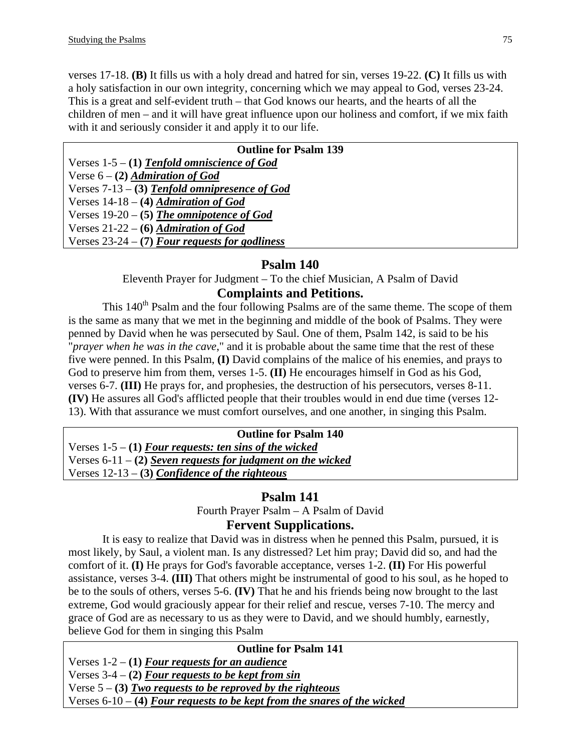verses 17-18. **(B)** It fills us with a holy dread and hatred for sin, verses 19-22. **(C)** It fills us with a holy satisfaction in our own integrity, concerning which we may appeal to God, verses 23-24. This is a great and self-evident truth – that God knows our hearts, and the hearts of all the children of men – and it will have great influence upon our holiness and comfort, if we mix faith with it and seriously consider it and apply it to our life.

| <b>Outline for Psalm 139</b>                          |
|-------------------------------------------------------|
| Verses 1-5 – (1) Tenfold omniscience of God           |
| Verse $6 - (2)$ <i>Admiration of God</i>              |
| $\vert$ Verses 7-13 – (3) Tenfold omnipresence of God |
| Verses $14-18 - (4)$ <i>Admiration of God</i>         |
| Verses $19-20 - (5)$ The omnipotence of God           |
| Verses $21-22-6$ ) Admiration of God                  |
| Verses $23-24 - (7)$ Four requests for godliness      |

# **Psalm 140**

Eleventh Prayer for Judgment – To the chief Musician, A Psalm of David

# **Complaints and Petitions.**

This 140<sup>th</sup> Psalm and the four following Psalms are of the same theme. The scope of them is the same as many that we met in the beginning and middle of the book of Psalms. They were penned by David when he was persecuted by Saul. One of them, Psalm 142, is said to be his "*prayer when he was in the cave*," and it is probable about the same time that the rest of these five were penned. In this Psalm, **(I)** David complains of the malice of his enemies, and prays to God to preserve him from them, verses 1-5. **(II)** He encourages himself in God as his God, verses 6-7. **(III)** He prays for, and prophesies, the destruction of his persecutors, verses 8-11. **(IV)** He assures all God's afflicted people that their troubles would in end due time (verses 12- 13). With that assurance we must comfort ourselves, and one another, in singing this Psalm.

## **Outline for Psalm 140**

Verses 1-5 – **(1)** *Four requests: ten sins of the wicked* Verses 6-11 – **(2)** *Seven requests for judgment on the wicked* Verses 12-13 – **(3)** *Confidence of the righteous*

# **Psalm 141**

Fourth Prayer Psalm – A Psalm of David

# **Fervent Supplications.**

It is easy to realize that David was in distress when he penned this Psalm, pursued, it is most likely, by Saul, a violent man. Is any distressed? Let him pray; David did so, and had the comfort of it. **(I)** He prays for God's favorable acceptance, verses 1-2. **(II)** For His powerful assistance, verses 3-4. **(III)** That others might be instrumental of good to his soul, as he hoped to be to the souls of others, verses 5-6. **(IV)** That he and his friends being now brought to the last extreme, God would graciously appear for their relief and rescue, verses 7-10. The mercy and grace of God are as necessary to us as they were to David, and we should humbly, earnestly, believe God for them in singing this Psalm

**Outline for Psalm 141**  Verses 1-2 – **(1)** *Four requests for an audience* Verses 3-4 – **(2)** *Four requests to be kept from sin* Verse 5 – **(3)** *Two requests to be reproved by the righteous* Verses 6-10 – **(4)** *Four requests to be kept from the snares of the wicked*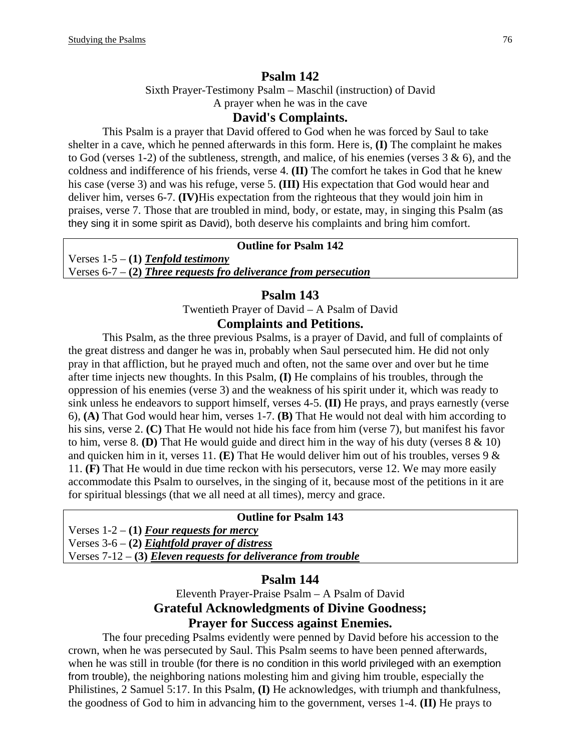## **Psalm 142**

Sixth Prayer-Testimony Psalm – Maschil (instruction) of David

A prayer when he was in the cave

### **David's Complaints.**

This Psalm is a prayer that David offered to God when he was forced by Saul to take shelter in a cave, which he penned afterwards in this form. Here is, **(I)** The complaint he makes to God (verses 1-2) of the subtleness, strength, and malice, of his enemies (verses  $3 \& 6$ ), and the coldness and indifference of his friends, verse 4. **(II)** The comfort he takes in God that he knew his case (verse 3) and was his refuge, verse 5. **(III)** His expectation that God would hear and deliver him, verses 6-7. **(IV)**His expectation from the righteous that they would join him in praises, verse 7. Those that are troubled in mind, body, or estate, may, in singing this Psalm (as they sing it in some spirit as David), both deserve his complaints and bring him comfort.

#### **Outline for Psalm 142**

Verses 1-5 – **(1)** *Tenfold testimony* Verses 6-7 – **(2)** *Three requests fro deliverance from persecution*

#### **Psalm 143**

Twentieth Prayer of David – A Psalm of David **Complaints and Petitions.** 

## This Psalm, as the three previous Psalms, is a prayer of David, and full of complaints of the great distress and danger he was in, probably when Saul persecuted him. He did not only pray in that affliction, but he prayed much and often, not the same over and over but he time after time injects new thoughts. In this Psalm, **(I)** He complains of his troubles, through the oppression of his enemies (verse 3) and the weakness of his spirit under it, which was ready to sink unless he endeavors to support himself, verses 4-5. **(II)** He prays, and prays earnestly (verse 6), **(A)** That God would hear him, verses 1-7. **(B)** That He would not deal with him according to his sins, verse 2. **(C)** That He would not hide his face from him (verse 7), but manifest his favor to him, verse 8. **(D)** That He would guide and direct him in the way of his duty (verses 8 & 10) and quicken him in it, verses 11. **(E)** That He would deliver him out of his troubles, verses 9 & 11. **(F)** That He would in due time reckon with his persecutors, verse 12. We may more easily accommodate this Psalm to ourselves, in the singing of it, because most of the petitions in it are

#### **Outline for Psalm 143**

Verses 1-2 – **(1)** *Four requests for mercy* Verses 3-6 – **(2)** *Eightfold prayer of distress* Verses 7-12 – **(3)** *Eleven requests for deliverance from trouble*

for spiritual blessings (that we all need at all times), mercy and grace.

### **Psalm 144**

Eleventh Prayer-Praise Psalm – A Psalm of David **Grateful Acknowledgments of Divine Goodness; Prayer for Success against Enemies.** 

The four preceding Psalms evidently were penned by David before his accession to the crown, when he was persecuted by Saul. This Psalm seems to have been penned afterwards, when he was still in trouble (for there is no condition in this world privileged with an exemption from trouble), the neighboring nations molesting him and giving him trouble, especially the Philistines, 2 Samuel 5:17. In this Psalm, **(I)** He acknowledges, with triumph and thankfulness, the goodness of God to him in advancing him to the government, verses 1-4. **(II)** He prays to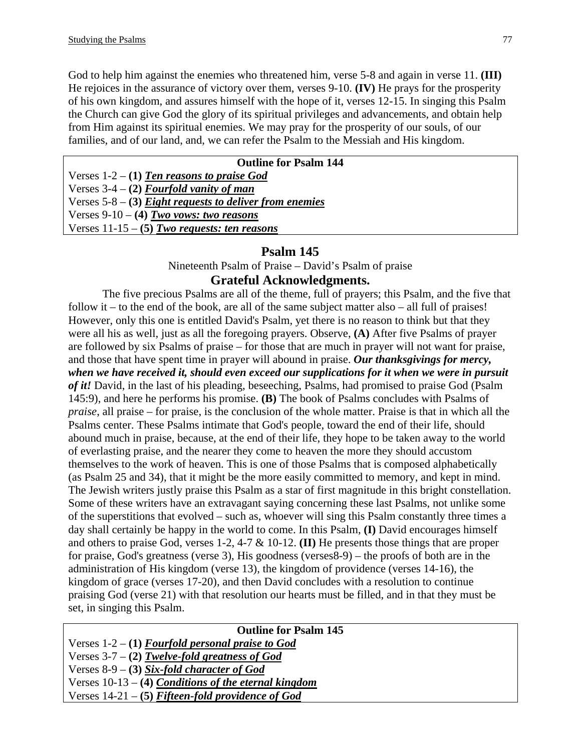God to help him against the enemies who threatened him, verse 5-8 and again in verse 11. **(III)** He rejoices in the assurance of victory over them, verses 9-10. **(IV)** He prays for the prosperity of his own kingdom, and assures himself with the hope of it, verses 12-15. In singing this Psalm the Church can give God the glory of its spiritual privileges and advancements, and obtain help from Him against its spiritual enemies. We may pray for the prosperity of our souls, of our families, and of our land, and, we can refer the Psalm to the Messiah and His kingdom.

# **Outline for Psalm 144**  Verses 1-2 – **(1)** *Ten reasons to praise God* Verses 3-4 – **(2)** *Fourfold vanity of man* Verses 5-8 – **(3)** *Eight requests to deliver from enemies* Verses 9-10 – **(4)** *Two vows: two reasons* Verses 11-15 – **(5)** *Two requests: ten reasons*

## **Psalm 145**

Nineteenth Psalm of Praise – David's Psalm of praise

## **Grateful Acknowledgments.**

The five precious Psalms are all of the theme, full of prayers; this Psalm, and the five that follow it – to the end of the book, are all of the same subject matter also – all full of praises! However, only this one is entitled David's Psalm, yet there is no reason to think but that they were all his as well, just as all the foregoing prayers. Observe, **(A)** After five Psalms of prayer are followed by six Psalms of praise – for those that are much in prayer will not want for praise, and those that have spent time in prayer will abound in praise. *Our thanksgivings for mercy, when we have received it, should even exceed our supplications for it when we were in pursuit of it!* David, in the last of his pleading, beseeching, Psalms, had promised to praise God (Psalm 145:9), and here he performs his promise. **(B)** The book of Psalms concludes with Psalms of *praise*, all praise – for praise, is the conclusion of the whole matter. Praise is that in which all the Psalms center. These Psalms intimate that God's people, toward the end of their life, should abound much in praise, because, at the end of their life, they hope to be taken away to the world of everlasting praise, and the nearer they come to heaven the more they should accustom themselves to the work of heaven. This is one of those Psalms that is composed alphabetically (as Psalm 25 and 34), that it might be the more easily committed to memory, and kept in mind. The Jewish writers justly praise this Psalm as a star of first magnitude in this bright constellation. Some of these writers have an extravagant saying concerning these last Psalms, not unlike some of the superstitions that evolved – such as, whoever will sing this Psalm constantly three times a day shall certainly be happy in the world to come. In this Psalm, **(I)** David encourages himself and others to praise God, verses 1-2, 4-7 & 10-12. **(II)** He presents those things that are proper for praise, God's greatness (verse 3), His goodness (verses8-9) – the proofs of both are in the administration of His kingdom (verse 13), the kingdom of providence (verses 14-16), the kingdom of grace (verses 17-20), and then David concludes with a resolution to continue praising God (verse 21) with that resolution our hearts must be filled, and in that they must be set, in singing this Psalm.

# **Outline for Psalm 145**

Verses 1-2 – **(1)** *Fourfold personal praise to God* Verses 3-7 – **(2)** *Twelve-fold greatness of God* Verses 8-9 – **(3)** *Six-fold character of God* Verses 10-13 – **(4)** *Conditions of the eternal kingdom* Verses 14-21 – **(5)** *Fifteen-fold providence of God*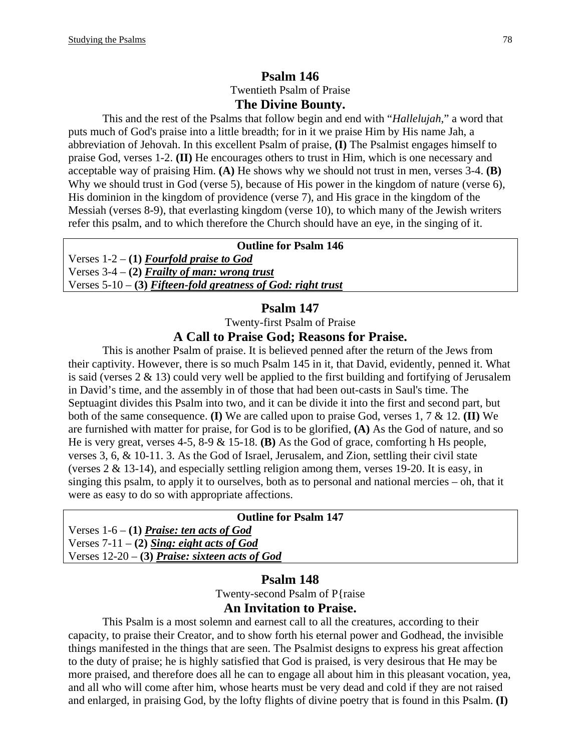# **Psalm 146**  Twentieth Psalm of Praise **The Divine Bounty.**

This and the rest of the Psalms that follow begin and end with "*Hallelujah*," a word that puts much of God's praise into a little breadth; for in it we praise Him by His name Jah, a abbreviation of Jehovah. In this excellent Psalm of praise, **(I)** The Psalmist engages himself to praise God, verses 1-2. **(II)** He encourages others to trust in Him, which is one necessary and acceptable way of praising Him. **(A)** He shows why we should not trust in men, verses 3-4. **(B)** Why we should trust in God (verse 5), because of His power in the kingdom of nature (verse 6), His dominion in the kingdom of providence (verse 7), and His grace in the kingdom of the Messiah (verses 8-9), that everlasting kingdom (verse 10), to which many of the Jewish writers refer this psalm, and to which therefore the Church should have an eye, in the singing of it.

#### **Outline for Psalm 146**

Verses 1-2 – **(1)** *Fourfold praise to God* Verses 3-4 – **(2)** *Frailty of man: wrong trust* Verses 5-10 – **(3)** *Fifteen-fold greatness of God: right trust*

## **Psalm 147**

Twenty-first Psalm of Praise

#### **A Call to Praise God; Reasons for Praise.**

This is another Psalm of praise. It is believed penned after the return of the Jews from their captivity. However, there is so much Psalm 145 in it, that David, evidently, penned it. What is said (verses  $2 \& 13$ ) could very well be applied to the first building and fortifying of Jerusalem in David's time, and the assembly in of those that had been out-casts in Saul's time. The Septuagint divides this Psalm into two, and it can be divide it into the first and second part, but both of the same consequence. **(I)** We are called upon to praise God, verses 1, 7 & 12. **(II)** We are furnished with matter for praise, for God is to be glorified, **(A)** As the God of nature, and so He is very great, verses 4-5, 8-9 & 15-18. **(B)** As the God of grace, comforting h Hs people, verses 3, 6, & 10-11. 3. As the God of Israel, Jerusalem, and Zion, settling their civil state (verses 2 & 13-14), and especially settling religion among them, verses 19-20. It is easy, in singing this psalm, to apply it to ourselves, both as to personal and national mercies – oh, that it were as easy to do so with appropriate affections.

| <b>Outline for Psalm 147</b>                      |  |
|---------------------------------------------------|--|
| Verses $1-6 - (1)$ <i>Praise: ten acts of God</i> |  |
| Verses $7-11 - (2)$ Sing: eight acts of God       |  |
| Verses $12-20$ – (3) Praise: sixteen acts of God  |  |

### **Psalm 148**

Twenty-second Psalm of P{raise

#### **An Invitation to Praise.**

This Psalm is a most solemn and earnest call to all the creatures, according to their capacity, to praise their Creator, and to show forth his eternal power and Godhead, the invisible things manifested in the things that are seen. The Psalmist designs to express his great affection to the duty of praise; he is highly satisfied that God is praised, is very desirous that He may be more praised, and therefore does all he can to engage all about him in this pleasant vocation, yea, and all who will come after him, whose hearts must be very dead and cold if they are not raised and enlarged, in praising God, by the lofty flights of divine poetry that is found in this Psalm. **(I)**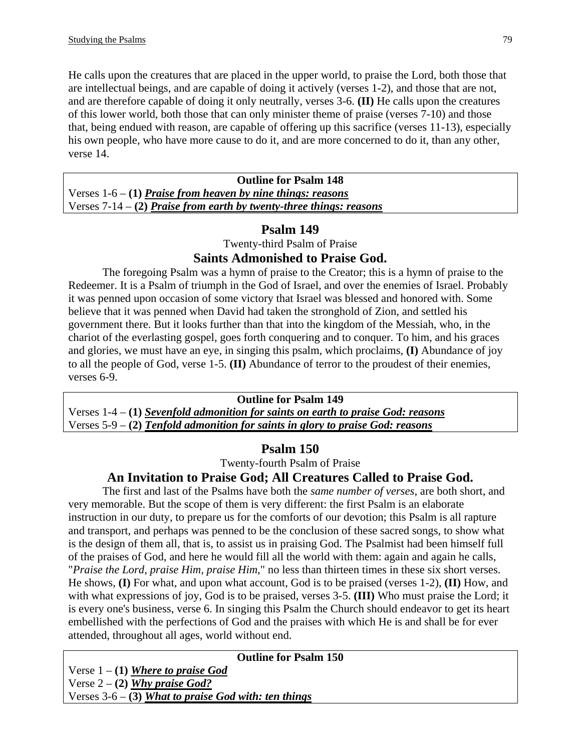He calls upon the creatures that are placed in the upper world, to praise the Lord, both those that are intellectual beings, and are capable of doing it actively (verses 1-2), and those that are not, and are therefore capable of doing it only neutrally, verses 3-6. **(II)** He calls upon the creatures of this lower world, both those that can only minister theme of praise (verses 7-10) and those that, being endued with reason, are capable of offering up this sacrifice (verses 11-13), especially his own people, who have more cause to do it, and are more concerned to do it, than any other, verse 14.

| <b>Outline for Psalm 148</b>                                          |  |
|-----------------------------------------------------------------------|--|
| Verses $1-6 - (1)$ Praise from heaven by nine things: reasons         |  |
| Verses $7-14 - (2)$ Praise from earth by twenty-three things: reasons |  |

# **Psalm 149**

Twenty-third Psalm of Praise

# **Saints Admonished to Praise God.**

The foregoing Psalm was a hymn of praise to the Creator; this is a hymn of praise to the Redeemer. It is a Psalm of triumph in the God of Israel, and over the enemies of Israel. Probably it was penned upon occasion of some victory that Israel was blessed and honored with. Some believe that it was penned when David had taken the stronghold of Zion, and settled his government there. But it looks further than that into the kingdom of the Messiah, who, in the chariot of the everlasting gospel, goes forth conquering and to conquer. To him, and his graces and glories, we must have an eye, in singing this psalm, which proclaims, **(I)** Abundance of joy to all the people of God, verse 1-5. **(II)** Abundance of terror to the proudest of their enemies, verses 6-9.

## **Outline for Psalm 149**

Verses 1-4 – **(1)** *Sevenfold admonition for saints on earth to praise God: reasons* Verses 5-9 – **(2)** *Tenfold admonition for saints in glory to praise God: reasons*

# **Psalm 150**

Twenty-fourth Psalm of Praise

# **An Invitation to Praise God; All Creatures Called to Praise God.**

The first and last of the Psalms have both the *same number of verses*, are both short, and very memorable. But the scope of them is very different: the first Psalm is an elaborate instruction in our duty, to prepare us for the comforts of our devotion; this Psalm is all rapture and transport, and perhaps was penned to be the conclusion of these sacred songs, to show what is the design of them all, that is, to assist us in praising God. The Psalmist had been himself full of the praises of God, and here he would fill all the world with them: again and again he calls, "*Praise the Lord, praise Him, praise Him*," no less than thirteen times in these six short verses. He shows, **(I)** For what, and upon what account, God is to be praised (verses 1-2), **(II)** How, and with what expressions of joy, God is to be praised, verses 3-5. **(III)** Who must praise the Lord; it is every one's business, verse 6. In singing this Psalm the Church should endeavor to get its heart embellished with the perfections of God and the praises with which He is and shall be for ever attended, throughout all ages, world without end.

**Outline for Psalm 150** 

Verse 1 – **(1)** *Where to praise God* Verse 2 – **(2)** *Why praise God?* Verses 3-6 – **(3)** *What to praise God with: ten things*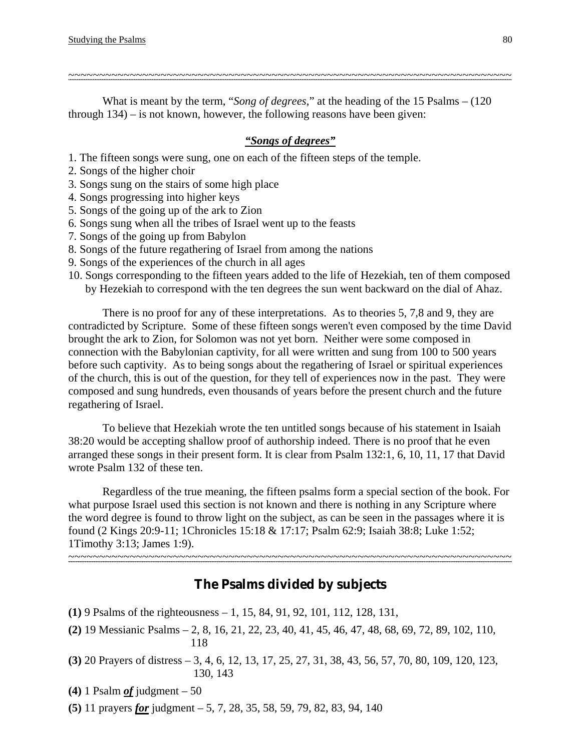What is meant by the term, "*Song of degrees*," at the heading of the 15 Psalms – (120 through 134) – is not known, however, the following reasons have been given:

#### *"Songs of degrees"*

~~~~~~~~~~~~~~~~~~~~~~~~~~~~~~~~~~~~~~~~~~~~~~~~~~~~~~~~~~~~~~~~~~~~~~~~

1. The fifteen songs were sung, one on each of the fifteen steps of the temple.

- 2. Songs of the higher choir
- 3. Songs sung on the stairs of some high place
- 4. Songs progressing into higher keys
- 5. Songs of the going up of the ark to Zion
- 6. Songs sung when all the tribes of Israel went up to the feasts
- 7. Songs of the going up from Babylon
- 8. Songs of the future regathering of Israel from among the nations
- 9. Songs of the experiences of the church in all ages
- 10. Songs corresponding to the fifteen years added to the life of Hezekiah, ten of them composed by Hezekiah to correspond with the ten degrees the sun went backward on the dial of Ahaz.

There is no proof for any of these interpretations. As to theories 5, 7,8 and 9, they are contradicted by Scripture. Some of these fifteen songs weren't even composed by the time David brought the ark to Zion, for Solomon was not yet born. Neither were some composed in connection with the Babylonian captivity, for all were written and sung from 100 to 500 years before such captivity. As to being songs about the regathering of Israel or spiritual experiences of the church, this is out of the question, for they tell of experiences now in the past. They were composed and sung hundreds, even thousands of years before the present church and the future regathering of Israel.

To believe that Hezekiah wrote the ten untitled songs because of his statement in Isaiah 38:20 would be accepting shallow proof of authorship indeed. There is no proof that he even arranged these songs in their present form. It is clear from Psalm 132:1, 6, 10, 11, 17 that David wrote Psalm 132 of these ten.

Regardless of the true meaning, the fifteen psalms form a special section of the book. For what purpose Israel used this section is not known and there is nothing in any Scripture where the word degree is found to throw light on the subject, as can be seen in the passages where it is found (2 Kings 20:9-11; 1Chronicles 15:18 & 17:17; Psalm 62:9; Isaiah 38:8; Luke 1:52; 1Timothy 3:13; James 1:9). ~~~~~~~~~~~~~~~~~~~~~~~~~~~~~~~~~~~~~~~~~~~~~~~~~~~~~~~~~~~~~~~~~~~~~~~~

**The Psalms divided by subjects** 

- **(1)** 9 Psalms of the righteousness 1, 15, 84, 91, 92, 101, 112, 128, 131,
- **(2)** 19 Messianic Psalms 2, 8, 16, 21, 22, 23, 40, 41, 45, 46, 47, 48, 68, 69, 72, 89, 102, 110, 118
- **(3)** 20 Prayers of distress 3, 4, 6, 12, 13, 17, 25, 27, 31, 38, 43, 56, 57, 70, 80, 109, 120, 123, 130, 143
- **(4)** 1 Psalm *of* judgment 50
- **(5)** 11 prayers *for* judgment 5, 7, 28, 35, 58, 59, 79, 82, 83, 94, 140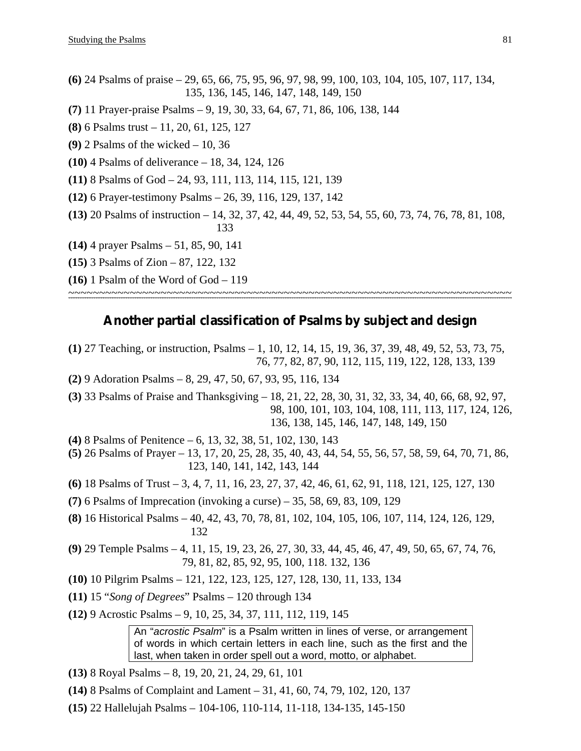**(6)** 24 Psalms of praise – 29, 65, 66, 75, 95, 96, 97, 98, 99, 100, 103, 104, 105, 107, 117, 134, 135, 136, 145, 146, 147, 148, 149, 150 **(7)** 11 Prayer-praise Psalms – 9, 19, 30, 33, 64, 67, 71, 86, 106, 138, 144 **(8)** 6 Psalms trust – 11, 20, 61, 125, 127 **(9)** 2 Psalms of the wicked – 10, 36 **(10)** 4 Psalms of deliverance – 18, 34, 124, 126 **(11)** 8 Psalms of God – 24, 93, 111, 113, 114, 115, 121, 139 **(12)** 6 Prayer-testimony Psalms – 26, 39, 116, 129, 137, 142 **(13)** 20 Psalms of instruction – 14, 32, 37, 42, 44, 49, 52, 53, 54, 55, 60, 73, 74, 76, 78, 81, 108, 133 **(14)** 4 prayer Psalms – 51, 85, 90, 141 **(15)** 3 Psalms of Zion – 87, 122, 132 **(16)** 1 Psalm of the Word of God – 119 ~~~~~~~~~~~~~~~~~~~~~~~~~~~~~~~~~~~~~~~~~~~~~~~~~~~~~~~~~~~~~~~~~~~~~~~~

# **Another partial classification of Psalms by subject and design**

- **(1)** 27 Teaching, or instruction, Psalms 1, 10, 12, 14, 15, 19, 36, 37, 39, 48, 49, 52, 53, 73, 75, 76, 77, 82, 87, 90, 112, 115, 119, 122, 128, 133, 139
- **(2)** 9 Adoration Psalms 8, 29, 47, 50, 67, 93, 95, 116, 134
- **(3)** 33 Psalms of Praise and Thanksgiving 18, 21, 22, 28, 30, 31, 32, 33, 34, 40, 66, 68, 92, 97,98, 100, 101, 103, 104, 108, 111, 113, 117, 124, 126, 136, 138, 145, 146, 147, 148, 149, 150
- **(4)** 8 Psalms of Penitence 6, 13, 32, 38, 51, 102, 130, 143
- **(5)** 26 Psalms of Prayer 13, 17, 20, 25, 28, 35, 40, 43, 44, 54, 55, 56, 57, 58, 59, 64, 70, 71, 86, 123, 140, 141, 142, 143, 144
- **(6)** 18 Psalms of Trust 3, 4, 7, 11, 16, 23, 27, 37, 42, 46, 61, 62, 91, 118, 121, 125, 127, 130
- **(7)** 6 Psalms of Imprecation (invoking a curse) 35, 58, 69, 83, 109, 129
- **(8)** 16 Historical Psalms 40, 42, 43, 70, 78, 81, 102, 104, 105, 106, 107, 114, 124, 126, 129, 132
- **(9)** 29 Temple Psalms 4, 11, 15, 19, 23, 26, 27, 30, 33, 44, 45, 46, 47, 49, 50, 65, 67, 74, 76, 79, 81, 82, 85, 92, 95, 100, 118. 132, 136
- **(10)** 10 Pilgrim Psalms 121, 122, 123, 125, 127, 128, 130, 11, 133, 134
- **(11)** 15 "*Song of Degrees*" Psalms 120 through 134
- **(12)** 9 Acrostic Psalms 9, 10, 25, 34, 37, 111, 112, 119, 145

An "*acrostic Psalm*" is a Psalm written in lines of verse, or arrangement of words in which certain letters in each line, such as the first and the last, when taken in order spell out a word, motto, or alphabet.

- **(13)** 8 Royal Psalms 8, 19, 20, 21, 24, 29, 61, 101
- **(14)** 8 Psalms of Complaint and Lament 31, 41, 60, 74, 79, 102, 120, 137
- **(15)** 22 Hallelujah Psalms 104-106, 110-114, 11-118, 134-135, 145-150